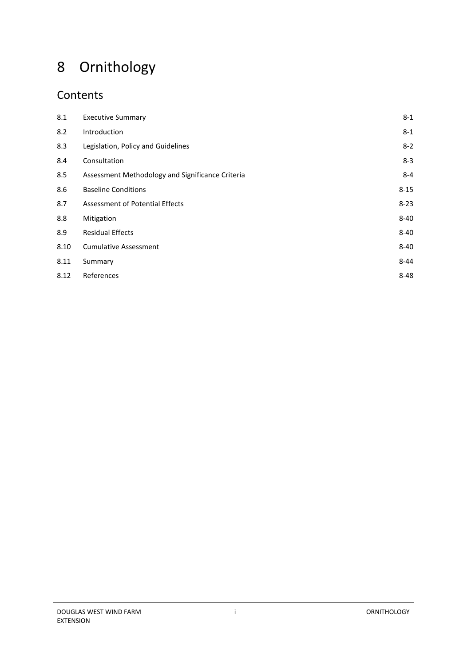# 8 Ornithology

# **Contents**

| 8.1  | <b>Executive Summary</b>                         | $8 - 1$  |
|------|--------------------------------------------------|----------|
| 8.2  | Introduction                                     | $8 - 1$  |
| 8.3  | Legislation, Policy and Guidelines               | $8 - 2$  |
| 8.4  | Consultation                                     | $8 - 3$  |
| 8.5  | Assessment Methodology and Significance Criteria | $8 - 4$  |
| 8.6  | <b>Baseline Conditions</b>                       | $8 - 15$ |
| 8.7  | Assessment of Potential Effects                  | $8 - 23$ |
| 8.8  | Mitigation                                       | $8 - 40$ |
| 8.9  | <b>Residual Effects</b>                          | $8 - 40$ |
| 8.10 | <b>Cumulative Assessment</b>                     | $8 - 40$ |
| 8.11 | Summary                                          | 8-44     |
| 8.12 | References                                       | $8 - 48$ |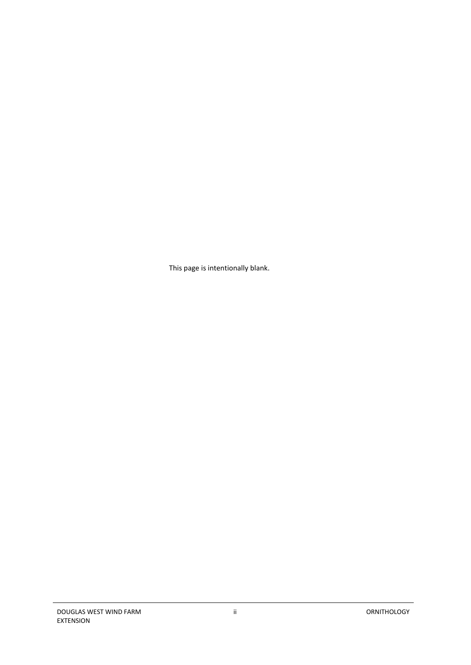This page is intentionally blank.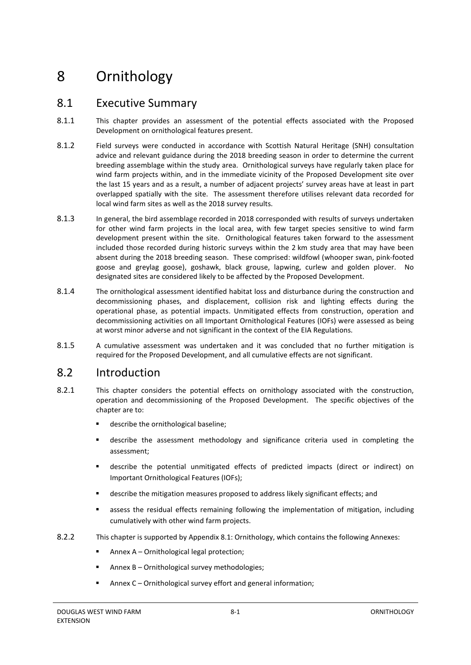# 8 Ornithology

# <span id="page-2-0"></span>8.1 Executive Summary

- 8.1.1 This chapter provides an assessment of the potential effects associated with the Proposed Development on ornithological features present.
- 8.1.2 Field surveys were conducted in accordance with Scottish Natural Heritage (SNH) consultation advice and relevant guidance during the 2018 breeding season in order to determine the current breeding assemblage within the study area. Ornithological surveys have regularly taken place for wind farm projects within, and in the immediate vicinity of the Proposed Development site over the last 15 years and as a result, a number of adjacent projects' survey areas have at least in part overlapped spatially with the site. The assessment therefore utilises relevant data recorded for local wind farm sites as well as the 2018 survey results.
- 8.1.3 In general, the bird assemblage recorded in 2018 corresponded with results of surveys undertaken for other wind farm projects in the local area, with few target species sensitive to wind farm development present within the site. Ornithological features taken forward to the assessment included those recorded during historic surveys within the 2 km study area that may have been absent during the 2018 breeding season. These comprised: wildfowl (whooper swan, pink-footed goose and greylag goose), goshawk, black grouse, lapwing, curlew and golden plover. No designated sites are considered likely to be affected by the Proposed Development.
- 8.1.4 The ornithological assessment identified habitat loss and disturbance during the construction and decommissioning phases, and displacement, collision risk and lighting effects during the operational phase, as potential impacts. Unmitigated effects from construction, operation and decommissioning activities on all Important Ornithological Features (IOFs) were assessed as being at worst minor adverse and not significant in the context of the EIA Regulations.
- 8.1.5 A cumulative assessment was undertaken and it was concluded that no further mitigation is required for the Proposed Development, and all cumulative effects are not significant.

# <span id="page-2-1"></span>8.2 Introduction

- 8.2.1 This chapter considers the potential effects on ornithology associated with the construction, operation and decommissioning of the Proposed Development. The specific objectives of the chapter are to:
	- describe the ornithological baseline;
	- describe the assessment methodology and significance criteria used in completing the assessment;
	- describe the potential unmitigated effects of predicted impacts (direct or indirect) on Important Ornithological Features (IOFs);
	- describe the mitigation measures proposed to address likely significant effects; and
	- assess the residual effects remaining following the implementation of mitigation, including cumulatively with other wind farm projects.
- 8.2.2 This chapter is supported by Appendix 8.1: Ornithology, which contains the following Annexes:
	- Annex A Ornithological legal protection;
	- Annex B Ornithological survey methodologies;
	- Annex C Ornithological survey effort and general information;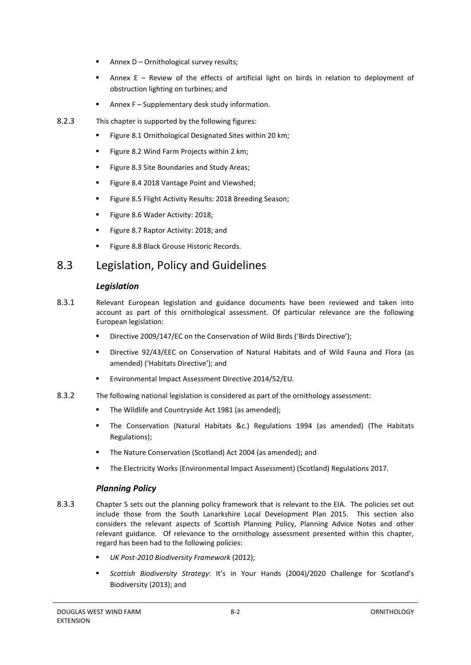- Annex D Ornithological survey results;
- Annex E Review of the effects of artificial light on birds in relation to deployment of obstruction lighting on turbines; and
- Annex F Supplementary desk study information.
- 8.2.3 This chapter is supported by the following figures:
	- **Figure 8.1 Ornithological Designated Sites within 20 km;**
	- Figure 8.2 Wind Farm Projects within 2 km;
	- **Figure 8.3 Site Boundaries and Study Areas;**
	- **Figure 8.4 2018 Vantage Point and Viewshed;**
	- **Figure 8.5 Flight Activity Results: 2018 Breeding Season;**
	- Figure 8.6 Wader Activity: 2018;
	- Figure 8.7 Raptor Activity: 2018; and
	- **Figure 8.8 Black Grouse Historic Records.**

# <span id="page-3-0"></span>8.3 Legislation, Policy and Guidelines

# *Legislation*

- 8.3.1 Relevant European legislation and guidance documents have been reviewed and taken into account as part of this ornithological assessment. Of particular relevance are the following European legislation:
	- Directive 2009/147/EC on the Conservation of Wild Birds ('Birds Directive');
	- Directive 92/43/EEC on Conservation of Natural Habitats and of Wild Fauna and Flora (as amended) ('Habitats Directive'); and
	- Environmental Impact Assessment Directive 2014/52/EU.
- 8.3.2 The following national legislation is considered as part of the ornithology assessment:
	- **The Wildlife and Countryside Act 1981 (as amended);**
	- The Conservation (Natural Habitats &c.) Regulations 1994 (as amended) (The Habitats Regulations);
	- **The Nature Conservation (Scotland) Act 2004 (as amended); and**
	- The Electricity Works (Environmental Impact Assessment) (Scotland) Regulations 2017.

# *Planning Policy*

- 8.3.3 Chapter 5 sets out the planning policy framework that is relevant to the EIA. The policies set out include those from the South Lanarkshire Local Development Plan 2015. This section also considers the relevant aspects of Scottish Planning Policy, Planning Advice Notes and other relevant guidance. Of relevance to the ornithology assessment presented within this chapter, regard has been had to the following policies:
	- *UK Post-2010 Biodiversity Framework* (2012);
	- *Scottish Biodiversity Strategy*: It's in Your Hands (2004)/2020 Challenge for Scotland's Biodiversity (2013); and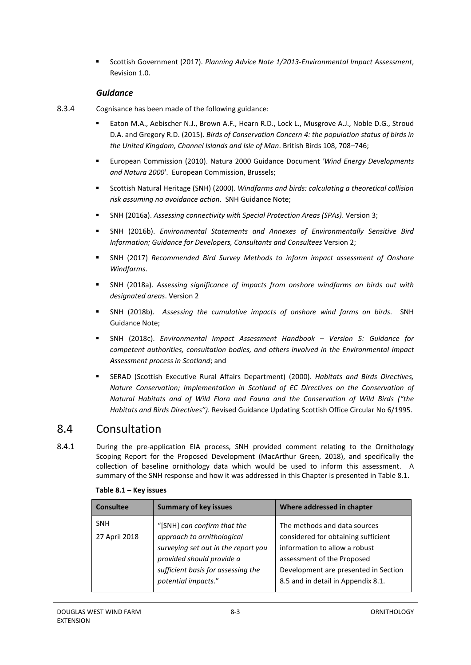Scottish Government (2017). *Planning Advice Note 1/2013-Environmental Impact Assessment*, Revision 1.0.

# *Guidance*

- 8.3.4 Cognisance has been made of the following guidance:
	- Eaton M.A., Aebischer N.J., Brown A.F., Hearn R.D., Lock L., Musgrove A.J., Noble D.G., Stroud D.A. and Gregory R.D. (2015). *Birds of Conservation Concern 4: the population status of birds in the United Kingdom, Channel Islands and Isle of Man*. British Birds 108, 708–746;
	- European Commission (2010). Natura 2000 Guidance Document *'Wind Energy Developments and Natura 2000*'. European Commission, Brussels;
	- Scottish Natural Heritage (SNH) (2000). *Windfarms and birds: calculating a theoretical collision risk assuming no avoidance action*. SNH Guidance Note;
	- SNH (2016a). *Assessing connectivity with Special Protection Areas (SPAs)*. Version 3;
	- SNH (2016b). *Environmental Statements and Annexes of Environmentally Sensitive Bird Information; Guidance for Developers, Consultants and Consultees* Version 2;
	- SNH (2017) *Recommended Bird Survey Methods to inform impact assessment of Onshore Windfarms*.
	- SNH (2018a). *Assessing significance of impacts from onshore windfarms on birds out with designated areas*. Version 2
	- SNH (2018b). *Assessing the cumulative impacts of onshore wind farms on birds*. SNH Guidance Note;
	- SNH (2018c). *Environmental Impact Assessment Handbook – Version 5: Guidance for competent authorities, consultation bodies, and others involved in the Environmental Impact Assessment process in Scotland*; and
	- SERAD (Scottish Executive Rural Affairs Department) (2000). *Habitats and Birds Directives, Nature Conservation; Implementation in Scotland of EC Directives on the Conservation of Natural Habitats and of Wild Flora and Fauna and the Conservation of Wild Birds ("the Habitats and Birds Directives")*. Revised Guidance Updating Scottish Office Circular No 6/1995.

# <span id="page-4-0"></span>8.4 Consultation

8.4.1 During the pre-application EIA process, SNH provided comment relating to the Ornithology Scoping Report for the Proposed Development (MacArthur Green, 2018), and specifically the collection of baseline ornithology data which would be used to inform this assessment. A summary of the SNH response and how it was addressed in this Chapter is presented in [Table 8.1.](#page-4-1)

<span id="page-4-1"></span>

| <b>Consultee</b>            | <b>Summary of key issues</b>                                                                     | Where addressed in chapter                                                                               |
|-----------------------------|--------------------------------------------------------------------------------------------------|----------------------------------------------------------------------------------------------------------|
| <b>SNH</b><br>27 April 2018 | "[SNH] can confirm that the<br>approach to ornithological<br>surveying set out in the report you | The methods and data sources<br>considered for obtaining sufficient<br>information to allow a robust     |
|                             | provided should provide a<br>sufficient basis for assessing the<br>potential impacts."           | assessment of the Proposed<br>Development are presented in Section<br>8.5 and in detail in Appendix 8.1. |

# **Table 8.1 – Key issues**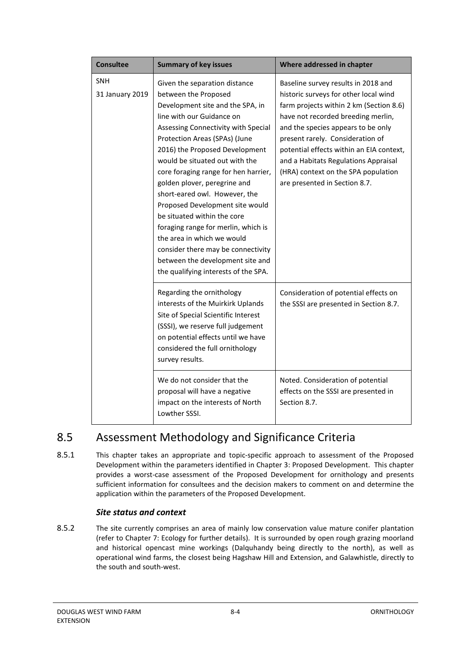| <b>Consultee</b>              | <b>Summary of key issues</b>                                                                                                                                                                                                                                                                                                                                                                                                                                                                                                                                                                                                         | Where addressed in chapter                                                                                                                                                                                                                                                                                                                                                                          |
|-------------------------------|--------------------------------------------------------------------------------------------------------------------------------------------------------------------------------------------------------------------------------------------------------------------------------------------------------------------------------------------------------------------------------------------------------------------------------------------------------------------------------------------------------------------------------------------------------------------------------------------------------------------------------------|-----------------------------------------------------------------------------------------------------------------------------------------------------------------------------------------------------------------------------------------------------------------------------------------------------------------------------------------------------------------------------------------------------|
| <b>SNH</b><br>31 January 2019 | Given the separation distance<br>between the Proposed<br>Development site and the SPA, in<br>line with our Guidance on<br>Assessing Connectivity with Special<br>Protection Areas (SPAs) (June<br>2016) the Proposed Development<br>would be situated out with the<br>core foraging range for hen harrier,<br>golden plover, peregrine and<br>short-eared owl. However, the<br>Proposed Development site would<br>be situated within the core<br>foraging range for merlin, which is<br>the area in which we would<br>consider there may be connectivity<br>between the development site and<br>the qualifying interests of the SPA. | Baseline survey results in 2018 and<br>historic surveys for other local wind<br>farm projects within 2 km (Section 8.6)<br>have not recorded breeding merlin,<br>and the species appears to be only<br>present rarely. Consideration of<br>potential effects within an EIA context,<br>and a Habitats Regulations Appraisal<br>(HRA) context on the SPA population<br>are presented in Section 8.7. |
|                               | Regarding the ornithology<br>interests of the Muirkirk Uplands<br>Site of Special Scientific Interest<br>(SSSI), we reserve full judgement<br>on potential effects until we have<br>considered the full ornithology<br>survey results.<br>We do not consider that the                                                                                                                                                                                                                                                                                                                                                                | Consideration of potential effects on<br>the SSSI are presented in Section 8.7.<br>Noted. Consideration of potential                                                                                                                                                                                                                                                                                |
|                               | proposal will have a negative<br>impact on the interests of North<br>Lowther SSSI.                                                                                                                                                                                                                                                                                                                                                                                                                                                                                                                                                   | effects on the SSSI are presented in<br>Section 8.7.                                                                                                                                                                                                                                                                                                                                                |

# <span id="page-5-0"></span>8.5 Assessment Methodology and Significance Criteria

8.5.1 This chapter takes an appropriate and topic-specific approach to assessment of the Proposed Development within the parameters identified in Chapter 3: Proposed Development. This chapter provides a worst-case assessment of the Proposed Development for ornithology and presents sufficient information for consultees and the decision makers to comment on and determine the application within the parameters of the Proposed Development.

# *Site status and context*

8.5.2 The site currently comprises an area of mainly low conservation value mature conifer plantation (refer to Chapter 7: Ecology for further details). It is surrounded by open rough grazing moorland and historical opencast mine workings (Dalquhandy being directly to the north), as well as operational wind farms, the closest being Hagshaw Hill and Extension, and Galawhistle, directly to the south and south-west.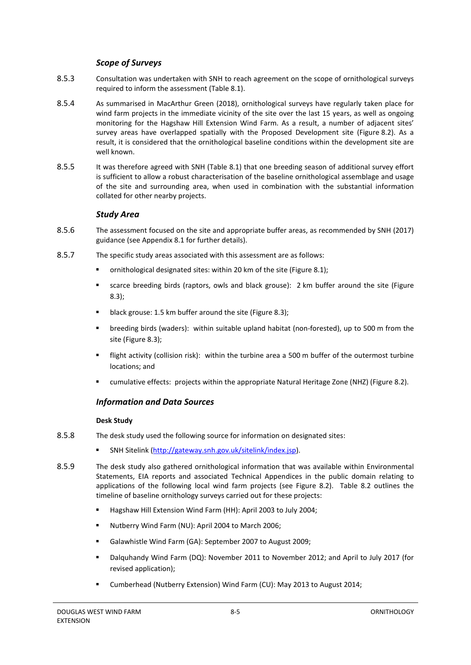# *Scope of Surveys*

- 8.5.3 Consultation was undertaken with SNH to reach agreement on the scope of ornithological surveys required to inform the assessment [\(Table 8.1\)](#page-4-1).
- 8.5.4 As summarised in MacArthur Green (2018), ornithological surveys have regularly taken place for wind farm projects in the immediate vicinity of the site over the last 15 years, as well as ongoing monitoring for the Hagshaw Hill Extension Wind Farm. As a result, a number of adjacent sites' survey areas have overlapped spatially with the Proposed Development site (Figure 8.2). As a result, it is considered that the ornithological baseline conditions within the development site are well known.
- 8.5.5 It was therefore agreed with SNH (Table 8.1) that one breeding season of additional survey effort is sufficient to allow a robust characterisation of the baseline ornithological assemblage and usage of the site and surrounding area, when used in combination with the substantial information collated for other nearby projects.

# *Study Area*

- 8.5.6 The assessment focused on the site and appropriate buffer areas, as recommended by SNH (2017) guidance (see Appendix 8.1 for further details).
- 8.5.7 The specific study areas associated with this assessment are as follows:
	- ornithological designated sites: within 20 km of the site (Figure 8.1);
	- scarce breeding birds (raptors, owls and black grouse): 2 km buffer around the site (Figure 8.3);
	- **black grouse: 1.5 km buffer around the site (Figure 8.3);**
	- breeding birds (waders): within suitable upland habitat (non-forested), up to 500 m from the site (Figure 8.3);
	- flight activity (collision risk): within the turbine area a 500 m buffer of the outermost turbine locations; and
	- cumulative effects: projects within the appropriate Natural Heritage Zone (NHZ) (Figure 8.2).

# *Information and Data Sources*

# **Desk Study**

- 8.5.8 The desk study used the following source for information on designated sites:
	- SNH Sitelink [\(http://gateway.snh.gov.uk/sitelink/index.jsp\)](http://gateway.snh.gov.uk/sitelink/index.jsp).
- 8.5.9 The desk study also gathered ornithological information that was available within Environmental Statements, EIA reports and associated Technical Appendices in the public domain relating to applications of the following local wind farm projects (see Figure 8.2). [Table 8.2](#page-7-0) outlines the timeline of baseline ornithology surveys carried out for these projects:
	- Hagshaw Hill Extension Wind Farm (HH): April 2003 to July 2004;
	- Nutberry Wind Farm (NU): April 2004 to March 2006:
	- Galawhistle Wind Farm (GA): September 2007 to August 2009;
	- Dalquhandy Wind Farm (DQ): November 2011 to November 2012; and April to July 2017 (for revised application);
	- Cumberhead (Nutberry Extension) Wind Farm (CU): May 2013 to August 2014;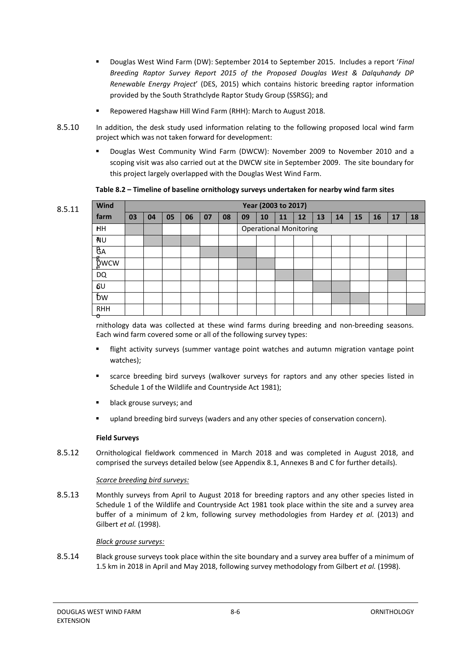- Douglas West Wind Farm (DW): September 2014 to September 2015. Includes a report '*Final Breeding Raptor Survey Report 2015 of the Proposed Douglas West & Dalquhandy DP Renewable Energy Project*' (DES, 2015) which contains historic breeding raptor information provided by the South Strathclyde Raptor Study Group (SSRSG); and
- Repowered Hagshaw Hill Wind Farm (RHH): March to August 2018.
- 8.5.10 In addition, the desk study used information relating to the following proposed local wind farm project which was not taken forward for development:
	- Douglas West Community Wind Farm (DWCW): November 2009 to November 2010 and a scoping visit was also carried out at the DWCW site in September 2009. The site boundary for this project largely overlapped with the Douglas West Wind Farm.

**Table 8.2 – Timeline of baseline ornithology surveys undertaken for nearby wind farm sites**

<span id="page-7-0"></span>8.5.11

| Wind       | Year (2003 to 2017) |    |    |    |    |    |    |                               |    |    |    |    |    |    |    |    |
|------------|---------------------|----|----|----|----|----|----|-------------------------------|----|----|----|----|----|----|----|----|
| farm       | 03                  | 04 | 05 | 06 | 07 | 08 | 09 | 10                            | 11 | 12 | 13 | 14 | 15 | 16 | 17 | 18 |
| <b>HH</b>  |                     |    |    |    |    |    |    | <b>Operational Monitoring</b> |    |    |    |    |    |    |    |    |
| <b>NU</b>  |                     |    |    |    |    |    |    |                               |    |    |    |    |    |    |    |    |
| GA         |                     |    |    |    |    |    |    |                               |    |    |    |    |    |    |    |    |
| pwcw       |                     |    |    |    |    |    |    |                               |    |    |    |    |    |    |    |    |
| <b>DQ</b>  |                     |    |    |    |    |    |    |                               |    |    |    |    |    |    |    |    |
| 6U         |                     |    |    |    |    |    |    |                               |    |    |    |    |    |    |    |    |
| bw         |                     |    |    |    |    |    |    |                               |    |    |    |    |    |    |    |    |
| <b>RHH</b> |                     |    |    |    |    |    |    |                               |    |    |    |    |    |    |    |    |
| ⊸o         |                     |    |    |    |    |    |    |                               |    |    |    |    |    |    |    |    |

rnithology data was collected at these wind farms during breeding and non-breeding seasons. Each wind farm covered some or all of the following survey types:

- flight activity surveys (summer vantage point watches and autumn migration vantage point watches);
- scarce breeding bird surveys (walkover surveys for raptors and any other species listed in Schedule 1 of the Wildlife and Countryside Act 1981);
- **black grouse surveys; and**
- **upland breeding bird surveys (waders and any other species of conservation concern).**

# **Field Surveys**

8.5.12 Ornithological fieldwork commenced in March 2018 and was completed in August 2018, and comprised the surveys detailed below (see Appendix 8.1, Annexes B and C for further details).

# *Scarce breeding bird surveys:*

8.5.13 Monthly surveys from April to August 2018 for breeding raptors and any other species listed in Schedule 1 of the Wildlife and Countryside Act 1981 took place within the site and a survey area buffer of a minimum of 2 km, following survey methodologies from Hardey *et al.* (2013) and Gilbert *et al.* (1998).

# *Black grouse surveys:*

8.5.14 Black grouse surveys took place within the site boundary and a survey area buffer of a minimum of 1.5 km in 2018 in April and May 2018, following survey methodology from Gilbert *et al.* (1998).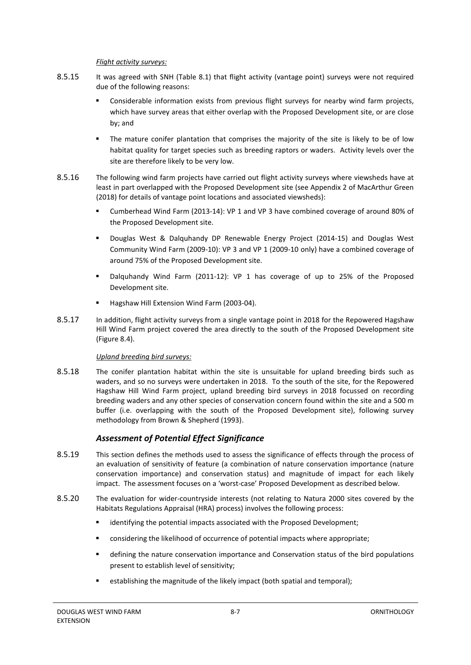#### *Flight activity surveys:*

- 8.5.15 It was agreed with SNH [\(Table 8.1\)](#page-4-1) that flight activity (vantage point) surveys were not required due of the following reasons:
	- Considerable information exists from previous flight surveys for nearby wind farm projects, which have survey areas that either overlap with the Proposed Development site, or are close by; and
	- The mature conifer plantation that comprises the majority of the site is likely to be of low habitat quality for target species such as breeding raptors or waders. Activity levels over the site are therefore likely to be very low.
- 8.5.16 The following wind farm projects have carried out flight activity surveys where viewsheds have at least in part overlapped with the Proposed Development site (see Appendix 2 of MacArthur Green (2018) for details of vantage point locations and associated viewsheds):
	- Cumberhead Wind Farm (2013-14): VP 1 and VP 3 have combined coverage of around 80% of the Proposed Development site.
	- Douglas West & Dalquhandy DP Renewable Energy Project (2014-15) and Douglas West Community Wind Farm (2009-10): VP 3 and VP 1 (2009-10 only) have a combined coverage of around 75% of the Proposed Development site.
	- Dalquhandy Wind Farm (2011-12): VP 1 has coverage of up to 25% of the Proposed Development site.
	- Hagshaw Hill Extension Wind Farm (2003-04).
- 8.5.17 In addition, flight activity surveys from a single vantage point in 2018 for the Repowered Hagshaw Hill Wind Farm project covered the area directly to the south of the Proposed Development site (Figure 8.4).

# *Upland breeding bird surveys:*

8.5.18 The conifer plantation habitat within the site is unsuitable for upland breeding birds such as waders, and so no surveys were undertaken in 2018. To the south of the site, for the Repowered Hagshaw Hill Wind Farm project, upland breeding bird surveys in 2018 focussed on recording breeding waders and any other species of conservation concern found within the site and a 500 m buffer (i.e. overlapping with the south of the Proposed Development site), following survey methodology from Brown & Shepherd (1993).

# *Assessment of Potential Effect Significance*

- 8.5.19 This section defines the methods used to assess the significance of effects through the process of an evaluation of sensitivity of feature (a combination of nature conservation importance (nature conservation importance) and conservation status) and magnitude of impact for each likely impact. The assessment focuses on a 'worst-case' Proposed Development as described below.
- 8.5.20 The evaluation for wider-countryside interests (not relating to Natura 2000 sites covered by the Habitats Regulations Appraisal (HRA) process) involves the following process:
	- **EXEDENT** identifying the potential impacts associated with the Proposed Development;
	- **EXECONS** considering the likelihood of occurrence of potential impacts where appropriate;
	- defining the nature conservation importance and Conservation status of the bird populations present to establish level of sensitivity;
	- establishing the magnitude of the likely impact (both spatial and temporal);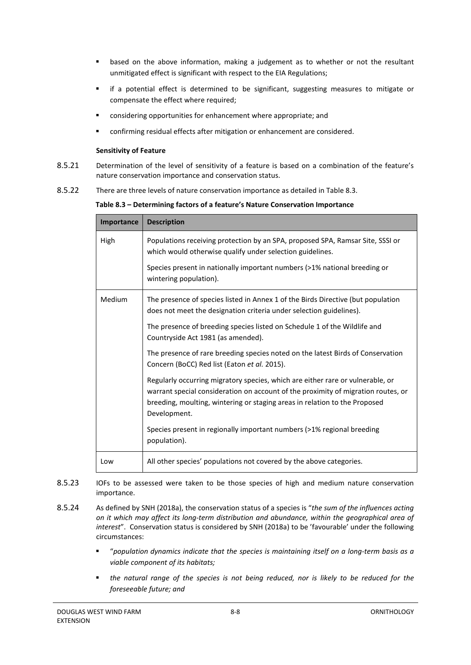- **•** based on the above information, making a judgement as to whether or not the resultant unmitigated effect is significant with respect to the EIA Regulations;
- if a potential effect is determined to be significant, suggesting measures to mitigate or compensate the effect where required;
- considering opportunities for enhancement where appropriate; and
- confirming residual effects after mitigation or enhancement are considered.

#### **Sensitivity of Feature**

- 8.5.21 Determination of the level of sensitivity of a feature is based on a combination of the feature's nature conservation importance and conservation status.
- <span id="page-9-0"></span>8.5.22 There are three levels of nature conservation importance as detailed i[n Table 8.3.](#page-9-0)

**Table 8.3 – Determining factors of a feature's Nature Conservation Importance**

| Importance | <b>Description</b>                                                                                                                                                                                                                                                |
|------------|-------------------------------------------------------------------------------------------------------------------------------------------------------------------------------------------------------------------------------------------------------------------|
| High       | Populations receiving protection by an SPA, proposed SPA, Ramsar Site, SSSI or<br>which would otherwise qualify under selection guidelines.                                                                                                                       |
|            | Species present in nationally important numbers (>1% national breeding or<br>wintering population).                                                                                                                                                               |
| Medium     | The presence of species listed in Annex 1 of the Birds Directive (but population<br>does not meet the designation criteria under selection guidelines).                                                                                                           |
|            | The presence of breeding species listed on Schedule 1 of the Wildlife and<br>Countryside Act 1981 (as amended).                                                                                                                                                   |
|            | The presence of rare breeding species noted on the latest Birds of Conservation<br>Concern (BoCC) Red list (Eaton et al. 2015).                                                                                                                                   |
|            | Regularly occurring migratory species, which are either rare or vulnerable, or<br>warrant special consideration on account of the proximity of migration routes, or<br>breeding, moulting, wintering or staging areas in relation to the Proposed<br>Development. |
|            | Species present in regionally important numbers (>1% regional breeding<br>population).                                                                                                                                                                            |
| Low        | All other species' populations not covered by the above categories.                                                                                                                                                                                               |

- 8.5.23 IOFs to be assessed were taken to be those species of high and medium nature conservation importance.
- 8.5.24 As defined by SNH (2018a), the conservation status of a species is "*the sum of the influences acting on it which may affect its long-term distribution and abundance, within the geographical area of interest*". Conservation status is considered by SNH (2018a) to be 'favourable' under the following circumstances:
	- "*population dynamics indicate that the species is maintaining itself on a long-term basis as a viable component of its habitats;*
	- *the natural range of the species is not being reduced, nor is likely to be reduced for the foreseeable future; and*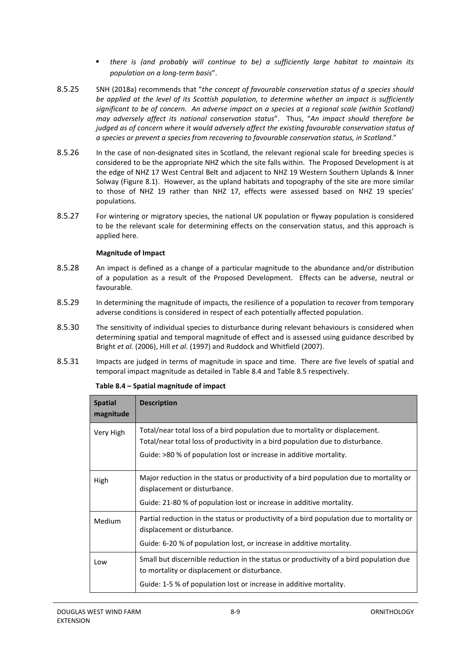- *there is (and probably will continue to be) a sufficiently large habitat to maintain its population on a long-term basis*".
- 8.5.25 SNH (2018a) recommends that "*the concept of favourable conservation status of a species should be applied at the level of its Scottish population, to determine whether an impact is sufficiently significant to be of concern. An adverse impact on a species at a regional scale (within Scotland) may adversely affect its national conservation status*". Thus, "*An impact should therefore be judged as of concern where it would adversely affect the existing favourable conservation status of a species or prevent a species from recovering to favourable conservation status, in Scotland*."
- 8.5.26 In the case of non-designated sites in Scotland, the relevant regional scale for breeding species is considered to be the appropriate NHZ which the site falls within. The Proposed Development is at the edge of NHZ 17 West Central Belt and adjacent to NHZ 19 Western Southern Uplands & Inner Solway (Figure 8.1). However, as the upland habitats and topography of the site are more similar to those of NHZ 19 rather than NHZ 17, effects were assessed based on NHZ 19 species' populations.
- 8.5.27 For wintering or migratory species, the national UK population or flyway population is considered to be the relevant scale for determining effects on the conservation status, and this approach is applied here.

# **Magnitude of Impact**

- 8.5.28 An impact is defined as a change of a particular magnitude to the abundance and/or distribution of a population as a result of the Proposed Development. Effects can be adverse, neutral or favourable.
- 8.5.29 In determining the magnitude of impacts, the resilience of a population to recover from temporary adverse conditions is considered in respect of each potentially affected population.
- 8.5.30 The sensitivity of individual species to disturbance during relevant behaviours is considered when determining spatial and temporal magnitude of effect and is assessed using guidance described by Bright *et al.* (2006), Hill *et al.* (1997) and Ruddock and Whitfield (2007).
- <span id="page-10-0"></span>8.5.31 Impacts are judged in terms of magnitude in space and time. There are five levels of spatial and temporal impact magnitude as detailed in [Table 8.4](#page-10-0) an[d Table 8.5](#page-11-0) respectively.

| <b>Spatial</b><br>magnitude | <b>Description</b>                                                                                                                                                                                                                   |
|-----------------------------|--------------------------------------------------------------------------------------------------------------------------------------------------------------------------------------------------------------------------------------|
| Very High                   | Total/near total loss of a bird population due to mortality or displacement.<br>Total/near total loss of productivity in a bird population due to disturbance.<br>Guide: >80 % of population lost or increase in additive mortality. |
| High                        | Major reduction in the status or productivity of a bird population due to mortality or<br>displacement or disturbance.<br>Guide: 21-80 % of population lost or increase in additive mortality.                                       |
| Medium                      | Partial reduction in the status or productivity of a bird population due to mortality or<br>displacement or disturbance.<br>Guide: 6-20 % of population lost, or increase in additive mortality.                                     |
| Low                         | Small but discernible reduction in the status or productivity of a bird population due<br>to mortality or displacement or disturbance.<br>Guide: 1-5 % of population lost or increase in additive mortality.                         |

# **Table 8.4 – Spatial magnitude of impact**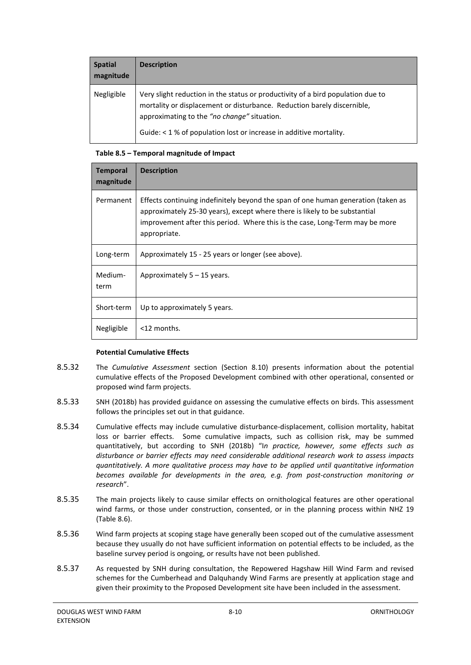| <b>Spatial</b><br>magnitude | <b>Description</b>                                                                                                                                                                                        |
|-----------------------------|-----------------------------------------------------------------------------------------------------------------------------------------------------------------------------------------------------------|
| Negligible                  | Very slight reduction in the status or productivity of a bird population due to<br>mortality or displacement or disturbance. Reduction barely discernible,<br>approximating to the "no change" situation. |
|                             | Guide: < 1 % of population lost or increase in additive mortality.                                                                                                                                        |

# **Table 8.5 – Temporal magnitude of Impact**

<span id="page-11-0"></span>

| <b>Temporal</b><br>magnitude | <b>Description</b>                                                                                                                                                                                                                                              |
|------------------------------|-----------------------------------------------------------------------------------------------------------------------------------------------------------------------------------------------------------------------------------------------------------------|
| Permanent                    | Effects continuing indefinitely beyond the span of one human generation (taken as<br>approximately 25-30 years), except where there is likely to be substantial<br>improvement after this period. Where this is the case, Long-Term may be more<br>appropriate. |
| Long-term                    | Approximately 15 - 25 years or longer (see above).                                                                                                                                                                                                              |
| Medium-<br>term              | Approximately $5 - 15$ years.                                                                                                                                                                                                                                   |
| Short-term                   | Up to approximately 5 years.                                                                                                                                                                                                                                    |
| Negligible                   | $<$ 12 months.                                                                                                                                                                                                                                                  |

# **Potential Cumulative Effects**

- 8.5.32 The *Cumulative Assessment* section (Section [8.10\)](#page-41-2) presents information about the potential cumulative effects of the Proposed Development combined with other operational, consented or proposed wind farm projects.
- 8.5.33 SNH (2018b) has provided guidance on assessing the cumulative effects on birds. This assessment follows the principles set out in that guidance.
- 8.5.34 Cumulative effects may include cumulative disturbance-displacement, collision mortality, habitat loss or barrier effects. Some cumulative impacts, such as collision risk, may be summed quantitatively, but according to SNH (2018b) "I*n practice, however, some effects such as disturbance or barrier effects may need considerable additional research work to assess impacts quantitatively. A more qualitative process may have to be applied until quantitative information becomes available for developments in the area, e.g. from post-construction monitoring or research*".
- 8.5.35 The main projects likely to cause similar effects on ornithological features are other operational wind farms, or those under construction, consented, or in the planning process within NHZ 19 [\(Table](#page-12-0) 8.6).
- 8.5.36 Wind farm projects at scoping stage have generally been scoped out of the cumulative assessment because they usually do not have sufficient information on potential effects to be included, as the baseline survey period is ongoing, or results have not been published.
- 8.5.37 As requested by SNH during consultation, the Repowered Hagshaw Hill Wind Farm and revised schemes for the Cumberhead and Dalquhandy Wind Farms are presently at application stage and given their proximity to the Proposed Development site have been included in the assessment.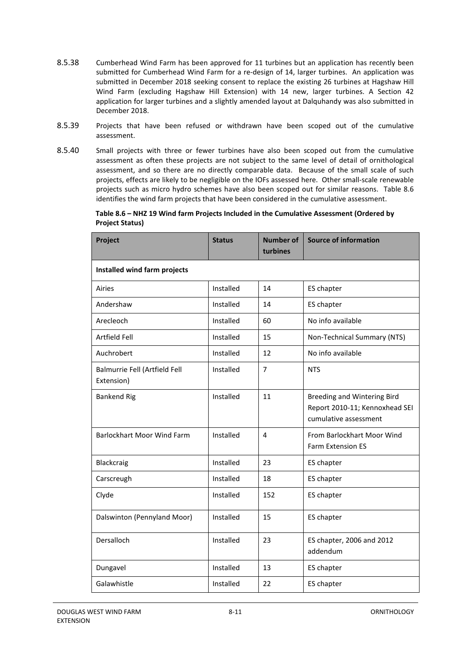- 8.5.38 Cumberhead Wind Farm has been approved for 11 turbines but an application has recently been submitted for Cumberhead Wind Farm for a re-design of 14, larger turbines. An application was submitted in December 2018 seeking consent to replace the existing 26 turbines at Hagshaw Hill Wind Farm (excluding Hagshaw Hill Extension) with 14 new, larger turbines. A Section 42 application for larger turbines and a slightly amended layout at Dalquhandy was also submitted in December 2018.
- 8.5.39 Projects that have been refused or withdrawn have been scoped out of the cumulative assessment.
- 8.5.40 Small projects with three or fewer turbines have also been scoped out from the cumulative assessment as often these projects are not subject to the same level of detail of ornithological assessment, and so there are no directly comparable data. Because of the small scale of such projects, effects are likely to be negligible on the IOFs assessed here. Other small-scale renewable projects such as micro hydro schemes have also been scoped out for similar reasons. [Table 8.6](#page-12-0) identifies the wind farm projects that have been considered in the cumulative assessment.

<span id="page-12-0"></span>**Table 8.6 – NHZ 19 Wind farm Projects Included in the Cumulative Assessment (Ordered by Project Status)**

| Project                                     | <b>Status</b> | <b>Number of</b><br>turbines | <b>Source of information</b>                                                           |  |  |  |  |  |
|---------------------------------------------|---------------|------------------------------|----------------------------------------------------------------------------------------|--|--|--|--|--|
| Installed wind farm projects                |               |                              |                                                                                        |  |  |  |  |  |
| Airies                                      | Installed     | 14                           | ES chapter                                                                             |  |  |  |  |  |
| Andershaw                                   | Installed     | 14                           | <b>ES chapter</b>                                                                      |  |  |  |  |  |
| Arecleoch                                   | Installed     | 60                           | No info available                                                                      |  |  |  |  |  |
| Artfield Fell                               | Installed     | 15                           | Non-Technical Summary (NTS)                                                            |  |  |  |  |  |
| Auchrobert                                  | Installed     | 12                           | No info available                                                                      |  |  |  |  |  |
| Balmurrie Fell (Artfield Fell<br>Extension) | Installed     | 7                            | <b>NTS</b>                                                                             |  |  |  |  |  |
| <b>Bankend Rig</b>                          | Installed     | 11                           | Breeding and Wintering Bird<br>Report 2010-11; Kennoxhead SEI<br>cumulative assessment |  |  |  |  |  |
| <b>Barlockhart Moor Wind Farm</b>           | Installed     | 4                            | From Barlockhart Moor Wind<br><b>Farm Extension ES</b>                                 |  |  |  |  |  |
| Blackcraig                                  | Installed     | 23                           | <b>ES chapter</b>                                                                      |  |  |  |  |  |
| Carscreugh                                  | Installed     | 18                           | ES chapter                                                                             |  |  |  |  |  |
| Clyde                                       | Installed     | 152                          | ES chapter                                                                             |  |  |  |  |  |
| Dalswinton (Pennyland Moor)                 | Installed     | 15                           | ES chapter                                                                             |  |  |  |  |  |
| Dersalloch                                  | Installed     | 23                           | ES chapter, 2006 and 2012<br>addendum                                                  |  |  |  |  |  |
| Dungavel                                    | Installed     | 13                           | <b>ES chapter</b>                                                                      |  |  |  |  |  |
| Galawhistle                                 | Installed     | 22                           | <b>ES chapter</b>                                                                      |  |  |  |  |  |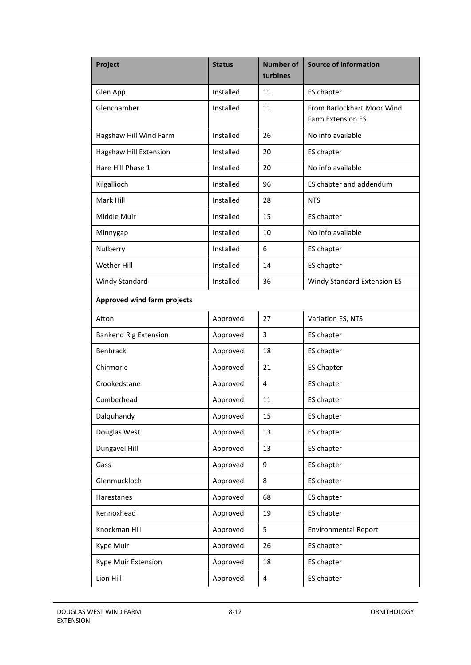| Project                            | <b>Status</b> | <b>Number of</b><br>turbines | <b>Source of information</b>                           |
|------------------------------------|---------------|------------------------------|--------------------------------------------------------|
| Glen App                           | Installed     | 11                           | ES chapter                                             |
| Glenchamber                        | Installed     | 11                           | From Barlockhart Moor Wind<br><b>Farm Extension ES</b> |
| Hagshaw Hill Wind Farm             | Installed     | 26                           | No info available                                      |
| Hagshaw Hill Extension             | Installed     | 20                           | ES chapter                                             |
| Hare Hill Phase 1                  | Installed     | 20                           | No info available                                      |
| Kilgallioch                        | Installed     | 96                           | ES chapter and addendum                                |
| Mark Hill                          | Installed     | 28                           | <b>NTS</b>                                             |
| Middle Muir                        | Installed     | 15                           | ES chapter                                             |
| Minnygap                           | Installed     | 10                           | No info available                                      |
| Nutberry                           | Installed     | 6                            | ES chapter                                             |
| Wether Hill                        | Installed     | 14                           | ES chapter                                             |
| <b>Windy Standard</b>              | Installed     | 36                           | <b>Windy Standard Extension ES</b>                     |
| <b>Approved wind farm projects</b> |               |                              |                                                        |
| Afton                              | Approved      | 27                           | Variation ES, NTS                                      |
| <b>Bankend Rig Extension</b>       | Approved      | 3                            | ES chapter                                             |
| <b>Benbrack</b>                    | Approved      | 18                           | ES chapter                                             |
| Chirmorie                          | Approved      | 21                           | <b>ES Chapter</b>                                      |
| Crookedstane                       | Approved      | 4                            | ES chapter                                             |
| Cumberhead                         | Approved      | 11                           | ES chapter                                             |
| Dalquhandy                         | Approved      | 15                           | ES chapter                                             |
| Douglas West                       | Approved      | 13                           | ES chapter                                             |
| Dungavel Hill                      | Approved      | 13                           | ES chapter                                             |
| Gass                               | Approved      | 9                            | ES chapter                                             |
| Glenmuckloch                       | Approved      | 8                            | ES chapter                                             |
| Harestanes                         | Approved      | 68                           | ES chapter                                             |
| Kennoxhead                         | Approved      | 19                           | ES chapter                                             |
| Knockman Hill                      | Approved      | 5                            | <b>Environmental Report</b>                            |
| Kype Muir                          | Approved      | 26                           | ES chapter                                             |
| Kype Muir Extension                | Approved      | 18                           | ES chapter                                             |
| Lion Hill                          | Approved      | 4                            | ES chapter                                             |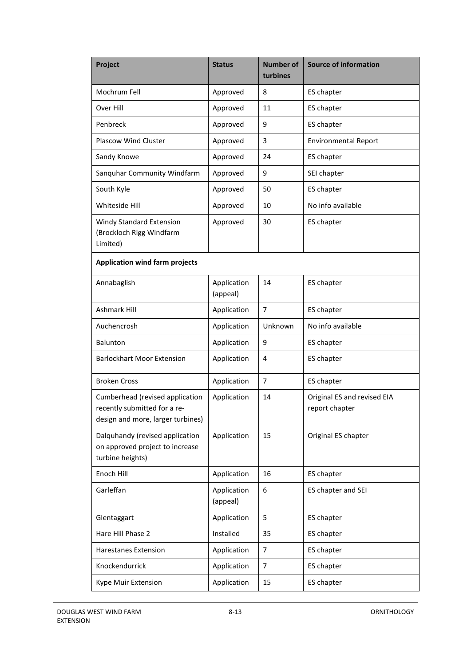| Project                                                                                              | <b>Status</b>           | <b>Number of</b><br>turbines | <b>Source of information</b>                  |
|------------------------------------------------------------------------------------------------------|-------------------------|------------------------------|-----------------------------------------------|
| Mochrum Fell                                                                                         | Approved                | 8                            | ES chapter                                    |
| Over Hill                                                                                            | Approved                | 11                           | ES chapter                                    |
| Penbreck                                                                                             | Approved                | 9                            | ES chapter                                    |
| <b>Plascow Wind Cluster</b>                                                                          | Approved                | 3                            | <b>Environmental Report</b>                   |
| Sandy Knowe                                                                                          | Approved                | 24                           | ES chapter                                    |
| Sanquhar Community Windfarm                                                                          | Approved                | 9                            | SEI chapter                                   |
| South Kyle                                                                                           | Approved                | 50                           | ES chapter                                    |
| Whiteside Hill                                                                                       | Approved                | 10                           | No info available                             |
| Windy Standard Extension<br>(Brockloch Rigg Windfarm<br>Limited)                                     | Approved                | 30                           | ES chapter                                    |
| <b>Application wind farm projects</b>                                                                |                         |                              |                                               |
| Annabaglish                                                                                          | Application<br>(appeal) | 14                           | ES chapter                                    |
| Ashmark Hill                                                                                         | Application             | $\overline{7}$               | ES chapter                                    |
| Auchencrosh                                                                                          | Application             | Unknown                      | No info available                             |
| <b>Balunton</b>                                                                                      | Application             | 9                            | ES chapter                                    |
| <b>Barlockhart Moor Extension</b>                                                                    | Application             | 4                            | ES chapter                                    |
| <b>Broken Cross</b>                                                                                  | Application             | $\overline{7}$               | ES chapter                                    |
| Cumberhead (revised application<br>recently submitted for a re-<br>design and more, larger turbines) | Application             | 14                           | Original ES and revised EIA<br>report chapter |
| Dalquhandy (revised application<br>on approved project to increase<br>turbine heights)               | Application             | 15                           | Original ES chapter                           |
| Enoch Hill                                                                                           | Application             | 16                           | ES chapter                                    |
| Garleffan                                                                                            | Application<br>(appeal) | 6                            | ES chapter and SEI                            |
| Glentaggart                                                                                          | Application             | 5                            | ES chapter                                    |
| Hare Hill Phase 2                                                                                    | Installed               | 35                           | ES chapter                                    |
| Harestanes Extension                                                                                 | Application             | $\overline{7}$               | ES chapter                                    |
| Knockendurrick                                                                                       | Application             | $\overline{7}$               | ES chapter                                    |
| Kype Muir Extension                                                                                  | Application             | 15                           | ES chapter                                    |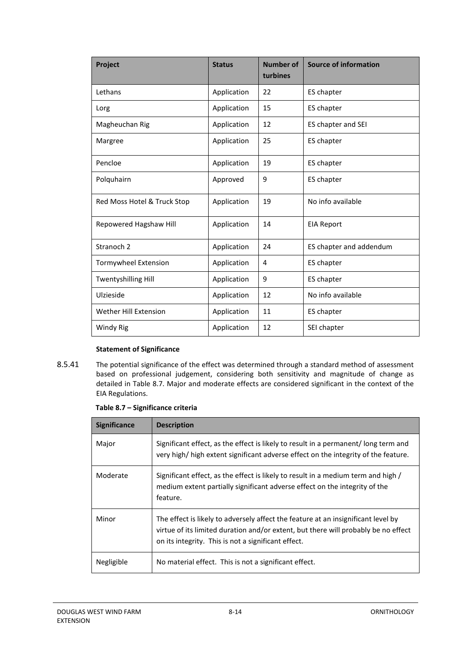| Project                     | <b>Status</b> | <b>Number of</b><br>turbines | <b>Source of information</b> |
|-----------------------------|---------------|------------------------------|------------------------------|
| Lethans                     | Application   | 22                           | ES chapter                   |
| Lorg                        | Application   | 15                           | ES chapter                   |
| Magheuchan Rig              | Application   | 12                           | ES chapter and SEI           |
| Margree                     | Application   | 25                           | ES chapter                   |
| Pencloe                     | Application   | 19                           | ES chapter                   |
| Polquhairn                  | Approved      | 9                            | ES chapter                   |
| Red Moss Hotel & Truck Stop | Application   | 19                           | No info available            |
| Repowered Hagshaw Hill      | Application   | 14                           | <b>EIA Report</b>            |
| Stranoch <sub>2</sub>       | Application   | 24                           | ES chapter and addendum      |
| Tormywheel Extension        | Application   | 4                            | ES chapter                   |
| <b>Twentyshilling Hill</b>  | Application   | 9                            | ES chapter                   |
| Ulzieside                   | Application   | 12                           | No info available            |
| Wether Hill Extension       | Application   | 11                           | ES chapter                   |
| Windy Rig                   | Application   | 12                           | SEI chapter                  |

# **Statement of Significance**

8.5.41 The potential significance of the effect was determined through a standard method of assessment based on professional judgement, considering both sensitivity and magnitude of change as detailed in [Table 8.7.](#page-15-0) Major and moderate effects are considered significant in the context of the EIA Regulations.

| <b>Significance</b> | <b>Description</b>                                                                                                                                                                                                             |
|---------------------|--------------------------------------------------------------------------------------------------------------------------------------------------------------------------------------------------------------------------------|
| Major               | Significant effect, as the effect is likely to result in a permanent/long term and<br>very high/ high extent significant adverse effect on the integrity of the feature.                                                       |
| Moderate            | Significant effect, as the effect is likely to result in a medium term and high /<br>medium extent partially significant adverse effect on the integrity of the<br>feature.                                                    |
| Minor               | The effect is likely to adversely affect the feature at an insignificant level by<br>virtue of its limited duration and/or extent, but there will probably be no effect<br>on its integrity. This is not a significant effect. |
| Negligible          | No material effect. This is not a significant effect.                                                                                                                                                                          |

#### <span id="page-15-0"></span>**Table 8.7 – Significance criteria**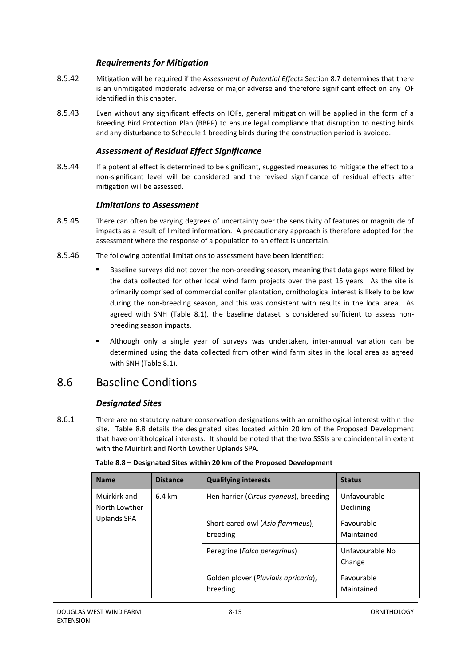# *Requirements for Mitigation*

- 8.5.42 Mitigation will be required if the *Assessment of Potential Effects* Section [8.7](#page-24-0) determines that there is an unmitigated moderate adverse or major adverse and therefore significant effect on any IOF identified in this chapter.
- 8.5.43 Even without any significant effects on IOFs, general mitigation will be applied in the form of a Breeding Bird Protection Plan (BBPP) to ensure legal compliance that disruption to nesting birds and any disturbance to Schedule 1 breeding birds during the construction period is avoided.

# *Assessment of Residual Effect Significance*

8.5.44 If a potential effect is determined to be significant, suggested measures to mitigate the effect to a non-significant level will be considered and the revised significance of residual effects after mitigation will be assessed.

# *Limitations to Assessment*

- 8.5.45 There can often be varying degrees of uncertainty over the sensitivity of features or magnitude of impacts as a result of limited information. A precautionary approach is therefore adopted for the assessment where the response of a population to an effect is uncertain.
- 8.5.46 The following potential limitations to assessment have been identified:
	- Baseline surveys did not cover the non-breeding season, meaning that data gaps were filled by the data collected for other local wind farm projects over the past 15 years. As the site is primarily comprised of commercial conifer plantation, ornithological interest is likely to be low during the non-breeding season, and this was consistent with results in the local area. As agreed with SNH (Table 8.1), the baseline dataset is considered sufficient to assess nonbreeding season impacts.
	- Although only a single year of surveys was undertaken, inter-annual variation can be determined using the data collected from other wind farm sites in the local area as agreed with SNH (Table 8.1).

# <span id="page-16-0"></span>8.6 Baseline Conditions

# *Designated Sites*

8.6.1 There are no statutory nature conservation designations with an ornithological interest within the site. [Table 8.8](#page-16-1) details the designated sites located within 20 km of the Proposed Development that have ornithological interests. It should be noted that the two SSSIs are coincidental in extent with the Muirkirk and North Lowther Uplands SPA.

<span id="page-16-1"></span>

| <b>Name</b>                                                      | <b>Distance</b>                              | <b>Qualifying interests</b>                      | <b>Status</b>             |
|------------------------------------------------------------------|----------------------------------------------|--------------------------------------------------|---------------------------|
| Muirkirk and<br>$6.4 \text{ km}$<br>North Lowther<br>Uplands SPA |                                              | Hen harrier (Circus cyaneus), breeding           | Unfavourable<br>Declining |
|                                                                  | Short-eared owl (Asio flammeus),<br>breeding | Favourable<br>Maintained                         |                           |
|                                                                  |                                              | Peregrine (Falco peregrinus)                     | Unfavourable No<br>Change |
|                                                                  |                                              | Golden plover (Pluvialis apricaria),<br>breeding | Favourable<br>Maintained  |

| Table 8.8 – Designated Sites within 20 km of the Proposed Development |  |  |
|-----------------------------------------------------------------------|--|--|
|                                                                       |  |  |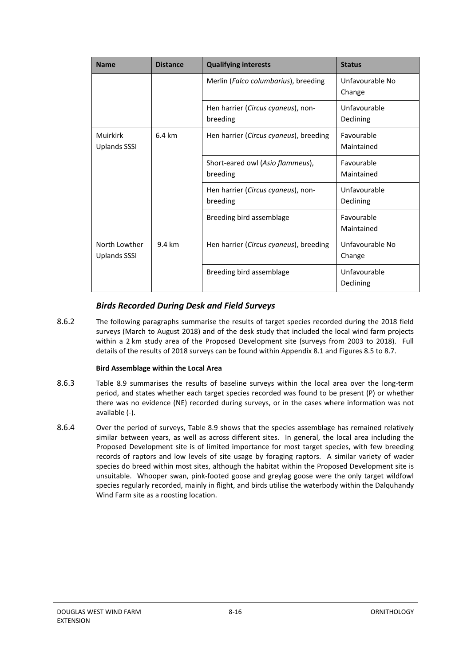| <b>Name</b>                   | <b>Distance</b> | <b>Qualifying interests</b>                    | <b>Status</b>             |
|-------------------------------|-----------------|------------------------------------------------|---------------------------|
|                               |                 | Merlin (Falco columbarius), breeding           | Unfavourable No<br>Change |
|                               |                 | Hen harrier (Circus cyaneus), non-<br>breeding | Unfavourable<br>Declining |
| Muirkirk<br>Uplands SSSI      | 6.4 km          | Hen harrier (Circus cyaneus), breeding         | Favourable<br>Maintained  |
|                               |                 | Short-eared owl (Asio flammeus),<br>breeding   | Favourable<br>Maintained  |
|                               |                 | Hen harrier (Circus cyaneus), non-<br>breeding | Unfavourable<br>Declining |
|                               |                 | Breeding bird assemblage                       | Favourable<br>Maintained  |
| North Lowther<br>Uplands SSSI | 9.4 km          | Hen harrier (Circus cyaneus), breeding         | Unfavourable No<br>Change |
|                               |                 | Breeding bird assemblage                       | Unfavourable<br>Declining |

# *Birds Recorded During Desk and Field Surveys*

8.6.2 The following paragraphs summarise the results of target species recorded during the 2018 field surveys (March to August 2018) and of the desk study that included the local wind farm projects within a 2 km study area of the Proposed Development site (surveys from 2003 to 2018). Full details of the results of 2018 surveys can be found within Appendix 8.1 and Figures 8.5 to 8.7.

# **Bird Assemblage within the Local Area**

- 8.6.3 Table 8.9 summarises the results of baseline surveys within the local area over the long-term period, and states whether each target species recorded was found to be present (P) or whether there was no evidence (NE) recorded during surveys, or in the cases where information was not available (-).
- 8.6.4 Over the period of surveys, [Table 8.9](#page-18-0) shows that the species assemblage has remained relatively similar between years, as well as across different sites. In general, the local area including the Proposed Development site is of limited importance for most target species, with few breeding records of raptors and low levels of site usage by foraging raptors. A similar variety of wader species do breed within most sites, although the habitat within the Proposed Development site is unsuitable. Whooper swan, pink-footed goose and greylag goose were the only target wildfowl species regularly recorded, mainly in flight, and birds utilise the waterbody within the Dalquhandy Wind Farm site as a roosting location.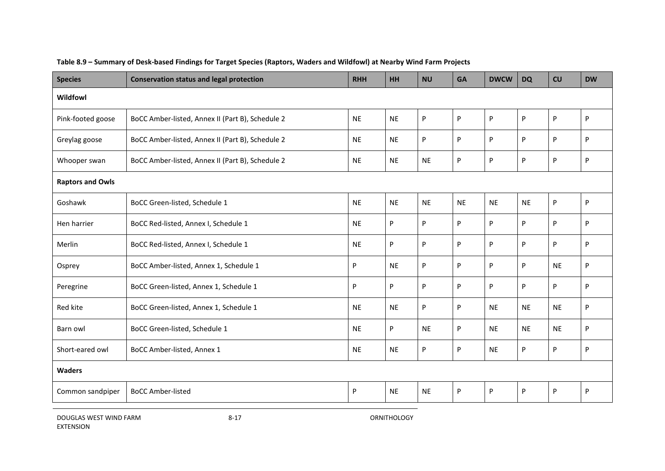<span id="page-18-0"></span>

| <b>Species</b>                                   | <b>Conservation status and legal protection</b>  | <b>NU</b> | <b>GA</b> | <b>DWCW</b> | <b>DQ</b>                 | CU           | <b>DW</b> |           |           |
|--------------------------------------------------|--------------------------------------------------|-----------|-----------|-------------|---------------------------|--------------|-----------|-----------|-----------|
| Wildfowl                                         |                                                  |           |           |             |                           |              |           |           |           |
| Pink-footed goose                                | BoCC Amber-listed, Annex II (Part B), Schedule 2 | <b>NE</b> | <b>NE</b> | P           | P                         | P            | P         | P         | P         |
| Greylag goose                                    | BoCC Amber-listed, Annex II (Part B), Schedule 2 | <b>NE</b> | <b>NE</b> | P           | P                         | P            | P         | P         | P         |
| Whooper swan                                     | BoCC Amber-listed, Annex II (Part B), Schedule 2 | <b>NE</b> | <b>NE</b> | <b>NE</b>   | $\boldsymbol{\mathsf{P}}$ | $\mathsf{P}$ | ${\sf P}$ | P         | $\sf P$   |
| <b>Raptors and Owls</b>                          |                                                  |           |           |             |                           |              |           |           |           |
| Goshawk                                          | BoCC Green-listed, Schedule 1                    | <b>NE</b> | <b>NE</b> | <b>NE</b>   | <b>NE</b>                 | <b>NE</b>    | <b>NE</b> | P         | ${\sf P}$ |
| Hen harrier                                      | BoCC Red-listed, Annex I, Schedule 1             | <b>NE</b> | P         | P           | P                         | P            | P         | P         | ${\sf P}$ |
| Merlin                                           | BoCC Red-listed, Annex I, Schedule 1             | <b>NE</b> | P         | P           | P                         | P            | P         | P         | P         |
| BoCC Amber-listed, Annex 1, Schedule 1<br>Osprey |                                                  | P         | <b>NE</b> | P           | P                         | P            | P         | <b>NE</b> | ${\sf P}$ |
| Peregrine                                        | BoCC Green-listed, Annex 1, Schedule 1           | P         | P         | P           | $\mathsf{P}$              | P            | P         | P         | ${\sf P}$ |
| Red kite                                         | BoCC Green-listed, Annex 1, Schedule 1           | <b>NE</b> | <b>NE</b> | P           | P                         | <b>NE</b>    | <b>NE</b> | <b>NE</b> | ${\sf P}$ |
| Barn owl                                         | BoCC Green-listed, Schedule 1                    | <b>NE</b> | P         | <b>NE</b>   | ${\sf P}$                 | <b>NE</b>    | <b>NE</b> | <b>NE</b> | P         |
| Short-eared owl                                  | BoCC Amber-listed, Annex 1                       | <b>NE</b> | <b>NE</b> | P           | P                         | <b>NE</b>    | P         | P         | ${\sf P}$ |
| <b>Waders</b>                                    |                                                  |           |           |             |                           |              |           |           |           |
| Common sandpiper                                 | <b>BoCC Amber-listed</b>                         | P         | <b>NE</b> | <b>NE</b>   | $\sf P$                   | P            | P         | P         | ${\sf P}$ |

# **Table 8.9 – Summary of Desk-based Findings for Target Species (Raptors, Waders and Wildfowl) at Nearby Wind Farm Projects**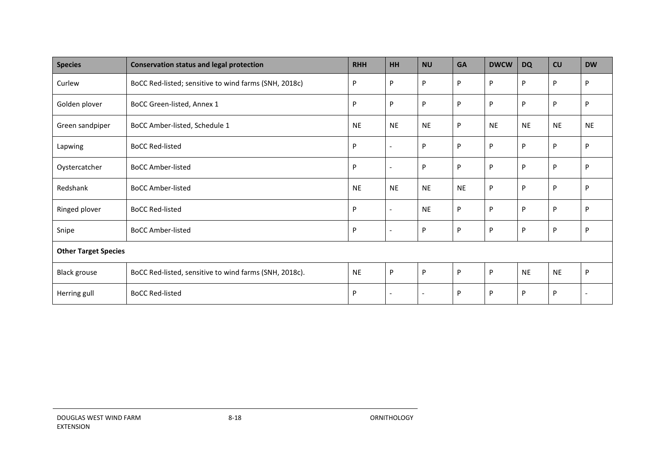| <b>Species</b>              | <b>Conservation status and legal protection</b>        | <b>RHH</b> | <b>HH</b>                | <b>NU</b>                | <b>GA</b>    | <b>DWCW</b> | <b>DQ</b> | CU        | <b>DW</b> |
|-----------------------------|--------------------------------------------------------|------------|--------------------------|--------------------------|--------------|-------------|-----------|-----------|-----------|
| Curlew                      | BoCC Red-listed; sensitive to wind farms (SNH, 2018c)  | P          | P                        | P                        | P            | P           | P         | P         | ${\sf P}$ |
| Golden plover               | BoCC Green-listed, Annex 1                             | P          | P                        | P                        | P            | P           | P         | P         | P         |
| Green sandpiper             | BoCC Amber-listed, Schedule 1                          |            | <b>NE</b>                | <b>NE</b>                | P            | <b>NE</b>   | <b>NE</b> | <b>NE</b> | <b>NE</b> |
| Lapwing                     | <b>BoCC Red-listed</b>                                 |            | $\overline{\phantom{a}}$ | P                        | P            | P           | P         | P         | P         |
| Oystercatcher               | <b>BoCC Amber-listed</b>                               |            | $\overline{\phantom{a}}$ | P                        | $\mathsf{P}$ | P           | P         | P         | ${\sf P}$ |
| Redshank                    | <b>BoCC Amber-listed</b>                               |            | <b>NE</b>                | <b>NE</b>                | <b>NE</b>    | P           | P         | P         | P         |
| Ringed plover               | <b>BoCC Red-listed</b>                                 |            | $\overline{\phantom{a}}$ | <b>NE</b>                | $\mathsf{P}$ | P           | P         | P         | P         |
| Snipe                       | <b>BoCC Amber-listed</b>                               |            | $\overline{\phantom{a}}$ | P                        | $\mathsf{P}$ | P           | P         | P         | ${\sf P}$ |
| <b>Other Target Species</b> |                                                        |            |                          |                          |              |             |           |           |           |
| <b>Black grouse</b>         | BoCC Red-listed, sensitive to wind farms (SNH, 2018c). |            | P                        | P                        | $\mathsf{P}$ | P           | <b>NE</b> | <b>NE</b> | P         |
| Herring gull                | <b>BoCC Red-listed</b>                                 |            | $\overline{\phantom{a}}$ | $\overline{\phantom{a}}$ | P            | P           | P         | P         |           |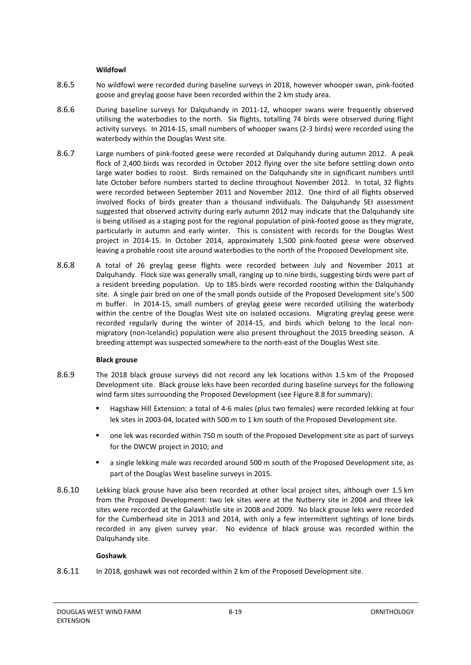#### **Wildfowl**

- 8.6.5 No wildfowl were recorded during baseline surveys in 2018, however whooper swan, pink-footed goose and greylag goose have been recorded within the 2 km study area.
- 8.6.6 During baseline surveys for Dalquhandy in 2011-12, whooper swans were frequently observed utilising the waterbodies to the north. Six flights, totalling 74 birds were observed during flight activity surveys. In 2014-15, small numbers of whooper swans (2-3 birds) were recorded using the waterbody within the Douglas West site.
- 8.6.7 Large numbers of pink-footed geese were recorded at Dalquhandy during autumn 2012. A peak flock of 2,400 birds was recorded in October 2012 flying over the site before settling down onto large water bodies to roost. Birds remained on the Dalquhandy site in significant numbers until late October before numbers started to decline throughout November 2012. In total, 32 flights were recorded between September 2011 and November 2012. One third of all flights observed involved flocks of birds greater than a thousand individuals. The Dalquhandy SEI assessment suggested that observed activity during early autumn 2012 may indicate that the Dalquhandy site is being utilised as a staging post for the regional population of pink-footed goose as they migrate, particularly in autumn and early winter. This is consistent with records for the Douglas West project in 2014-15. In October 2014, approximately 1,500 pink-footed geese were observed leaving a probable roost site around waterbodies to the north of the Proposed Development site.
- 8.6.8 A total of 26 greylag geese flights were recorded between July and November 2011 at Dalquhandy. Flock size was generally small, ranging up to nine birds, suggesting birds were part of a resident breeding population. Up to 185 birds were recorded roosting within the Dalquhandy site. A single pair bred on one of the small ponds outside of the Proposed Development site's 500 m buffer. In 2014-15, small numbers of greylag geese were recorded utilising the waterbody within the centre of the Douglas West site on isolated occasions. Migrating greylag geese were recorded regularly during the winter of 2014-15, and birds which belong to the local nonmigratory (non-Icelandic) population were also present throughout the 2015 breeding season. A breeding attempt was suspected somewhere to the north-east of the Douglas West site.

# **Black grouse**

- 8.6.9 The 2018 black grouse surveys did not record any lek locations within 1.5 km of the Proposed Development site. Black grouse leks have been recorded during baseline surveys for the following wind farm sites surrounding the Proposed Development (see Figure 8.8 for summary):
	- **Hagshaw Hill Extension: a total of 4-6 males (plus two females) were recorded lekking at four** lek sites in 2003-04, located with 500 m to 1 km south of the Proposed Development site.
	- one lek was recorded within 750 m south of the Proposed Development site as part of surveys for the DWCW project in 2010; and
	- a single lekking male was recorded around 500 m south of the Proposed Development site, as part of the Douglas West baseline surveys in 2015.
- 8.6.10 Lekking black grouse have also been recorded at other local project sites, although over 1.5 km from the Proposed Development: two lek sites were at the Nutberry site in 2004 and three lek sites were recorded at the Galawhistle site in 2008 and 2009. No black grouse leks were recorded for the Cumberhead site in 2013 and 2014, with only a few intermittent sightings of lone birds recorded in any given survey year. No evidence of black grouse was recorded within the Dalquhandy site.

#### **Goshawk**

8.6.11 In 2018, goshawk was not recorded within 2 km of the Proposed Development site.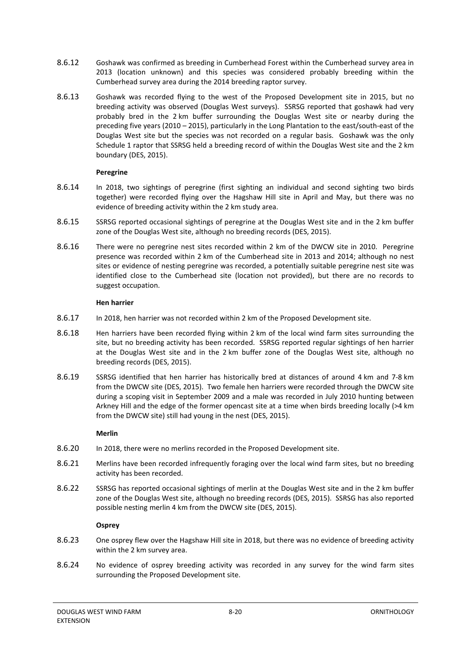- 8.6.12 Goshawk was confirmed as breeding in Cumberhead Forest within the Cumberhead survey area in 2013 (location unknown) and this species was considered probably breeding within the Cumberhead survey area during the 2014 breeding raptor survey.
- 8.6.13 Goshawk was recorded flying to the west of the Proposed Development site in 2015, but no breeding activity was observed (Douglas West surveys). SSRSG reported that goshawk had very probably bred in the 2 km buffer surrounding the Douglas West site or nearby during the preceding five years (2010 – 2015), particularly in the Long Plantation to the east/south-east of the Douglas West site but the species was not recorded on a regular basis. Goshawk was the only Schedule 1 raptor that SSRSG held a breeding record of within the Douglas West site and the 2 km boundary (DES, 2015).

# **Peregrine**

- 8.6.14 In 2018, two sightings of peregrine (first sighting an individual and second sighting two birds together) were recorded flying over the Hagshaw Hill site in April and May, but there was no evidence of breeding activity within the 2 km study area.
- 8.6.15 SSRSG reported occasional sightings of peregrine at the Douglas West site and in the 2 km buffer zone of the Douglas West site, although no breeding records (DES, 2015).
- 8.6.16 There were no peregrine nest sites recorded within 2 km of the DWCW site in 2010. Peregrine presence was recorded within 2 km of the Cumberhead site in 2013 and 2014; although no nest sites or evidence of nesting peregrine was recorded, a potentially suitable peregrine nest site was identified close to the Cumberhead site (location not provided), but there are no records to suggest occupation.

# **Hen harrier**

- 8.6.17 In 2018, hen harrier was not recorded within 2 km of the Proposed Development site.
- 8.6.18 Hen harriers have been recorded flying within 2 km of the local wind farm sites surrounding the site, but no breeding activity has been recorded. SSRSG reported regular sightings of hen harrier at the Douglas West site and in the 2 km buffer zone of the Douglas West site, although no breeding records (DES, 2015).
- 8.6.19 SSRSG identified that hen harrier has historically bred at distances of around 4 km and 7-8 km from the DWCW site (DES, 2015). Two female hen harriers were recorded through the DWCW site during a scoping visit in September 2009 and a male was recorded in July 2010 hunting between Arkney Hill and the edge of the former opencast site at a time when birds breeding locally (>4 km from the DWCW site) still had young in the nest (DES, 2015).

# **Merlin**

- 8.6.20 In 2018, there were no merlins recorded in the Proposed Development site.
- 8.6.21 Merlins have been recorded infrequently foraging over the local wind farm sites, but no breeding activity has been recorded.
- 8.6.22 SSRSG has reported occasional sightings of merlin at the Douglas West site and in the 2 km buffer zone of the Douglas West site, although no breeding records (DES, 2015). SSRSG has also reported possible nesting merlin 4 km from the DWCW site (DES, 2015).

# **Osprey**

- 8.6.23 One osprey flew over the Hagshaw Hill site in 2018, but there was no evidence of breeding activity within the 2 km survey area.
- 8.6.24 No evidence of osprey breeding activity was recorded in any survey for the wind farm sites surrounding the Proposed Development site.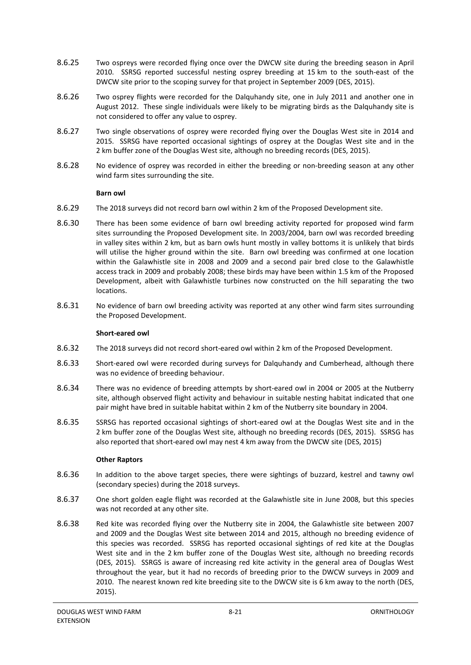- 8.6.25 Two ospreys were recorded flying once over the DWCW site during the breeding season in April 2010. SSRSG reported successful nesting osprey breeding at 15 km to the south-east of the DWCW site prior to the scoping survey for that project in September 2009 (DES, 2015).
- 8.6.26 Two osprey flights were recorded for the Dalquhandy site, one in July 2011 and another one in August 2012. These single individuals were likely to be migrating birds as the Dalquhandy site is not considered to offer any value to osprey.
- 8.6.27 Two single observations of osprey were recorded flying over the Douglas West site in 2014 and 2015. SSRSG have reported occasional sightings of osprey at the Douglas West site and in the 2 km buffer zone of the Douglas West site, although no breeding records (DES, 2015).
- 8.6.28 No evidence of osprey was recorded in either the breeding or non-breeding season at any other wind farm sites surrounding the site.

#### **Barn owl**

- 8.6.29 The 2018 surveys did not record barn owl within 2 km of the Proposed Development site.
- 8.6.30 There has been some evidence of barn owl breeding activity reported for proposed wind farm sites surrounding the Proposed Development site. In 2003/2004, barn owl was recorded breeding in valley sites within 2 km, but as barn owls hunt mostly in valley bottoms it is unlikely that birds will utilise the higher ground within the site. Barn owl breeding was confirmed at one location within the Galawhistle site in 2008 and 2009 and a second pair bred close to the Galawhistle access track in 2009 and probably 2008; these birds may have been within 1.5 km of the Proposed Development, albeit with Galawhistle turbines now constructed on the hill separating the two locations.
- 8.6.31 No evidence of barn owl breeding activity was reported at any other wind farm sites surrounding the Proposed Development.

#### **Short-eared owl**

- 8.6.32 The 2018 surveys did not record short-eared owl within 2 km of the Proposed Development.
- 8.6.33 Short-eared owl were recorded during surveys for Dalquhandy and Cumberhead, although there was no evidence of breeding behaviour.
- 8.6.34 There was no evidence of breeding attempts by short-eared owl in 2004 or 2005 at the Nutberry site, although observed flight activity and behaviour in suitable nesting habitat indicated that one pair might have bred in suitable habitat within 2 km of the Nutberry site boundary in 2004.
- 8.6.35 SSRSG has reported occasional sightings of short-eared owl at the Douglas West site and in the 2 km buffer zone of the Douglas West site, although no breeding records (DES, 2015). SSRSG has also reported that short-eared owl may nest 4 km away from the DWCW site (DES, 2015)

# **Other Raptors**

- 8.6.36 In addition to the above target species, there were sightings of buzzard, kestrel and tawny owl (secondary species) during the 2018 surveys.
- 8.6.37 One short golden eagle flight was recorded at the Galawhistle site in June 2008, but this species was not recorded at any other site.
- 8.6.38 Red kite was recorded flying over the Nutberry site in 2004, the Galawhistle site between 2007 and 2009 and the Douglas West site between 2014 and 2015, although no breeding evidence of this species was recorded. SSRSG has reported occasional sightings of red kite at the Douglas West site and in the 2 km buffer zone of the Douglas West site, although no breeding records (DES, 2015). SSRGS is aware of increasing red kite activity in the general area of Douglas West throughout the year, but it had no records of breeding prior to the DWCW surveys in 2009 and 2010. The nearest known red kite breeding site to the DWCW site is 6 km away to the north (DES, 2015).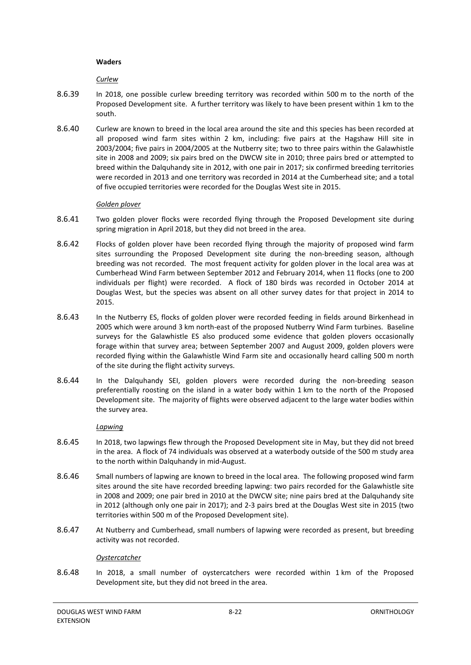#### **Waders**

*Curlew* 

- 8.6.39 In 2018, one possible curlew breeding territory was recorded within 500 m to the north of the Proposed Development site. A further territory was likely to have been present within 1 km to the south.
- 8.6.40 Curlew are known to breed in the local area around the site and this species has been recorded at all proposed wind farm sites within 2 km, including: five pairs at the Hagshaw Hill site in 2003/2004; five pairs in 2004/2005 at the Nutberry site; two to three pairs within the Galawhistle site in 2008 and 2009; six pairs bred on the DWCW site in 2010; three pairs bred or attempted to breed within the Dalquhandy site in 2012, with one pair in 2017; six confirmed breeding territories were recorded in 2013 and one territory was recorded in 2014 at the Cumberhead site; and a total of five occupied territories were recorded for the Douglas West site in 2015.

# *Golden plover*

- 8.6.41 Two golden plover flocks were recorded flying through the Proposed Development site during spring migration in April 2018, but they did not breed in the area.
- 8.6.42 Flocks of golden plover have been recorded flying through the majority of proposed wind farm sites surrounding the Proposed Development site during the non-breeding season, although breeding was not recorded. The most frequent activity for golden plover in the local area was at Cumberhead Wind Farm between September 2012 and February 2014, when 11 flocks (one to 200 individuals per flight) were recorded. A flock of 180 birds was recorded in October 2014 at Douglas West, but the species was absent on all other survey dates for that project in 2014 to 2015.
- 8.6.43 In the Nutberry ES, flocks of golden plover were recorded feeding in fields around Birkenhead in 2005 which were around 3 km north-east of the proposed Nutberry Wind Farm turbines. Baseline surveys for the Galawhistle ES also produced some evidence that golden plovers occasionally forage within that survey area; between September 2007 and August 2009, golden plovers were recorded flying within the Galawhistle Wind Farm site and occasionally heard calling 500 m north of the site during the flight activity surveys.
- 8.6.44 In the Dalquhandy SEI, golden plovers were recorded during the non-breeding season preferentially roosting on the island in a water body within 1 km to the north of the Proposed Development site. The majority of flights were observed adjacent to the large water bodies within the survey area.

# *Lapwing*

- 8.6.45 In 2018, two lapwings flew through the Proposed Development site in May, but they did not breed in the area. A flock of 74 individuals was observed at a waterbody outside of the 500 m study area to the north within Dalquhandy in mid-August.
- 8.6.46 Small numbers of lapwing are known to breed in the local area. The following proposed wind farm sites around the site have recorded breeding lapwing: two pairs recorded for the Galawhistle site in 2008 and 2009; one pair bred in 2010 at the DWCW site; nine pairs bred at the Dalquhandy site in 2012 (although only one pair in 2017); and 2-3 pairs bred at the Douglas West site in 2015 (two territories within 500 m of the Proposed Development site).
- 8.6.47 At Nutberry and Cumberhead, small numbers of lapwing were recorded as present, but breeding activity was not recorded.

# *Oystercatcher*

8.6.48 In 2018, a small number of oystercatchers were recorded within 1 km of the Proposed Development site, but they did not breed in the area.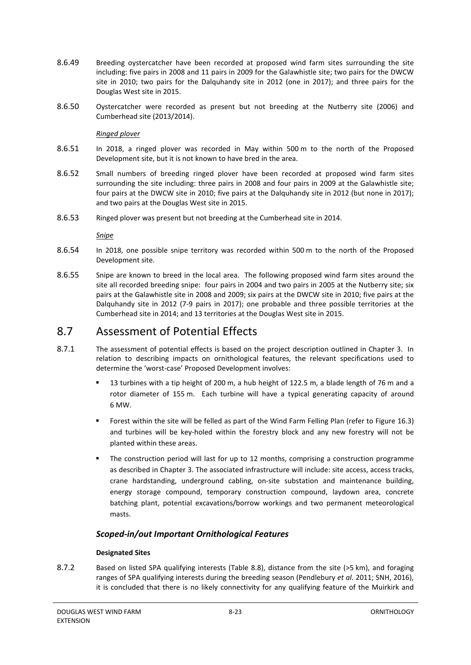- 8.6.49 Breeding oystercatcher have been recorded at proposed wind farm sites surrounding the site including: five pairs in 2008 and 11 pairs in 2009 for the Galawhistle site; two pairs for the DWCW site in 2010; two pairs for the Dalquhandy site in 2012 (one in 2017); and three pairs for the Douglas West site in 2015.
- 8.6.50 Oystercatcher were recorded as present but not breeding at the Nutberry site (2006) and Cumberhead site (2013/2014).

# *Ringed plover*

- 8.6.51 In 2018, a ringed plover was recorded in May within 500 m to the north of the Proposed Development site, but it is not known to have bred in the area.
- 8.6.52 Small numbers of breeding ringed plover have been recorded at proposed wind farm sites surrounding the site including: three pairs in 2008 and four pairs in 2009 at the Galawhistle site; four pairs at the DWCW site in 2010; five pairs at the Dalquhandy site in 2012 (but none in 2017); and two pairs at the Douglas West site in 2015.
- 8.6.53 Ringed plover was present but not breeding at the Cumberhead site in 2014.

*Snipe*

- 8.6.54 In 2018, one possible snipe territory was recorded within 500 m to the north of the Proposed Development site.
- 8.6.55 Snipe are known to breed in the local area. The following proposed wind farm sites around the site all recorded breeding snipe: four pairs in 2004 and two pairs in 2005 at the Nutberry site; six pairs at the Galawhistle site in 2008 and 2009; six pairs at the DWCW site in 2010; five pairs at the Dalquhandy site in 2012 (7-9 pairs in 2017); one probable and three possible territories at the Cumberhead site in 2014; and 13 territories at the Douglas West site in 2015.

# <span id="page-24-0"></span>8.7 Assessment of Potential Effects

- 8.7.1 The assessment of potential effects is based on the project description outlined in Chapter 3. In relation to describing impacts on ornithological features, the relevant specifications used to determine the 'worst-case' Proposed Development involves:
	- 13 turbines with a tip height of 200 m, a hub height of 122.5 m, a blade length of 76 m and a rotor diameter of 155 m. Each turbine will have a typical generating capacity of around 6 MW.
	- Forest within the site will be felled as part of the Wind Farm Felling Plan (refer to Figure 16.3) and turbines will be key-holed within the forestry block and any new forestry will not be planted within these areas.
	- The construction period will last for up to 12 months, comprising a construction programme as described in Chapter 3. The associated infrastructure will include: site access, access tracks, crane hardstanding, underground cabling, on-site substation and maintenance building, energy storage compound, temporary construction compound, laydown area, concrete batching plant, potential excavations/borrow workings and two permanent meteorological masts.

# *Scoped-in/out Important Ornithological Features*

# **Designated Sites**

8.7.2 Based on listed SPA qualifying interests [\(Table 8.8\)](#page-16-1), distance from the site (>5 km), and foraging ranges of SPA qualifying interests during the breeding season (Pendlebury *et al.* 2011; SNH, 2016), it is concluded that there is no likely connectivity for any qualifying feature of the Muirkirk and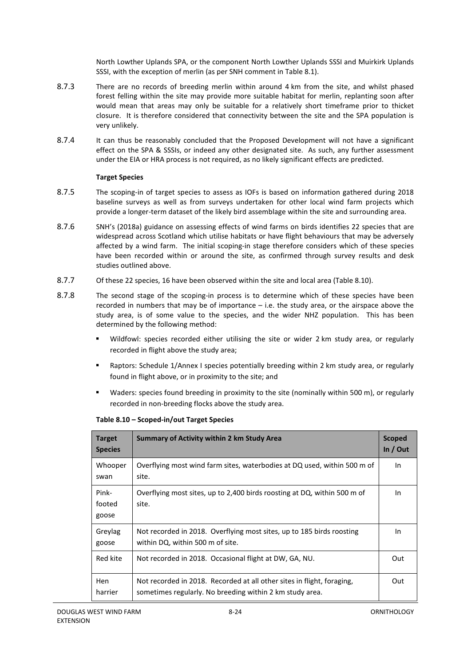North Lowther Uplands SPA, or the component North Lowther Uplands SSSI and Muirkirk Uplands SSSI, with the exception of merlin (as per SNH comment in [Table 8.1\)](#page-4-1).

- 8.7.3 There are no records of breeding merlin within around 4 km from the site, and whilst phased forest felling within the site may provide more suitable habitat for merlin, replanting soon after would mean that areas may only be suitable for a relatively short timeframe prior to thicket closure. It is therefore considered that connectivity between the site and the SPA population is very unlikely.
- 8.7.4 It can thus be reasonably concluded that the Proposed Development will not have a significant effect on the SPA & SSSIs, or indeed any other designated site. As such, any further assessment under the EIA or HRA process is not required, as no likely significant effects are predicted.

# **Target Species**

- 8.7.5 The scoping-in of target species to assess as IOFs is based on information gathered during 2018 baseline surveys as well as from surveys undertaken for other local wind farm projects which provide a longer-term dataset of the likely bird assemblage within the site and surrounding area.
- 8.7.6 SNH's (2018a) guidance on assessing effects of wind farms on birds identifies 22 species that are widespread across Scotland which utilise habitats or have flight behaviours that may be adversely affected by a wind farm. The initial scoping-in stage therefore considers which of these species have been recorded within or around the site, as confirmed through survey results and desk studies outlined above.
- 8.7.7 Of these 22 species, 16 have been observed within the site and local area [\(Table 8.10\)](#page-25-0).
- 8.7.8 The second stage of the scoping-in process is to determine which of these species have been recorded in numbers that may be of importance – i.e. the study area, or the airspace above the study area, is of some value to the species, and the wider NHZ population. This has been determined by the following method:
	- Wildfowl: species recorded either utilising the site or wider 2 km study area, or regularly recorded in flight above the study area;
	- Raptors: Schedule 1/Annex I species potentially breeding within 2 km study area, or regularly found in flight above, or in proximity to the site; and
	- Waders: species found breeding in proximity to the site (nominally within 500 m), or regularly recorded in non-breeding flocks above the study area.

| <b>Target</b><br><b>Species</b> | <b>Summary of Activity within 2 km Study Area</b>                                                                                  | <b>Scoped</b><br>In / Out |
|---------------------------------|------------------------------------------------------------------------------------------------------------------------------------|---------------------------|
| Whooper<br>swan                 | Overflying most wind farm sites, waterbodies at DQ used, within 500 m of<br>site.                                                  | In.                       |
| Pink-<br>footed<br>goose        | Overflying most sites, up to 2,400 birds roosting at DQ, within 500 m of<br>site.                                                  | In.                       |
| Greylag<br>goose                | Not recorded in 2018. Overflying most sites, up to 185 birds roosting<br>within DQ, within 500 m of site.                          | In.                       |
| Red kite                        | Not recorded in 2018. Occasional flight at DW, GA, NU.                                                                             | Out                       |
| <b>Hen</b><br>harrier           | Not recorded in 2018. Recorded at all other sites in flight, foraging,<br>sometimes regularly. No breeding within 2 km study area. | Out                       |

<span id="page-25-0"></span>**Table 8.10 – Scoped-in/out Target Species**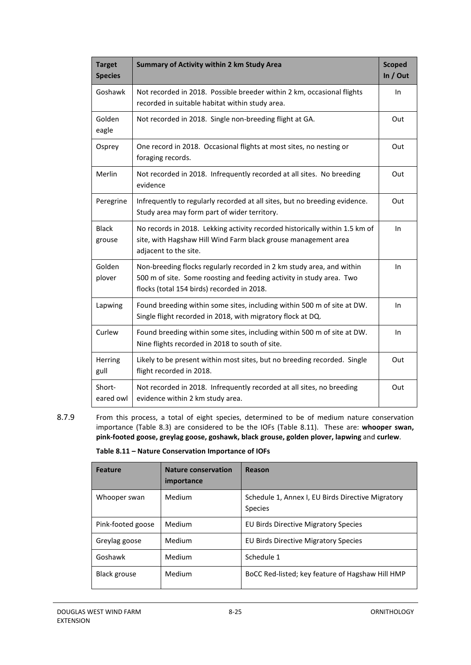| <b>Target</b><br><b>Species</b> | Summary of Activity within 2 km Study Area                                                                                                                                                  | <b>Scoped</b><br>In / Out |  |  |  |
|---------------------------------|---------------------------------------------------------------------------------------------------------------------------------------------------------------------------------------------|---------------------------|--|--|--|
| Goshawk                         | Not recorded in 2018. Possible breeder within 2 km, occasional flights<br>recorded in suitable habitat within study area.                                                                   | In.                       |  |  |  |
| Golden<br>eagle                 | Not recorded in 2018. Single non-breeding flight at GA.                                                                                                                                     |                           |  |  |  |
| Osprey                          | One record in 2018. Occasional flights at most sites, no nesting or<br>foraging records.                                                                                                    |                           |  |  |  |
| Merlin                          | Not recorded in 2018. Infrequently recorded at all sites. No breeding<br>evidence                                                                                                           | Out                       |  |  |  |
| Peregrine                       | Infrequently to regularly recorded at all sites, but no breeding evidence.<br>Study area may form part of wider territory.                                                                  | Out                       |  |  |  |
| <b>Black</b><br>grouse          | No records in 2018. Lekking activity recorded historically within 1.5 km of<br>site, with Hagshaw Hill Wind Farm black grouse management area<br>adjacent to the site.                      | In.                       |  |  |  |
| Golden<br>plover                | Non-breeding flocks regularly recorded in 2 km study area, and within<br>500 m of site. Some roosting and feeding activity in study area. Two<br>flocks (total 154 birds) recorded in 2018. | In                        |  |  |  |
| Lapwing                         | Found breeding within some sites, including within 500 m of site at DW.<br>Single flight recorded in 2018, with migratory flock at DQ.                                                      | In                        |  |  |  |
| Curlew                          | Found breeding within some sites, including within 500 m of site at DW.<br>Nine flights recorded in 2018 to south of site.                                                                  | In.                       |  |  |  |
| Herring<br>gull                 | Likely to be present within most sites, but no breeding recorded. Single<br>flight recorded in 2018.                                                                                        | Out                       |  |  |  |
| Short-<br>eared owl             | Not recorded in 2018. Infrequently recorded at all sites, no breeding<br>evidence within 2 km study area.                                                                                   | Out                       |  |  |  |

<span id="page-26-0"></span>8.7.9 From this process, a total of eight species, determined to be of medium nature conservation importance [\(Table 8.3\)](#page-9-0) are considered to be the IOFs [\(Table 8.11\)](#page-26-0). These are: **whooper swan, pink-footed goose, greylag goose, goshawk, black grouse, golden plover, lapwing** and **curlew**.

| Table 8.11 - Nature Conservation Importance of IOFs |  |  |  |
|-----------------------------------------------------|--|--|--|
|-----------------------------------------------------|--|--|--|

| <b>Feature</b>    | <b>Nature conservation</b><br>importance | Reason                                                              |
|-------------------|------------------------------------------|---------------------------------------------------------------------|
| Whooper swan      | Medium                                   | Schedule 1, Annex I, EU Birds Directive Migratory<br><b>Species</b> |
| Pink-footed goose | Medium                                   | EU Birds Directive Migratory Species                                |
| Greylag goose     | Medium                                   | EU Birds Directive Migratory Species                                |
| Goshawk           | Medium                                   | Schedule 1                                                          |
| Black grouse      | Medium                                   | BoCC Red-listed; key feature of Hagshaw Hill HMP                    |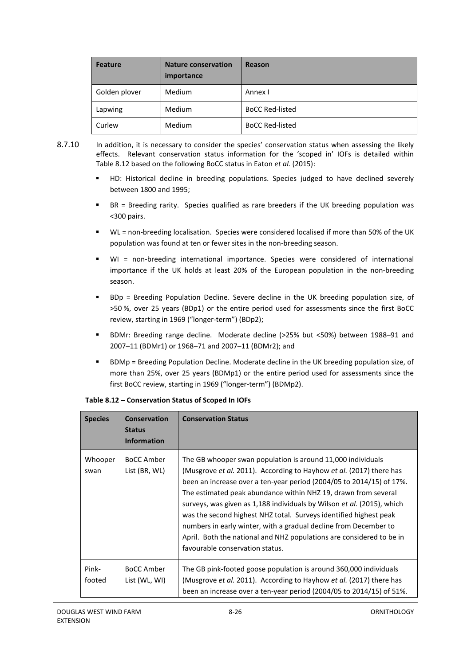| <b>Feature</b> | <b>Nature conservation</b><br>importance | Reason                 |
|----------------|------------------------------------------|------------------------|
| Golden plover  | Medium                                   | Annex I                |
| Lapwing        | Medium                                   | <b>BoCC Red-listed</b> |
| Curlew         | Medium                                   | <b>BoCC Red-listed</b> |

- 8.7.10 In addition, it is necessary to consider the species' conservation status when assessing the likely effects. Relevant conservation status information for the 'scoped in' IOFs is detailed within [Table](#page-27-0) 8.12 based on the following BoCC status in Eaton *et al.* (2015):
	- HD: Historical decline in breeding populations. Species judged to have declined severely between 1800 and 1995;
	- BR = Breeding rarity. Species qualified as rare breeders if the UK breeding population was <300 pairs.
	- WL = non-breeding localisation. Species were considered localised if more than 50% of the UK population was found at ten or fewer sites in the non-breeding season.
	- WI = non-breeding international importance. Species were considered of international importance if the UK holds at least 20% of the European population in the non-breeding season.
	- BDp = Breeding Population Decline. Severe decline in the UK breeding population size, of >50 %, over 25 years (BDp1) or the entire period used for assessments since the first BoCC review, starting in 1969 ("longer-term") (BDp2);
	- BDMr: Breeding range decline. Moderate decline (>25% but <50%) between 1988–91 and 2007–11 (BDMr1) or 1968–71 and 2007–11 (BDMr2); and
	- BDMp = Breeding Population Decline. Moderate decline in the UK breeding population size, of more than 25%, over 25 years (BDMp1) or the entire period used for assessments since the first BoCC review, starting in 1969 ("longer-term") (BDMp2).

<span id="page-27-0"></span>

| <b>Species</b>  | <b>Conservation</b><br><b>Status</b><br><b>Information</b> | <b>Conservation Status</b>                                                                                                                                                                                                                                                                                                                                                                                                                                                                                                                                                                                        |
|-----------------|------------------------------------------------------------|-------------------------------------------------------------------------------------------------------------------------------------------------------------------------------------------------------------------------------------------------------------------------------------------------------------------------------------------------------------------------------------------------------------------------------------------------------------------------------------------------------------------------------------------------------------------------------------------------------------------|
| Whooper<br>swan | BoCC Amber<br>List (BR, WL)                                | The GB whooper swan population is around 11,000 individuals<br>(Musgrove et al. 2011). According to Hayhow et al. (2017) there has<br>been an increase over a ten-year period (2004/05 to 2014/15) of 17%.<br>The estimated peak abundance within NHZ 19, drawn from several<br>surveys, was given as 1,188 individuals by Wilson <i>et al.</i> (2015), which<br>was the second highest NHZ total. Surveys identified highest peak<br>numbers in early winter, with a gradual decline from December to<br>April. Both the national and NHZ populations are considered to be in<br>favourable conservation status. |
| Pink-<br>footed | <b>BoCC Amber</b><br>List (WL, WI)                         | The GB pink-footed goose population is around 360,000 individuals<br>(Musgrove et al. 2011). According to Hayhow et al. (2017) there has<br>been an increase over a ten-year period (2004/05 to 2014/15) of 51%.                                                                                                                                                                                                                                                                                                                                                                                                  |

# **Table 8.12 – Conservation Status of Scoped In IOFs**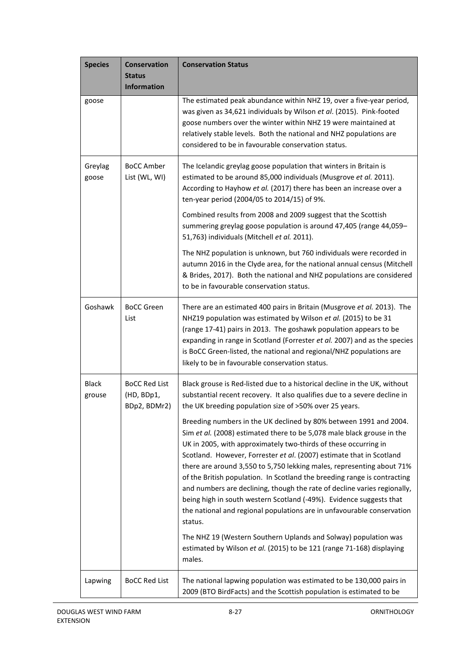| <b>Species</b>         | <b>Conservation</b><br><b>Status</b><br><b>Information</b> | <b>Conservation Status</b>                                                                                                                                                                                                                                                                                                                                                                                                                                                                                                                                                                                                                                                          |
|------------------------|------------------------------------------------------------|-------------------------------------------------------------------------------------------------------------------------------------------------------------------------------------------------------------------------------------------------------------------------------------------------------------------------------------------------------------------------------------------------------------------------------------------------------------------------------------------------------------------------------------------------------------------------------------------------------------------------------------------------------------------------------------|
| goose                  |                                                            | The estimated peak abundance within NHZ 19, over a five-year period,<br>was given as 34,621 individuals by Wilson et al. (2015). Pink-footed<br>goose numbers over the winter within NHZ 19 were maintained at<br>relatively stable levels. Both the national and NHZ populations are<br>considered to be in favourable conservation status.                                                                                                                                                                                                                                                                                                                                        |
| Greylag<br>goose       | <b>BoCC Amber</b><br>List (WL, WI)                         | The Icelandic greylag goose population that winters in Britain is<br>estimated to be around 85,000 individuals (Musgrove et al. 2011).<br>According to Hayhow et al. (2017) there has been an increase over a<br>ten-year period (2004/05 to 2014/15) of 9%.<br>Combined results from 2008 and 2009 suggest that the Scottish<br>summering greylag goose population is around 47,405 (range 44,059-                                                                                                                                                                                                                                                                                 |
|                        |                                                            | 51,763) individuals (Mitchell et al. 2011).<br>The NHZ population is unknown, but 760 individuals were recorded in<br>autumn 2016 in the Clyde area, for the national annual census (Mitchell<br>& Brides, 2017). Both the national and NHZ populations are considered<br>to be in favourable conservation status.                                                                                                                                                                                                                                                                                                                                                                  |
| Goshawk                | <b>BoCC Green</b><br>List                                  | There are an estimated 400 pairs in Britain (Musgrove et al. 2013). The<br>NHZ19 population was estimated by Wilson et al. (2015) to be 31<br>(range 17-41) pairs in 2013. The goshawk population appears to be<br>expanding in range in Scotland (Forrester et al. 2007) and as the species<br>is BoCC Green-listed, the national and regional/NHZ populations are<br>likely to be in favourable conservation status.                                                                                                                                                                                                                                                              |
| <b>Black</b><br>grouse | <b>BoCC Red List</b><br>(HD, BDp1,<br>BDp2, BDMr2)         | Black grouse is Red-listed due to a historical decline in the UK, without<br>substantial recent recovery. It also qualifies due to a severe decline in<br>the UK breeding population size of >50% over 25 years.                                                                                                                                                                                                                                                                                                                                                                                                                                                                    |
|                        |                                                            | Breeding numbers in the UK declined by 80% between 1991 and 2004.<br>Sim et al. (2008) estimated there to be 5,078 male black grouse in the<br>UK in 2005, with approximately two-thirds of these occurring in<br>Scotland. However, Forrester et al. (2007) estimate that in Scotland<br>there are around 3,550 to 5,750 lekking males, representing about 71%<br>of the British population. In Scotland the breeding range is contracting<br>and numbers are declining, though the rate of decline varies regionally,<br>being high in south western Scotland (-49%). Evidence suggests that<br>the national and regional populations are in unfavourable conservation<br>status. |
|                        |                                                            | The NHZ 19 (Western Southern Uplands and Solway) population was<br>estimated by Wilson et al. (2015) to be 121 (range 71-168) displaying<br>males.                                                                                                                                                                                                                                                                                                                                                                                                                                                                                                                                  |
| Lapwing                | <b>BoCC Red List</b>                                       | The national lapwing population was estimated to be 130,000 pairs in<br>2009 (BTO BirdFacts) and the Scottish population is estimated to be                                                                                                                                                                                                                                                                                                                                                                                                                                                                                                                                         |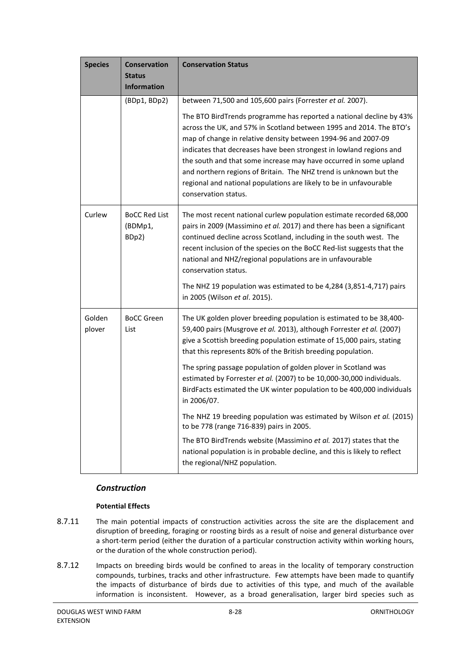| <b>Species</b>   | <b>Conservation</b><br><b>Status</b><br><b>Information</b> | <b>Conservation Status</b>                                                                                                                                                                                                                                                                                                                                                                                                                          |
|------------------|------------------------------------------------------------|-----------------------------------------------------------------------------------------------------------------------------------------------------------------------------------------------------------------------------------------------------------------------------------------------------------------------------------------------------------------------------------------------------------------------------------------------------|
|                  | (BDp1, BDp2)                                               | between 71,500 and 105,600 pairs (Forrester et al. 2007).<br>The BTO BirdTrends programme has reported a national decline by 43%                                                                                                                                                                                                                                                                                                                    |
|                  |                                                            | across the UK, and 57% in Scotland between 1995 and 2014. The BTO's<br>map of change in relative density between 1994-96 and 2007-09<br>indicates that decreases have been strongest in lowland regions and<br>the south and that some increase may have occurred in some upland<br>and northern regions of Britain. The NHZ trend is unknown but the<br>regional and national populations are likely to be in unfavourable<br>conservation status. |
| Curlew           | <b>BoCC Red List</b><br>(BDMp1,<br>BDp2)                   | The most recent national curlew population estimate recorded 68,000<br>pairs in 2009 (Massimino et al. 2017) and there has been a significant<br>continued decline across Scotland, including in the south west. The<br>recent inclusion of the species on the BoCC Red-list suggests that the<br>national and NHZ/regional populations are in unfavourable<br>conservation status.                                                                 |
|                  |                                                            | The NHZ 19 population was estimated to be 4,284 (3,851-4,717) pairs<br>in 2005 (Wilson et al. 2015).                                                                                                                                                                                                                                                                                                                                                |
| Golden<br>plover | <b>BoCC Green</b><br>List                                  | The UK golden plover breeding population is estimated to be 38,400-<br>59,400 pairs (Musgrove et al. 2013), although Forrester et al. (2007)<br>give a Scottish breeding population estimate of 15,000 pairs, stating<br>that this represents 80% of the British breeding population.                                                                                                                                                               |
|                  |                                                            | The spring passage population of golden plover in Scotland was<br>estimated by Forrester et al. (2007) to be 10,000-30,000 individuals.<br>BirdFacts estimated the UK winter population to be 400,000 individuals<br>in 2006/07.                                                                                                                                                                                                                    |
|                  |                                                            | The NHZ 19 breeding population was estimated by Wilson et al. (2015)<br>to be 778 (range 716-839) pairs in 2005.                                                                                                                                                                                                                                                                                                                                    |
|                  |                                                            | The BTO BirdTrends website (Massimino et al. 2017) states that the<br>national population is in probable decline, and this is likely to reflect<br>the regional/NHZ population.                                                                                                                                                                                                                                                                     |

# *Construction*

# **Potential Effects**

- 8.7.11 The main potential impacts of construction activities across the site are the displacement and disruption of breeding, foraging or roosting birds as a result of noise and general disturbance over a short-term period (either the duration of a particular construction activity within working hours, or the duration of the whole construction period).
- 8.7.12 Impacts on breeding birds would be confined to areas in the locality of temporary construction compounds, turbines, tracks and other infrastructure. Few attempts have been made to quantify the impacts of disturbance of birds due to activities of this type, and much of the available information is inconsistent. However, as a broad generalisation, larger bird species such as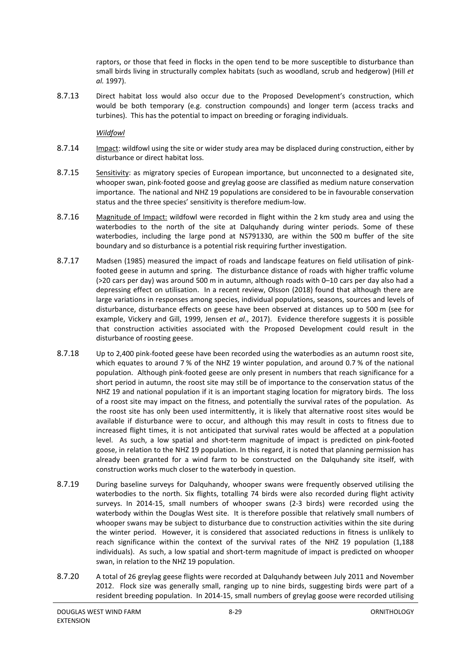raptors, or those that feed in flocks in the open tend to be more susceptible to disturbance than small birds living in structurally complex habitats (such as woodland, scrub and hedgerow) (Hill *et al.* 1997).

8.7.13 Direct habitat loss would also occur due to the Proposed Development's construction, which would be both temporary (e.g. construction compounds) and longer term (access tracks and turbines). This has the potential to impact on breeding or foraging individuals.

# *Wildfowl*

- 8.7.14 Impact: wildfowl using the site or wider study area may be displaced during construction, either by disturbance or direct habitat loss.
- 8.7.15 Sensitivity: as migratory species of European importance, but unconnected to a designated site, whooper swan, pink-footed goose and greylag goose are classified as medium nature conservation importance. The national and NHZ 19 populations are considered to be in favourable conservation status and the three species' sensitivity is therefore medium-low.
- 8.7.16 Magnitude of Impact: wildfowl were recorded in flight within the 2 km study area and using the waterbodies to the north of the site at Dalquhandy during winter periods. Some of these waterbodies, including the large pond at NS791330, are within the 500 m buffer of the site boundary and so disturbance is a potential risk requiring further investigation.
- 8.7.17 Madsen (1985) measured the impact of roads and landscape features on field utilisation of pinkfooted geese in autumn and spring. The disturbance distance of roads with higher traffic volume (>20 cars per day) was around 500 m in autumn, although roads with 0–10 cars per day also had a depressing effect on utilisation. In a recent review, Olsson (2018) found that although there are large variations in responses among species, individual populations, seasons, sources and levels of disturbance, disturbance effects on geese have been observed at distances up to 500 m (see for example, Vickery and Gill, 1999, Jensen *et al*., 2017). Evidence therefore suggests it is possible that construction activities associated with the Proposed Development could result in the disturbance of roosting geese.
- 8.7.18 Up to 2,400 pink-footed geese have been recorded using the waterbodies as an autumn roost site, which equates to around 7 % of the NHZ 19 winter population, and around 0.7 % of the national population. Although pink-footed geese are only present in numbers that reach significance for a short period in autumn, the roost site may still be of importance to the conservation status of the NHZ 19 and national population if it is an important staging location for migratory birds. The loss of a roost site may impact on the fitness, and potentially the survival rates of the population. As the roost site has only been used intermittently, it is likely that alternative roost sites would be available if disturbance were to occur, and although this may result in costs to fitness due to increased flight times, it is not anticipated that survival rates would be affected at a population level. As such, a low spatial and short-term magnitude of impact is predicted on pink-footed goose, in relation to the NHZ 19 population. In this regard, it is noted that planning permission has already been granted for a wind farm to be constructed on the Dalquhandy site itself, with construction works much closer to the waterbody in question.
- 8.7.19 During baseline surveys for Dalquhandy, whooper swans were frequently observed utilising the waterbodies to the north. Six flights, totalling 74 birds were also recorded during flight activity surveys. In 2014-15, small numbers of whooper swans (2-3 birds) were recorded using the waterbody within the Douglas West site. It is therefore possible that relatively small numbers of whooper swans may be subject to disturbance due to construction activities within the site during the winter period. However, it is considered that associated reductions in fitness is unlikely to reach significance within the context of the survival rates of the NHZ 19 population (1,188 individuals). As such, a low spatial and short-term magnitude of impact is predicted on whooper swan, in relation to the NHZ 19 population.
- 8.7.20 A total of 26 greylag geese flights were recorded at Dalquhandy between July 2011 and November 2012. Flock size was generally small, ranging up to nine birds, suggesting birds were part of a resident breeding population. In 2014-15, small numbers of greylag goose were recorded utilising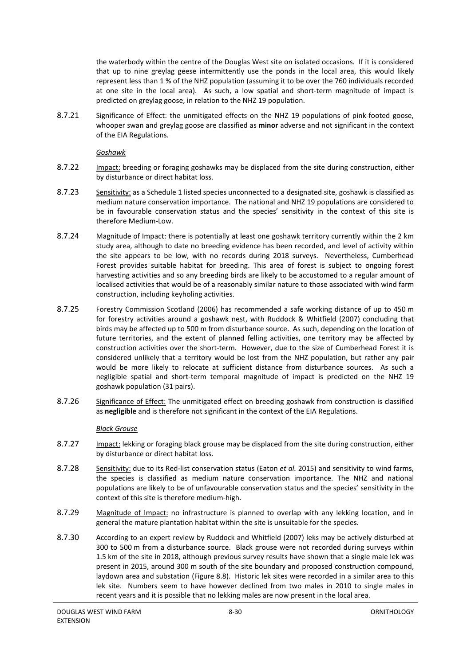the waterbody within the centre of the Douglas West site on isolated occasions. If it is considered that up to nine greylag geese intermittently use the ponds in the local area, this would likely represent less than 1 % of the NHZ population (assuming it to be over the 760 individuals recorded at one site in the local area). As such, a low spatial and short-term magnitude of impact is predicted on greylag goose, in relation to the NHZ 19 population.

8.7.21 Significance of Effect: the unmitigated effects on the NHZ 19 populations of pink-footed goose, whooper swan and greylag goose are classified as **minor** adverse and not significant in the context of the EIA Regulations.

#### *Goshawk*

- 8.7.22 Impact: breeding or foraging goshawks may be displaced from the site during construction, either by disturbance or direct habitat loss.
- 8.7.23 Sensitivity: as a Schedule 1 listed species unconnected to a designated site, goshawk is classified as medium nature conservation importance. The national and NHZ 19 populations are considered to be in favourable conservation status and the species' sensitivity in the context of this site is therefore Medium-Low.
- 8.7.24 Magnitude of Impact: there is potentially at least one goshawk territory currently within the 2 km study area, although to date no breeding evidence has been recorded, and level of activity within the site appears to be low, with no records during 2018 surveys. Nevertheless, Cumberhead Forest provides suitable habitat for breeding. This area of forest is subject to ongoing forest harvesting activities and so any breeding birds are likely to be accustomed to a regular amount of localised activities that would be of a reasonably similar nature to those associated with wind farm construction, including keyholing activities.
- 8.7.25 Forestry Commission Scotland (2006) has recommended a safe working distance of up to 450 m for forestry activities around a goshawk nest, with Ruddock & Whitfield (2007) concluding that birds may be affected up to 500 m from disturbance source. As such, depending on the location of future territories, and the extent of planned felling activities, one territory may be affected by construction activities over the short-term. However, due to the size of Cumberhead Forest it is considered unlikely that a territory would be lost from the NHZ population, but rather any pair would be more likely to relocate at sufficient distance from disturbance sources. As such a negligible spatial and short-term temporal magnitude of impact is predicted on the NHZ 19 goshawk population (31 pairs).
- 8.7.26 Significance of Effect: The unmitigated effect on breeding goshawk from construction is classified as **negligible** and is therefore not significant in the context of the EIA Regulations.

# *Black Grouse*

- 8.7.27 Impact: lekking or foraging black grouse may be displaced from the site during construction, either by disturbance or direct habitat loss.
- 8.7.28 Sensitivity: due to its Red-list conservation status (Eaton *et al.* 2015) and sensitivity to wind farms, the species is classified as medium nature conservation importance. The NHZ and national populations are likely to be of unfavourable conservation status and the species' sensitivity in the context of this site is therefore medium-high.
- 8.7.29 Magnitude of Impact: no infrastructure is planned to overlap with any lekking location, and in general the mature plantation habitat within the site is unsuitable for the species.
- 8.7.30 According to an expert review by Ruddock and Whitfield (2007) leks may be actively disturbed at 300 to 500 m from a disturbance source. Black grouse were not recorded during surveys within 1.5 km of the site in 2018, although previous survey results have shown that a single male lek was present in 2015, around 300 m south of the site boundary and proposed construction compound, laydown area and substation (Figure 8.8). Historic lek sites were recorded in a similar area to this lek site. Numbers seem to have however declined from two males in 2010 to single males in recent years and it is possible that no lekking males are now present in the local area.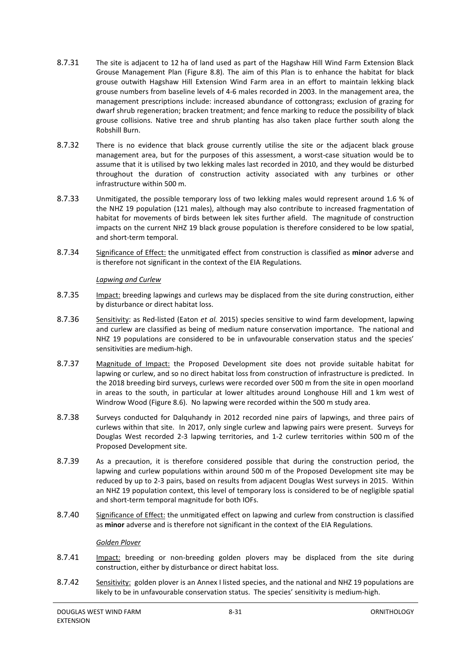- 8.7.31 The site is adjacent to 12 ha of land used as part of the Hagshaw Hill Wind Farm Extension Black Grouse Management Plan (Figure 8.8). The aim of this Plan is to enhance the habitat for black grouse outwith Hagshaw Hill Extension Wind Farm area in an effort to maintain lekking black grouse numbers from baseline levels of 4-6 males recorded in 2003. In the management area, the management prescriptions include: increased abundance of cottongrass; exclusion of grazing for dwarf shrub regeneration; bracken treatment; and fence marking to reduce the possibility of black grouse collisions. Native tree and shrub planting has also taken place further south along the Robshill Burn.
- 8.7.32 There is no evidence that black grouse currently utilise the site or the adjacent black grouse management area, but for the purposes of this assessment, a worst-case situation would be to assume that it is utilised by two lekking males last recorded in 2010, and they would be disturbed throughout the duration of construction activity associated with any turbines or other infrastructure within 500 m.
- 8.7.33 Unmitigated, the possible temporary loss of two lekking males would represent around 1.6 % of the NHZ 19 population (121 males), although may also contribute to increased fragmentation of habitat for movements of birds between lek sites further afield. The magnitude of construction impacts on the current NHZ 19 black grouse population is therefore considered to be low spatial, and short-term temporal.
- 8.7.34 Significance of Effect: the unmitigated effect from construction is classified as **minor** adverse and is therefore not significant in the context of the EIA Regulations.

#### *Lapwing and Curlew*

- 8.7.35 Impact: breeding lapwings and curlews may be displaced from the site during construction, either by disturbance or direct habitat loss.
- 8.7.36 Sensitivity: as Red-listed (Eaton *et al.* 2015) species sensitive to wind farm development, lapwing and curlew are classified as being of medium nature conservation importance. The national and NHZ 19 populations are considered to be in unfavourable conservation status and the species' sensitivities are medium-high.
- 8.7.37 Magnitude of Impact: the Proposed Development site does not provide suitable habitat for lapwing or curlew, and so no direct habitat loss from construction of infrastructure is predicted. In the 2018 breeding bird surveys, curlews were recorded over 500 m from the site in open moorland in areas to the south, in particular at lower altitudes around Longhouse Hill and 1 km west of Windrow Wood (Figure 8.6). No lapwing were recorded within the 500 m study area.
- 8.7.38 Surveys conducted for Dalquhandy in 2012 recorded nine pairs of lapwings, and three pairs of curlews within that site. In 2017, only single curlew and lapwing pairs were present. Surveys for Douglas West recorded 2-3 lapwing territories, and 1-2 curlew territories within 500 m of the Proposed Development site.
- 8.7.39 As a precaution, it is therefore considered possible that during the construction period, the lapwing and curlew populations within around 500 m of the Proposed Development site may be reduced by up to 2-3 pairs, based on results from adjacent Douglas West surveys in 2015. Within an NHZ 19 population context, this level of temporary loss is considered to be of negligible spatial and short-term temporal magnitude for both IOFs.
- 8.7.40 Significance of Effect: the unmitigated effect on lapwing and curlew from construction is classified as **minor** adverse and is therefore not significant in the context of the EIA Regulations.

#### *Golden Plover*

- 8.7.41 Impact: breeding or non-breeding golden plovers may be displaced from the site during construction, either by disturbance or direct habitat loss.
- 8.7.42 Sensitivity: golden plover is an Annex I listed species, and the national and NHZ 19 populations are likely to be in unfavourable conservation status. The species' sensitivity is medium-high.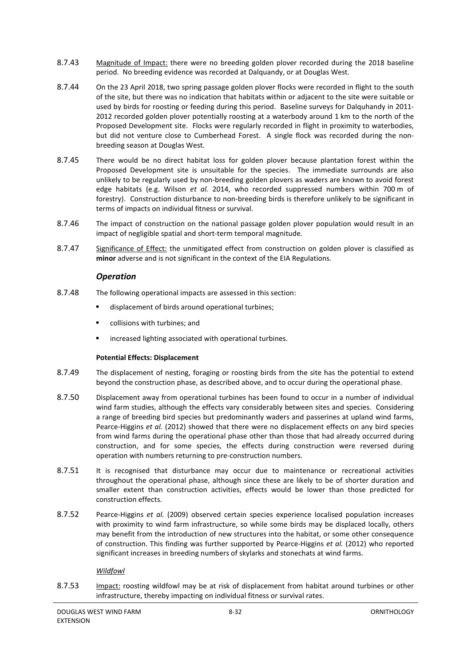- 8.7.43 Magnitude of Impact: there were no breeding golden plover recorded during the 2018 baseline period. No breeding evidence was recorded at Dalquandy, or at Douglas West.
- 8.7.44 On the 23 April 2018, two spring passage golden plover flocks were recorded in flight to the south of the site, but there was no indication that habitats within or adjacent to the site were suitable or used by birds for roosting or feeding during this period. Baseline surveys for Dalquhandy in 2011- 2012 recorded golden plover potentially roosting at a waterbody around 1 km to the north of the Proposed Development site. Flocks were regularly recorded in flight in proximity to waterbodies, but did not venture close to Cumberhead Forest. A single flock was recorded during the nonbreeding season at Douglas West.
- 8.7.45 There would be no direct habitat loss for golden plover because plantation forest within the Proposed Development site is unsuitable for the species. The immediate surrounds are also unlikely to be regularly used by non-breeding golden plovers as waders are known to avoid forest edge habitats (e.g. Wilson *et al.* 2014, who recorded suppressed numbers within 700 m of forestry). Construction disturbance to non-breeding birds is therefore unlikely to be significant in terms of impacts on individual fitness or survival.
- 8.7.46 The impact of construction on the national passage golden plover population would result in an impact of negligible spatial and short-term temporal magnitude.
- 8.7.47 Significance of Effect: the unmitigated effect from construction on golden plover is classified as **minor** adverse and is not significant in the context of the EIA Regulations.

# *Operation*

- 8.7.48 The following operational impacts are assessed in this section:
	- displacement of birds around operational turbines;
	- collisions with turbines; and
	- **EXEDENT INCREASED III Increased lighting associated with operational turbines.**

#### **Potential Effects: Displacement**

- 8.7.49 The displacement of nesting, foraging or roosting birds from the site has the potential to extend beyond the construction phase, as described above, and to occur during the operational phase.
- 8.7.50 Displacement away from operational turbines has been found to occur in a number of individual wind farm studies, although the effects vary considerably between sites and species. Considering a range of breeding bird species but predominantly waders and passerines at upland wind farms, Pearce-Higgins *et al.* (2012) showed that there were no displacement effects on any bird species from wind farms during the operational phase other than those that had already occurred during construction, and for some species, the effects during construction were reversed during operation with numbers returning to pre-construction numbers.
- 8.7.51 It is recognised that disturbance may occur due to maintenance or recreational activities throughout the operational phase, although since these are likely to be of shorter duration and smaller extent than construction activities, effects would be lower than those predicted for construction effects.
- 8.7.52 Pearce-Higgins *et al.* (2009) observed certain species experience localised population increases with proximity to wind farm infrastructure, so while some birds may be displaced locally, others may benefit from the introduction of new structures into the habitat, or some other consequence of construction. This finding was further supported by Pearce-Higgins *et al.* (2012) who reported significant increases in breeding numbers of skylarks and stonechats at wind farms.

# *Wildfowl*

8.7.53 Impact: roosting wildfowl may be at risk of displacement from habitat around turbines or other infrastructure, thereby impacting on individual fitness or survival rates.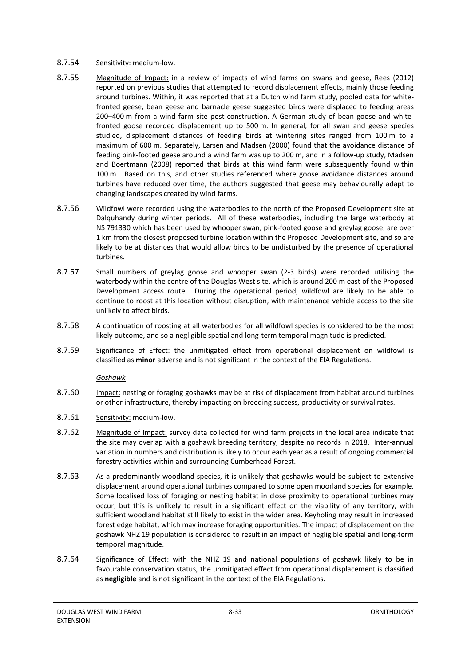#### 8.7.54 Sensitivity: medium-low.

- 8.7.55 Magnitude of Impact: in a review of impacts of wind farms on swans and geese, Rees (2012) reported on previous studies that attempted to record displacement effects, mainly those feeding around turbines. Within, it was reported that at a Dutch wind farm study, pooled data for whitefronted geese, bean geese and barnacle geese suggested birds were displaced to feeding areas 200–400 m from a wind farm site post-construction. A German study of bean goose and whitefronted goose recorded displacement up to 500 m. In general, for all swan and geese species studied, displacement distances of feeding birds at wintering sites ranged from 100 m to a maximum of 600 m. Separately, Larsen and Madsen (2000) found that the avoidance distance of feeding pink-footed geese around a wind farm was up to 200 m, and in a follow-up study, Madsen and Boertmann (2008) reported that birds at this wind farm were subsequently found within 100 m. Based on this, and other studies referenced where goose avoidance distances around turbines have reduced over time, the authors suggested that geese may behaviourally adapt to changing landscapes created by wind farms.
- 8.7.56 Wildfowl were recorded using the waterbodies to the north of the Proposed Development site at Dalquhandy during winter periods. All of these waterbodies, including the large waterbody at NS 791330 which has been used by whooper swan, pink-footed goose and greylag goose, are over 1 km from the closest proposed turbine location within the Proposed Development site, and so are likely to be at distances that would allow birds to be undisturbed by the presence of operational turbines.
- 8.7.57 Small numbers of greylag goose and whooper swan (2-3 birds) were recorded utilising the waterbody within the centre of the Douglas West site, which is around 200 m east of the Proposed Development access route. During the operational period, wildfowl are likely to be able to continue to roost at this location without disruption, with maintenance vehicle access to the site unlikely to affect birds.
- 8.7.58 A continuation of roosting at all waterbodies for all wildfowl species is considered to be the most likely outcome, and so a negligible spatial and long-term temporal magnitude is predicted.
- 8.7.59 Significance of Effect: the unmitigated effect from operational displacement on wildfowl is classified as **minor** adverse and is not significant in the context of the EIA Regulations.

# *Goshawk*

- 8.7.60 Impact: nesting or foraging goshawks may be at risk of displacement from habitat around turbines or other infrastructure, thereby impacting on breeding success, productivity or survival rates.
- 8.7.61 Sensitivity: medium-low.
- 8.7.62 Magnitude of Impact: survey data collected for wind farm projects in the local area indicate that the site may overlap with a goshawk breeding territory, despite no records in 2018. Inter-annual variation in numbers and distribution is likely to occur each year as a result of ongoing commercial forestry activities within and surrounding Cumberhead Forest.
- 8.7.63 As a predominantly woodland species, it is unlikely that goshawks would be subject to extensive displacement around operational turbines compared to some open moorland species for example. Some localised loss of foraging or nesting habitat in close proximity to operational turbines may occur, but this is unlikely to result in a significant effect on the viability of any territory, with sufficient woodland habitat still likely to exist in the wider area. Keyholing may result in increased forest edge habitat, which may increase foraging opportunities. The impact of displacement on the goshawk NHZ 19 population is considered to result in an impact of negligible spatial and long-term temporal magnitude.
- 8.7.64 Significance of Effect: with the NHZ 19 and national populations of goshawk likely to be in favourable conservation status, the unmitigated effect from operational displacement is classified as **negligible** and is not significant in the context of the EIA Regulations.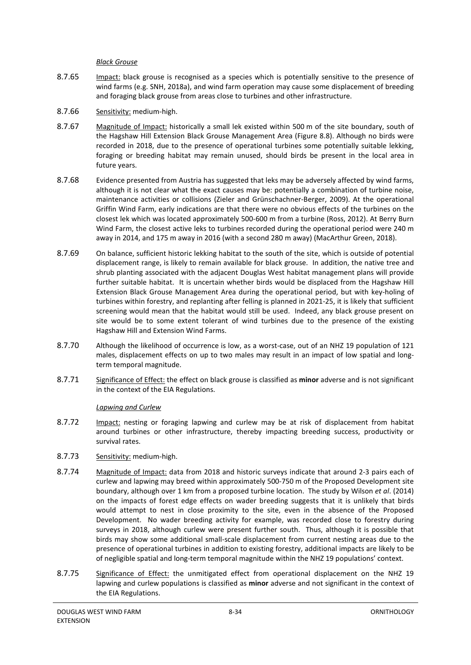*Black Grouse*

- 8.7.65 Impact: black grouse is recognised as a species which is potentially sensitive to the presence of wind farms (e.g. SNH, 2018a), and wind farm operation may cause some displacement of breeding and foraging black grouse from areas close to turbines and other infrastructure.
- 8.7.66 Sensitivity: medium-high.
- 8.7.67 Magnitude of Impact: historically a small lek existed within 500 m of the site boundary, south of the Hagshaw Hill Extension Black Grouse Management Area (Figure 8.8). Although no birds were recorded in 2018, due to the presence of operational turbines some potentially suitable lekking, foraging or breeding habitat may remain unused, should birds be present in the local area in future years.
- 8.7.68 Evidence presented from Austria has suggested that leks may be adversely affected by wind farms, although it is not clear what the exact causes may be: potentially a combination of turbine noise, maintenance activities or collisions (Zieler and Grünschachner-Berger, 2009). At the operational Griffin Wind Farm, early indications are that there were no obvious effects of the turbines on the closest lek which was located approximately 500-600 m from a turbine (Ross, 2012). At Berry Burn Wind Farm, the closest active leks to turbines recorded during the operational period were 240 m away in 2014, and 175 m away in 2016 (with a second 280 m away) (MacArthur Green, 2018).
- 8.7.69 On balance, sufficient historic lekking habitat to the south of the site, which is outside of potential displacement range, is likely to remain available for black grouse. In addition, the native tree and shrub planting associated with the adjacent Douglas West habitat management plans will provide further suitable habitat. It is uncertain whether birds would be displaced from the Hagshaw Hill Extension Black Grouse Management Area during the operational period, but with key-holing of turbines within forestry, and replanting after felling is planned in 2021-25, it is likely that sufficient screening would mean that the habitat would still be used. Indeed, any black grouse present on site would be to some extent tolerant of wind turbines due to the presence of the existing Hagshaw Hill and Extension Wind Farms.
- 8.7.70 Although the likelihood of occurrence is low, as a worst-case, out of an NHZ 19 population of 121 males, displacement effects on up to two males may result in an impact of low spatial and longterm temporal magnitude.
- 8.7.71 Significance of Effect: the effect on black grouse is classified as **minor** adverse and is not significant in the context of the EIA Regulations.

# *Lapwing and Curlew*

- 8.7.72 Impact: nesting or foraging lapwing and curlew may be at risk of displacement from habitat around turbines or other infrastructure, thereby impacting breeding success, productivity or survival rates.
- 8.7.73 Sensitivity: medium-high.
- 8.7.74 Magnitude of Impact: data from 2018 and historic surveys indicate that around 2-3 pairs each of curlew and lapwing may breed within approximately 500-750 m of the Proposed Development site boundary, although over 1 km from a proposed turbine location. The study by Wilson *et al*. (2014) on the impacts of forest edge effects on wader breeding suggests that it is unlikely that birds would attempt to nest in close proximity to the site, even in the absence of the Proposed Development. No wader breeding activity for example, was recorded close to forestry during surveys in 2018, although curlew were present further south. Thus, although it is possible that birds may show some additional small-scale displacement from current nesting areas due to the presence of operational turbines in addition to existing forestry, additional impacts are likely to be of negligible spatial and long-term temporal magnitude within the NHZ 19 populations' context.
- 8.7.75 Significance of Effect: the unmitigated effect from operational displacement on the NHZ 19 lapwing and curlew populations is classified as **minor** adverse and not significant in the context of the EIA Regulations.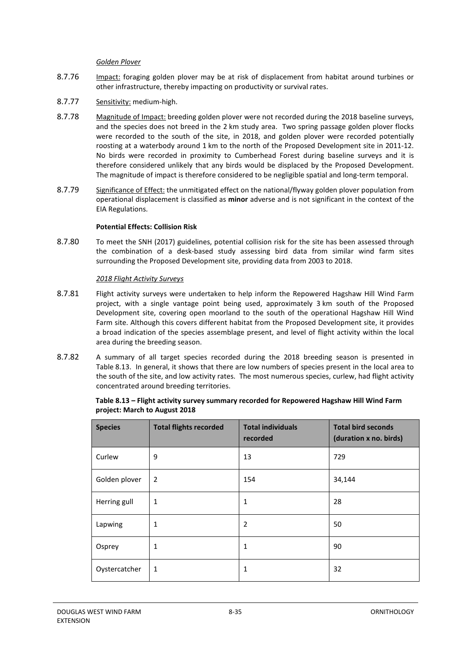*Golden Plover*

- 8.7.76 Impact: foraging golden plover may be at risk of displacement from habitat around turbines or other infrastructure, thereby impacting on productivity or survival rates.
- 8.7.77 Sensitivity: medium-high.
- 8.7.78 Magnitude of Impact: breeding golden plover were not recorded during the 2018 baseline surveys, and the species does not breed in the 2 km study area. Two spring passage golden plover flocks were recorded to the south of the site, in 2018, and golden plover were recorded potentially roosting at a waterbody around 1 km to the north of the Proposed Development site in 2011-12. No birds were recorded in proximity to Cumberhead Forest during baseline surveys and it is therefore considered unlikely that any birds would be displaced by the Proposed Development. The magnitude of impact is therefore considered to be negligible spatial and long-term temporal.
- 8.7.79 Significance of Effect: the unmitigated effect on the national/flyway golden plover population from operational displacement is classified as **minor** adverse and is not significant in the context of the EIA Regulations.

# **Potential Effects: Collision Risk**

8.7.80 To meet the SNH (2017) guidelines, potential collision risk for the site has been assessed through the combination of a desk-based study assessing bird data from similar wind farm sites surrounding the Proposed Development site, providing data from 2003 to 2018.

#### *2018 Flight Activity Surveys*

- 8.7.81 Flight activity surveys were undertaken to help inform the Repowered Hagshaw Hill Wind Farm project, with a single vantage point being used, approximately 3 km south of the Proposed Development site, covering open moorland to the south of the operational Hagshaw Hill Wind Farm site. Although this covers different habitat from the Proposed Development site, it provides a broad indication of the species assemblage present, and level of flight activity within the local area during the breeding season.
- 8.7.82 A summary of all target species recorded during the 2018 breeding season is presented in [Table](#page-36-0) 8.13. In general, it shows that there are low numbers of species present in the local area to the south of the site, and low activity rates. The most numerous species, curlew, had flight activity concentrated around breeding territories.

| <b>Species</b> | <b>Total flights recorded</b> | <b>Total individuals</b><br>recorded | <b>Total bird seconds</b><br>(duration x no. birds) |
|----------------|-------------------------------|--------------------------------------|-----------------------------------------------------|
| Curlew         | 9                             | 13                                   | 729                                                 |
| Golden plover  | 2                             | 154                                  | 34,144                                              |
| Herring gull   | 1                             | 1                                    | 28                                                  |
| Lapwing        | 1                             | $\overline{2}$                       | 50                                                  |
| Osprey         | 1                             | 1                                    | 90                                                  |
| Oystercatcher  | 1                             | 1                                    | 32                                                  |

#### <span id="page-36-0"></span>**Table 8.13 – Flight activity survey summary recorded for Repowered Hagshaw Hill Wind Farm project: March to August 2018**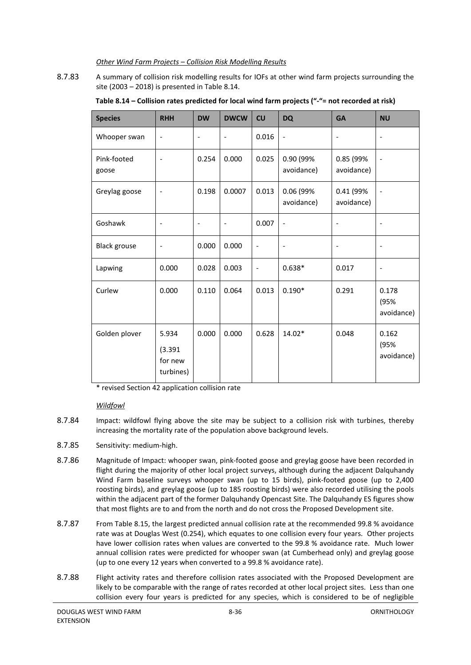*Other Wind Farm Projects – Collision Risk Modelling Results*

<span id="page-37-0"></span>8.7.83 A summary of collision risk modelling results for IOFs at other wind farm projects surrounding the site (2003 – 2018) is presented i[n Table 8.14.](#page-37-0)

| <b>Species</b>       | <b>RHH</b>                               | <b>DW</b>                | <b>DWCW</b>              | CU                       | <b>DQ</b>                | <b>GA</b>                    | <b>NU</b>                   |
|----------------------|------------------------------------------|--------------------------|--------------------------|--------------------------|--------------------------|------------------------------|-----------------------------|
| Whooper swan         | $\overline{\phantom{a}}$                 | $\overline{\phantom{a}}$ | $\overline{\phantom{a}}$ | 0.016                    | $\overline{a}$           |                              | $\overline{\phantom{a}}$    |
| Pink-footed<br>goose |                                          | 0.254                    | 0.000                    | 0.025                    | 0.90 (99%<br>avoidance)  | 0.85 (99%<br>avoidance)      | $\overline{\phantom{a}}$    |
| Greylag goose        | $\overline{\phantom{a}}$                 | 0.198                    | 0.0007                   | 0.013                    | 0.06 (99%<br>avoidance)  | 0.41 (99%<br>avoidance)      | $\qquad \qquad -$           |
| Goshawk              | $\blacksquare$                           | $\overline{\phantom{a}}$ | $\overline{\phantom{a}}$ | 0.007                    | $\overline{\phantom{a}}$ | $\qquad \qquad \blacksquare$ | $\tilde{\phantom{a}}$       |
| <b>Black grouse</b>  | $\overline{\phantom{a}}$                 | 0.000                    | 0.000                    | $\overline{\phantom{a}}$ |                          |                              |                             |
| Lapwing              | 0.000                                    | 0.028                    | 0.003                    | $\overline{\phantom{a}}$ | $0.638*$                 | 0.017                        |                             |
| Curlew               | 0.000                                    | 0.110                    | 0.064                    | 0.013                    | $0.190*$                 | 0.291                        | 0.178<br>(95%<br>avoidance) |
| Golden plover        | 5.934<br>(3.391)<br>for new<br>turbines) | 0.000                    | 0.000                    | 0.628                    | 14.02*                   | 0.048                        | 0.162<br>(95%<br>avoidance) |

**Table 8.14 – Collision rates predicted for local wind farm projects ("-"= not recorded at risk)**

\* revised Section 42 application collision rate

# *Wildfowl*

- 8.7.84 Impact: wildfowl flying above the site may be subject to a collision risk with turbines, thereby increasing the mortality rate of the population above background levels.
- 8.7.85 Sensitivity: medium-high.
- 8.7.86 Magnitude of Impact: whooper swan, pink-footed goose and greylag goose have been recorded in flight during the majority of other local project surveys, although during the adjacent Dalquhandy Wind Farm baseline surveys whooper swan (up to 15 birds), pink-footed goose (up to 2,400 roosting birds), and greylag goose (up to 185 roosting birds) were also recorded utilising the pools within the adjacent part of the former Dalquhandy Opencast Site. The Dalquhandy ES figures show that most flights are to and from the north and do not cross the Proposed Development site.
- 8.7.87 From Table 8.15, the largest predicted annual collision rate at the recommended 99.8 % avoidance rate was at Douglas West (0.254), which equates to one collision every four years. Other projects have lower collision rates when values are converted to the 99.8 % avoidance rate. Much lower annual collision rates were predicted for whooper swan (at Cumberhead only) and greylag goose (up to one every 12 years when converted to a 99.8 % avoidance rate).
- 8.7.88 Flight activity rates and therefore collision rates associated with the Proposed Development are likely to be comparable with the range of rates recorded at other local project sites. Less than one collision every four years is predicted for any species, which is considered to be of negligible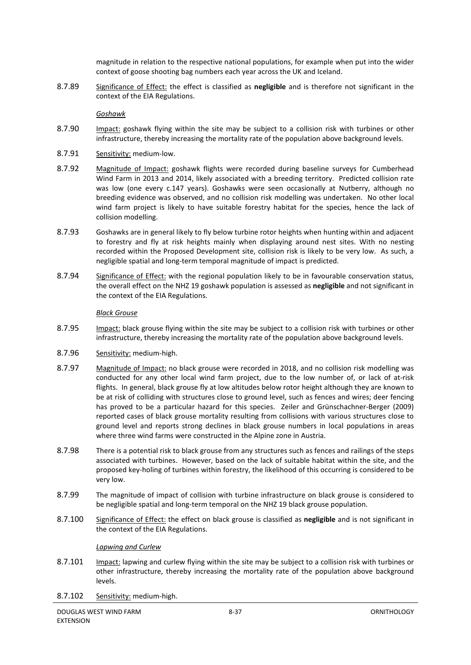magnitude in relation to the respective national populations, for example when put into the wider context of goose shooting bag numbers each year across the UK and Iceland.

8.7.89 Significance of Effect: the effect is classified as **negligible** and is therefore not significant in the context of the EIA Regulations.

#### *Goshawk*

- 8.7.90 Impact: goshawk flying within the site may be subject to a collision risk with turbines or other infrastructure, thereby increasing the mortality rate of the population above background levels.
- 8.7.91 Sensitivity: medium-low.
- 8.7.92 Magnitude of Impact: goshawk flights were recorded during baseline surveys for Cumberhead Wind Farm in 2013 and 2014, likely associated with a breeding territory. Predicted collision rate was low (one every c.147 years). Goshawks were seen occasionally at Nutberry, although no breeding evidence was observed, and no collision risk modelling was undertaken. No other local wind farm project is likely to have suitable forestry habitat for the species, hence the lack of collision modelling.
- 8.7.93 Goshawks are in general likely to fly below turbine rotor heights when hunting within and adjacent to forestry and fly at risk heights mainly when displaying around nest sites. With no nesting recorded within the Proposed Development site, collision risk is likely to be very low. As such, a negligible spatial and long-term temporal magnitude of impact is predicted.
- 8.7.94 Significance of Effect: with the regional population likely to be in favourable conservation status, the overall effect on the NHZ 19 goshawk population is assessed as **negligible** and not significant in the context of the EIA Regulations.

#### *Black Grouse*

- 8.7.95 Impact: black grouse flying within the site may be subject to a collision risk with turbines or other infrastructure, thereby increasing the mortality rate of the population above background levels.
- 8.7.96 Sensitivity: medium-high.
- 8.7.97 Magnitude of Impact: no black grouse were recorded in 2018, and no collision risk modelling was conducted for any other local wind farm project, due to the low number of, or lack of at-risk flights. In general, black grouse fly at low altitudes below rotor height although they are known to be at risk of colliding with structures close to ground level, such as fences and wires; deer fencing has proved to be a particular hazard for this species. Zeiler and Grünschachner-Berger (2009) reported cases of black grouse mortality resulting from collisions with various structures close to ground level and reports strong declines in black grouse numbers in local populations in areas where three wind farms were constructed in the Alpine zone in Austria.
- 8.7.98 There is a potential risk to black grouse from any structures such as fences and railings of the steps associated with turbines. However, based on the lack of suitable habitat within the site, and the proposed key-holing of turbines within forestry, the likelihood of this occurring is considered to be very low.
- 8.7.99 The magnitude of impact of collision with turbine infrastructure on black grouse is considered to be negligible spatial and long-term temporal on the NHZ 19 black grouse population.
- 8.7.100 Significance of Effect: the effect on black grouse is classified as **negligible** and is not significant in the context of the EIA Regulations.

#### *Lapwing and Curlew*

- 8.7.101 Impact: lapwing and curlew flying within the site may be subject to a collision risk with turbines or other infrastructure, thereby increasing the mortality rate of the population above background levels.
- 8.7.102 Sensitivity: medium-high.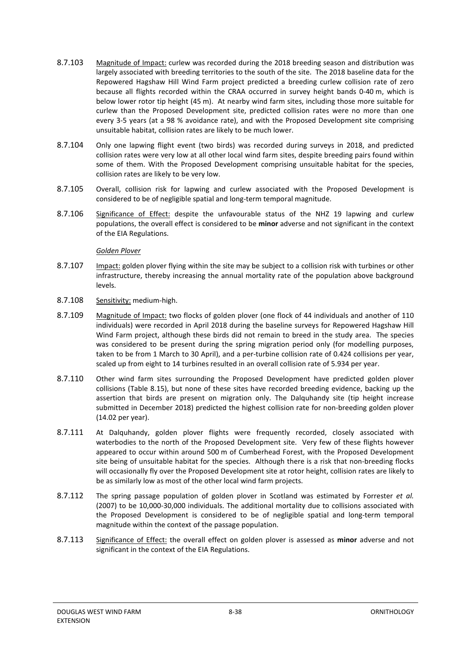- 8.7.103 Magnitude of Impact: curlew was recorded during the 2018 breeding season and distribution was largely associated with breeding territories to the south of the site. The 2018 baseline data for the Repowered Hagshaw Hill Wind Farm project predicted a breeding curlew collision rate of zero because all flights recorded within the CRAA occurred in survey height bands 0-40 m, which is below lower rotor tip height (45 m). At nearby wind farm sites, including those more suitable for curlew than the Proposed Development site, predicted collision rates were no more than one every 3-5 years (at a 98 % avoidance rate), and with the Proposed Development site comprising unsuitable habitat, collision rates are likely to be much lower.
- 8.7.104 Only one lapwing flight event (two birds) was recorded during surveys in 2018, and predicted collision rates were very low at all other local wind farm sites, despite breeding pairs found within some of them. With the Proposed Development comprising unsuitable habitat for the species, collision rates are likely to be very low.
- 8.7.105 Overall, collision risk for lapwing and curlew associated with the Proposed Development is considered to be of negligible spatial and long-term temporal magnitude.
- 8.7.106 Significance of Effect: despite the unfavourable status of the NHZ 19 lapwing and curlew populations, the overall effect is considered to be **minor** adverse and not significant in the context of the EIA Regulations.

#### *Golden Plover*

- 8.7.107 Impact: golden plover flying within the site may be subject to a collision risk with turbines or other infrastructure, thereby increasing the annual mortality rate of the population above background levels.
- 8.7.108 Sensitivity: medium-high.
- 8.7.109 Magnitude of Impact: two flocks of golden plover (one flock of 44 individuals and another of 110 individuals) were recorded in April 2018 during the baseline surveys for Repowered Hagshaw Hill Wind Farm project, although these birds did not remain to breed in the study area. The species was considered to be present during the spring migration period only (for modelling purposes, taken to be from 1 March to 30 April), and a per-turbine collision rate of 0.424 collisions per year, scaled up from eight to 14 turbines resulted in an overall collision rate of 5.934 per year.
- 8.7.110 Other wind farm sites surrounding the Proposed Development have predicted golden plover collisions (Table 8.15), but none of these sites have recorded breeding evidence, backing up the assertion that birds are present on migration only. The Dalquhandy site (tip height increase submitted in December 2018) predicted the highest collision rate for non-breeding golden plover (14.02 per year).
- 8.7.111 At Dalquhandy, golden plover flights were frequently recorded, closely associated with waterbodies to the north of the Proposed Development site. Very few of these flights however appeared to occur within around 500 m of Cumberhead Forest, with the Proposed Development site being of unsuitable habitat for the species. Although there is a risk that non-breeding flocks will occasionally fly over the Proposed Development site at rotor height, collision rates are likely to be as similarly low as most of the other local wind farm projects.
- 8.7.112 The spring passage population of golden plover in Scotland was estimated by Forrester *et al.* (2007) to be 10,000-30,000 individuals. The additional mortality due to collisions associated with the Proposed Development is considered to be of negligible spatial and long-term temporal magnitude within the context of the passage population.
- 8.7.113 Significance of Effect: the overall effect on golden plover is assessed as **minor** adverse and not significant in the context of the EIA Regulations.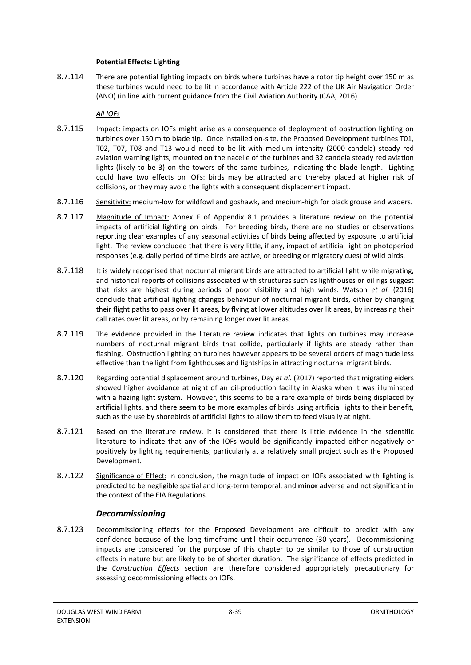#### **Potential Effects: Lighting**

8.7.114 There are potential lighting impacts on birds where turbines have a rotor tip height over 150 m as these turbines would need to be lit in accordance with Article 222 of the UK Air Navigation Order (ANO) (in line with current guidance from the Civil Aviation Authority (CAA, 2016).

# *All IOFs*

- 8.7.115 Impact: impacts on IOFs might arise as a consequence of deployment of obstruction lighting on turbines over 150 m to blade tip. Once installed on-site, the Proposed Development turbines T01, T02, T07, T08 and T13 would need to be lit with medium intensity (2000 candela) steady red aviation warning lights, mounted on the nacelle of the turbines and 32 candela steady red aviation lights (likely to be 3) on the towers of the same turbines, indicating the blade length. Lighting could have two effects on IOFs: birds may be attracted and thereby placed at higher risk of collisions, or they may avoid the lights with a consequent displacement impact.
- 8.7.116 Sensitivity: medium-low for wildfowl and goshawk, and medium-high for black grouse and waders.
- 8.7.117 Magnitude of Impact: Annex F of Appendix 8.1 provides a literature review on the potential impacts of artificial lighting on birds. For breeding birds, there are no studies or observations reporting clear examples of any seasonal activities of birds being affected by exposure to artificial light. The review concluded that there is very little, if any, impact of artificial light on photoperiod responses (e.g. daily period of time birds are active, or breeding or migratory cues) of wild birds.
- 8.7.118 It is widely recognised that nocturnal migrant birds are attracted to artificial light while migrating, and historical reports of collisions associated with structures such as lighthouses or oil rigs suggest that risks are highest during periods of poor visibility and high winds. Watson *et al.* (2016) conclude that artificial lighting changes behaviour of nocturnal migrant birds, either by changing their flight paths to pass over lit areas, by flying at lower altitudes over lit areas, by increasing their call rates over lit areas, or by remaining longer over lit areas.
- 8.7.119 The evidence provided in the literature review indicates that lights on turbines may increase numbers of nocturnal migrant birds that collide, particularly if lights are steady rather than flashing. Obstruction lighting on turbines however appears to be several orders of magnitude less effective than the light from lighthouses and lightships in attracting nocturnal migrant birds.
- 8.7.120 Regarding potential displacement around turbines, Day *et al.* (2017) reported that migrating eiders showed higher avoidance at night of an oil-production facility in Alaska when it was illuminated with a hazing light system. However, this seems to be a rare example of birds being displaced by artificial lights, and there seem to be more examples of birds using artificial lights to their benefit, such as the use by shorebirds of artificial lights to allow them to feed visually at night.
- 8.7.121 Based on the literature review, it is considered that there is little evidence in the scientific literature to indicate that any of the IOFs would be significantly impacted either negatively or positively by lighting requirements, particularly at a relatively small project such as the Proposed Development.
- 8.7.122 Significance of Effect: in conclusion, the magnitude of impact on IOFs associated with lighting is predicted to be negligible spatial and long-term temporal, and **minor** adverse and not significant in the context of the EIA Regulations.

# *Decommissioning*

8.7.123 Decommissioning effects for the Proposed Development are difficult to predict with any confidence because of the long timeframe until their occurrence (30 years). Decommissioning impacts are considered for the purpose of this chapter to be similar to those of construction effects in nature but are likely to be of shorter duration. The significance of effects predicted in the *Construction Effects* section are therefore considered appropriately precautionary for assessing decommissioning effects on IOFs.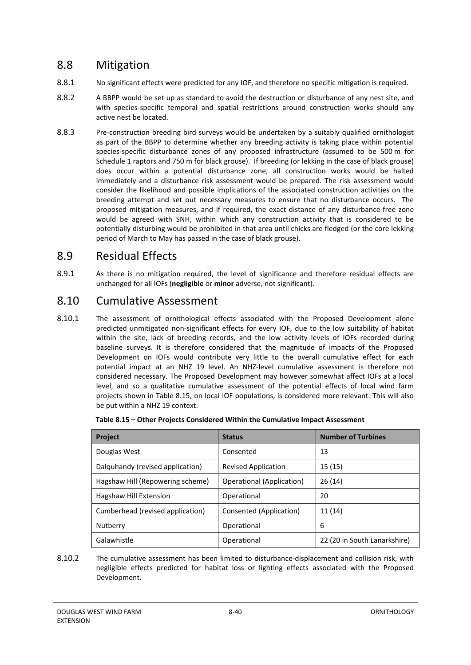# <span id="page-41-0"></span>8.8 Mitigation

- 8.8.1 No significant effects were predicted for any IOF, and therefore no specific mitigation is required.
- 8.8.2 A BBPP would be set up as standard to avoid the destruction or disturbance of any nest site, and with species-specific temporal and spatial restrictions around construction works should any active nest be located.
- 8.8.3 Pre-construction breeding bird surveys would be undertaken by a suitably qualified ornithologist as part of the BBPP to determine whether any breeding activity is taking place within potential species-specific disturbance zones of any proposed infrastructure (assumed to be 500 m for Schedule 1 raptors and 750 m for black grouse). If breeding (or lekking in the case of black grouse) does occur within a potential disturbance zone, all construction works would be halted immediately and a disturbance risk assessment would be prepared. The risk assessment would consider the likelihood and possible implications of the associated construction activities on the breeding attempt and set out necessary measures to ensure that no disturbance occurs. The proposed mitigation measures, and if required, the exact distance of any disturbance-free zone would be agreed with SNH, within which any construction activity that is considered to be potentially disturbing would be prohibited in that area until chicks are fledged (or the core lekking period of March to May has passed in the case of black grouse).

# <span id="page-41-1"></span>8.9 Residual Effects

8.9.1 As there is no mitigation required, the level of significance and therefore residual effects are unchanged for all IOFs (**negligible** or **minor** adverse, not significant).

# <span id="page-41-2"></span>8.10 Cumulative Assessment

8.10.1 The assessment of ornithological effects associated with the Proposed Development alone predicted unmitigated non-significant effects for every IOF, due to the low suitability of habitat within the site, lack of breeding records, and the low activity levels of IOFs recorded during baseline surveys. It is therefore considered that the magnitude of impacts of the Proposed Development on IOFs would contribute very little to the overall cumulative effect for each potential impact at an NHZ 19 level. An NHZ-level cumulative assessment is therefore not considered necessary. The Proposed Development may however somewhat affect IOFs at a local level, and so a qualitative cumulative assessment of the potential effects of local wind farm projects shown in [Table 8.15,](#page-41-3) on local IOF populations, is considered more relevant. This will also be put within a NHZ 19 context.

<span id="page-41-3"></span>

| <b>Project</b>                   | <b>Status</b>                    | <b>Number of Turbines</b>    |  |
|----------------------------------|----------------------------------|------------------------------|--|
| Douglas West                     | Consented                        | 13                           |  |
| Dalquhandy (revised application) | <b>Revised Application</b>       | 15 (15)                      |  |
| Hagshaw Hill (Repowering scheme) | <b>Operational (Application)</b> | 26(14)                       |  |
| Hagshaw Hill Extension           | Operational                      | 20                           |  |
| Cumberhead (revised application) | Consented (Application)          | 11 (14)                      |  |
| Nutberry                         | Operational                      | 6                            |  |
| Galawhistle                      | Operational                      | 22 (20 in South Lanarkshire) |  |

8.10.2 The cumulative assessment has been limited to disturbance-displacement and collision risk, with negligible effects predicted for habitat loss or lighting effects associated with the Proposed Development.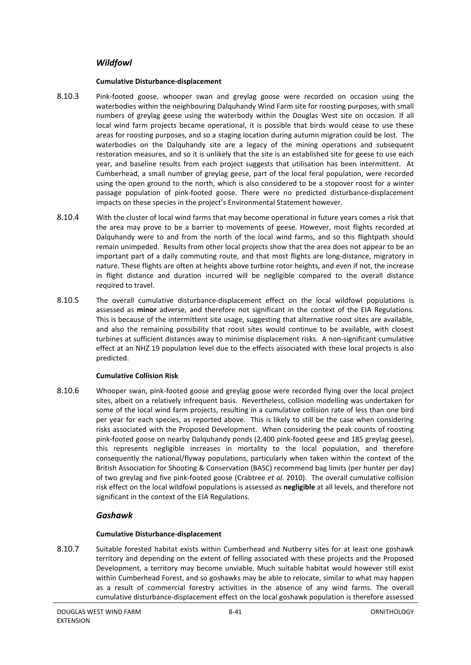# *Wildfowl*

#### **Cumulative Disturbance-displacement**

- 8.10.3 Pink-footed goose, whooper swan and greylag goose were recorded on occasion using the waterbodies within the neighbouring Dalquhandy Wind Farm site for roosting purposes, with small numbers of greylag geese using the waterbody within the Douglas West site on occasion. If all local wind farm projects became operational, it is possible that birds would cease to use these areas for roosting purposes, and so a staging location during autumn migration could be lost. The waterbodies on the Dalquhandy site are a legacy of the mining operations and subsequent restoration measures, and so it is unlikely that the site is an established site for geese to use each year, and baseline results from each project suggests that utilisation has been intermittent. At Cumberhead, a small number of greylag geese, part of the local feral population, were recorded using the open ground to the north, which is also considered to be a stopover roost for a winter passage population of pink-footed goose. There were no predicted disturbance-displacement impacts on these species in the project's Environmental Statement however.
- 8.10.4 With the cluster of local wind farms that may become operational in future years comes a risk that the area may prove to be a barrier to movements of geese. However, most flights recorded at Dalquhandy were to and from the north of the local wind farms, and so this flightpath should remain unimpeded. Results from other local projects show that the area does not appear to be an important part of a daily commuting route, and that most flights are long-distance, migratory in nature. These flights are often at heights above turbine rotor heights, and even if not, the increase in flight distance and duration incurred will be negligible compared to the overall distance required to travel.
- 8.10.5 The overall cumulative disturbance-displacement effect on the local wildfowl populations is assessed as **minor** adverse, and therefore not significant in the context of the EIA Regulations. This is because of the intermittent site usage, suggesting that alternative roost sites are available, and also the remaining possibility that roost sites would continue to be available, with closest turbines at sufficient distances away to minimise displacement risks. A non-significant cumulative effect at an NHZ 19 population level due to the effects associated with these local projects is also predicted.

# **Cumulative Collision Risk**

8.10.6 Whooper swan, pink-footed goose and greylag goose were recorded flying over the local project sites, albeit on a relatively infrequent basis. Nevertheless, collision modelling was undertaken for some of the local wind farm projects, resulting in a cumulative collision rate of less than one bird per year for each species, as reported above. This is likely to still be the case when considering risks associated with the Proposed Development. When considering the peak counts of roosting pink-footed goose on nearby Dalquhandy ponds (2,400 pink-footed geese and 185 greylag geese), this represents negligible increases in mortality to the local population, and therefore consequently the national/flyway populations, particularly when taken within the context of the British Association for Shooting & Conservation (BASC) recommend bag limits (per hunter per day) of two greylag and five pink-footed goose (Crabtree *et al.* 2010). The overall cumulative collision risk effect on the local wildfowl populations is assessed as **negligible** at all levels, and therefore not significant in the context of the EIA Regulations.

# *Goshawk*

# **Cumulative Disturbance-displacement**

8.10.7 Suitable forested habitat exists within Cumberhead and Nutberry sites for at least one goshawk territory and depending on the extent of felling associated with these projects and the Proposed Development, a territory may become unviable. Much suitable habitat would however still exist within Cumberhead Forest, and so goshawks may be able to relocate, similar to what may happen as a result of commercial forestry activities in the absence of any wind farms. The overall cumulative disturbance-displacement effect on the local goshawk population is therefore assessed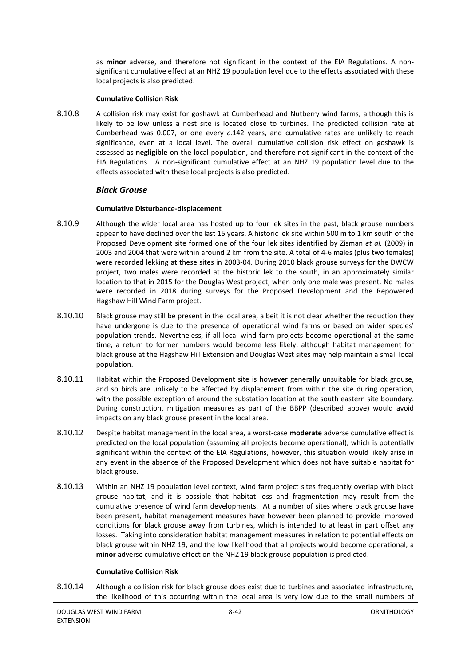as **minor** adverse, and therefore not significant in the context of the EIA Regulations. A nonsignificant cumulative effect at an NHZ 19 population level due to the effects associated with these local projects is also predicted.

#### **Cumulative Collision Risk**

8.10.8 A collision risk may exist for goshawk at Cumberhead and Nutberry wind farms, although this is likely to be low unless a nest site is located close to turbines. The predicted collision rate at Cumberhead was 0.007, or one every *c*.142 years, and cumulative rates are unlikely to reach significance, even at a local level. The overall cumulative collision risk effect on goshawk is assessed as **negligible** on the local population, and therefore not significant in the context of the EIA Regulations. A non-significant cumulative effect at an NHZ 19 population level due to the effects associated with these local projects is also predicted.

# *Black Grouse*

#### **Cumulative Disturbance-displacement**

- 8.10.9 Although the wider local area has hosted up to four lek sites in the past, black grouse numbers appear to have declined over the last 15 years. A historic lek site within 500 m to 1 km south of the Proposed Development site formed one of the four lek sites identified by Zisman *et al.* (2009) in 2003 and 2004 that were within around 2 km from the site. A total of 4-6 males (plus two females) were recorded lekking at these sites in 2003-04. During 2010 black grouse surveys for the DWCW project, two males were recorded at the historic lek to the south, in an approximately similar location to that in 2015 for the Douglas West project, when only one male was present. No males were recorded in 2018 during surveys for the Proposed Development and the Repowered Hagshaw Hill Wind Farm project.
- 8.10.10 Black grouse may still be present in the local area, albeit it is not clear whether the reduction they have undergone is due to the presence of operational wind farms or based on wider species' population trends. Nevertheless, if all local wind farm projects become operational at the same time, a return to former numbers would become less likely, although habitat management for black grouse at the Hagshaw Hill Extension and Douglas West sites may help maintain a small local population.
- 8.10.11 Habitat within the Proposed Development site is however generally unsuitable for black grouse, and so birds are unlikely to be affected by displacement from within the site during operation, with the possible exception of around the substation location at the south eastern site boundary. During construction, mitigation measures as part of the BBPP (described above) would avoid impacts on any black grouse present in the local area.
- 8.10.12 Despite habitat management in the local area, a worst-case **moderate** adverse cumulative effect is predicted on the local population (assuming all projects become operational), which is potentially significant within the context of the EIA Regulations, however, this situation would likely arise in any event in the absence of the Proposed Development which does not have suitable habitat for black grouse.
- 8.10.13 Within an NHZ 19 population level context, wind farm project sites frequently overlap with black grouse habitat, and it is possible that habitat loss and fragmentation may result from the cumulative presence of wind farm developments. At a number of sites where black grouse have been present, habitat management measures have however been planned to provide improved conditions for black grouse away from turbines, which is intended to at least in part offset any losses. Taking into consideration habitat management measures in relation to potential effects on black grouse within NHZ 19, and the low likelihood that all projects would become operational, a **minor** adverse cumulative effect on the NHZ 19 black grouse population is predicted.

#### **Cumulative Collision Risk**

8.10.14 Although a collision risk for black grouse does exist due to turbines and associated infrastructure, the likelihood of this occurring within the local area is very low due to the small numbers of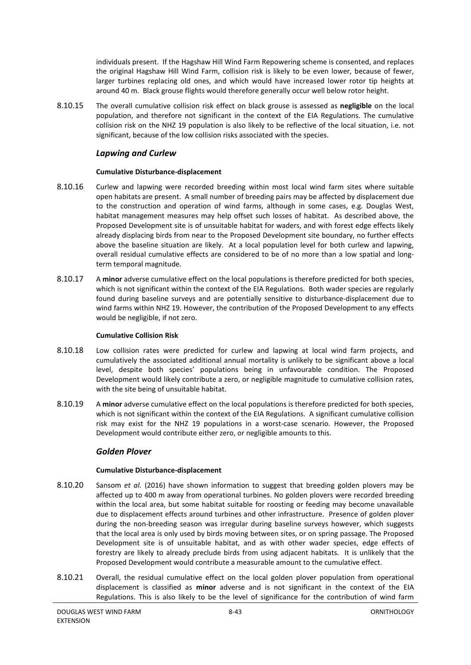individuals present. If the Hagshaw Hill Wind Farm Repowering scheme is consented, and replaces the original Hagshaw Hill Wind Farm, collision risk is likely to be even lower, because of fewer, larger turbines replacing old ones, and which would have increased lower rotor tip heights at around 40 m. Black grouse flights would therefore generally occur well below rotor height.

8.10.15 The overall cumulative collision risk effect on black grouse is assessed as **negligible** on the local population, and therefore not significant in the context of the EIA Regulations. The cumulative collision risk on the NHZ 19 population is also likely to be reflective of the local situation, i.e. not significant, because of the low collision risks associated with the species.

# *Lapwing and Curlew*

#### **Cumulative Disturbance-displacement**

- 8.10.16 Curlew and lapwing were recorded breeding within most local wind farm sites where suitable open habitats are present. A small number of breeding pairs may be affected by displacement due to the construction and operation of wind farms, although in some cases, e.g. Douglas West, habitat management measures may help offset such losses of habitat. As described above, the Proposed Development site is of unsuitable habitat for waders, and with forest edge effects likely already displacing birds from near to the Proposed Development site boundary, no further effects above the baseline situation are likely. At a local population level for both curlew and lapwing, overall residual cumulative effects are considered to be of no more than a low spatial and longterm temporal magnitude.
- 8.10.17 A **minor** adverse cumulative effect on the local populations is therefore predicted for both species, which is not significant within the context of the EIA Regulations. Both wader species are regularly found during baseline surveys and are potentially sensitive to disturbance-displacement due to wind farms within NHZ 19. However, the contribution of the Proposed Development to any effects would be negligible, if not zero.

#### **Cumulative Collision Risk**

- 8.10.18 Low collision rates were predicted for curlew and lapwing at local wind farm projects, and cumulatively the associated additional annual mortality is unlikely to be significant above a local level, despite both species' populations being in unfavourable condition. The Proposed Development would likely contribute a zero, or negligible magnitude to cumulative collision rates, with the site being of unsuitable habitat.
- 8.10.19 A **minor** adverse cumulative effect on the local populations is therefore predicted for both species, which is not significant within the context of the EIA Regulations. A significant cumulative collision risk may exist for the NHZ 19 populations in a worst-case scenario. However, the Proposed Development would contribute either zero, or negligible amounts to this.

# *Golden Plover*

# **Cumulative Disturbance-displacement**

- 8.10.20 Sansom *et al.* (2016) have shown information to suggest that breeding golden plovers may be affected up to 400 m away from operational turbines. No golden plovers were recorded breeding within the local area, but some habitat suitable for roosting or feeding may become unavailable due to displacement effects around turbines and other infrastructure. Presence of golden plover during the non-breeding season was irregular during baseline surveys however, which suggests that the local area is only used by birds moving between sites, or on spring passage. The Proposed Development site is of unsuitable habitat, and as with other wader species, edge effects of forestry are likely to already preclude birds from using adjacent habitats. It is unlikely that the Proposed Development would contribute a measurable amount to the cumulative effect.
- 8.10.21 Overall, the residual cumulative effect on the local golden plover population from operational displacement is classified as **minor** adverse and is not significant in the context of the EIA Regulations. This is also likely to be the level of significance for the contribution of wind farm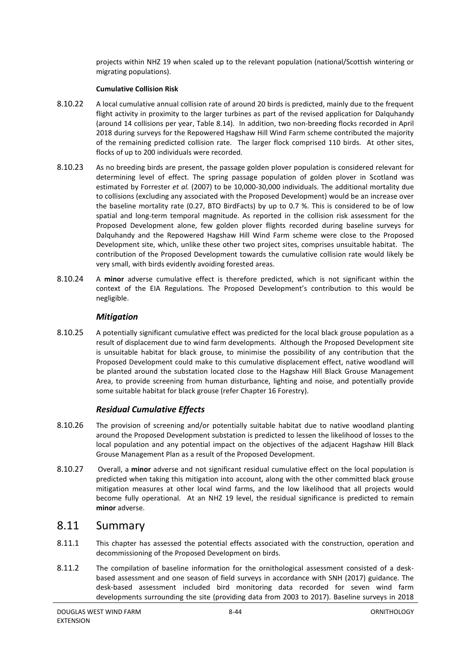projects within NHZ 19 when scaled up to the relevant population (national/Scottish wintering or migrating populations).

#### **Cumulative Collision Risk**

- 8.10.22 A local cumulative annual collision rate of around 20 birds is predicted, mainly due to the frequent flight activity in proximity to the larger turbines as part of the revised application for Dalquhandy (around 14 collisions per year, [Table 8.14\)](#page-37-0). In addition, two non-breeding flocks recorded in April 2018 during surveys for the Repowered Hagshaw Hill Wind Farm scheme contributed the majority of the remaining predicted collision rate. The larger flock comprised 110 birds. At other sites, flocks of up to 200 individuals were recorded.
- 8.10.23 As no breeding birds are present, the passage golden plover population is considered relevant for determining level of effect. The spring passage population of golden plover in Scotland was estimated by Forrester *et al.* (2007) to be 10,000-30,000 individuals. The additional mortality due to collisions (excluding any associated with the Proposed Development) would be an increase over the baseline mortality rate (0.27, BTO BirdFacts) by up to 0.7 %. This is considered to be of low spatial and long-term temporal magnitude. As reported in the collision risk assessment for the Proposed Development alone, few golden plover flights recorded during baseline surveys for Dalquhandy and the Repowered Hagshaw Hill Wind Farm scheme were close to the Proposed Development site, which, unlike these other two project sites, comprises unsuitable habitat. The contribution of the Proposed Development towards the cumulative collision rate would likely be very small, with birds evidently avoiding forested areas.
- 8.10.24 A **minor** adverse cumulative effect is therefore predicted, which is not significant within the context of the EIA Regulations. The Proposed Development's contribution to this would be negligible.

# *Mitigation*

8.10.25 A potentially significant cumulative effect was predicted for the local black grouse population as a result of displacement due to wind farm developments. Although the Proposed Development site is unsuitable habitat for black grouse, to minimise the possibility of any contribution that the Proposed Development could make to this cumulative displacement effect, native woodland will be planted around the substation located close to the Hagshaw Hill Black Grouse Management Area, to provide screening from human disturbance, lighting and noise, and potentially provide some suitable habitat for black grouse (refer Chapter 16 Forestry).

# *Residual Cumulative Effects*

- 8.10.26 The provision of screening and/or potentially suitable habitat due to native woodland planting around the Proposed Development substation is predicted to lessen the likelihood of losses to the local population and any potential impact on the objectives of the adjacent Hagshaw Hill Black Grouse Management Plan as a result of the Proposed Development.
- 8.10.27 Overall, a **minor** adverse and not significant residual cumulative effect on the local population is predicted when taking this mitigation into account, along with the other committed black grouse mitigation measures at other local wind farms, and the low likelihood that all projects would become fully operational. At an NHZ 19 level, the residual significance is predicted to remain **minor** adverse.

# <span id="page-45-0"></span>8.11 Summary

- 8.11.1 This chapter has assessed the potential effects associated with the construction, operation and decommissioning of the Proposed Development on birds.
- 8.11.2 The compilation of baseline information for the ornithological assessment consisted of a deskbased assessment and one season of field surveys in accordance with SNH (2017) guidance. The desk-based assessment included bird monitoring data recorded for seven wind farm developments surrounding the site (providing data from 2003 to 2017). Baseline surveys in 2018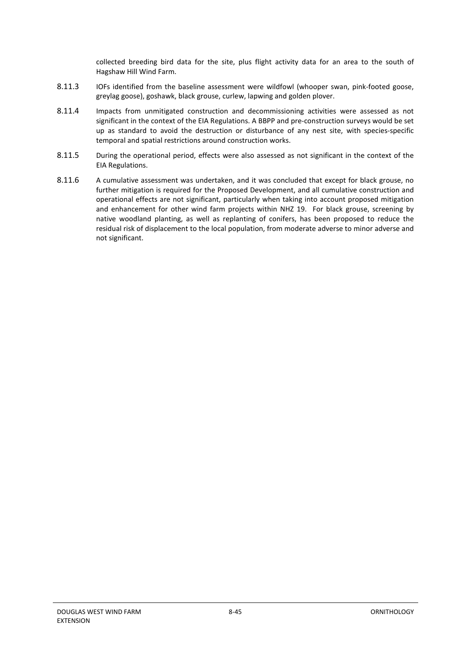collected breeding bird data for the site, plus flight activity data for an area to the south of Hagshaw Hill Wind Farm.

- 8.11.3 IOFs identified from the baseline assessment were wildfowl (whooper swan, pink-footed goose, greylag goose), goshawk, black grouse, curlew, lapwing and golden plover.
- 8.11.4 Impacts from unmitigated construction and decommissioning activities were assessed as not significant in the context of the EIA Regulations. A BBPP and pre-construction surveys would be set up as standard to avoid the destruction or disturbance of any nest site, with species-specific temporal and spatial restrictions around construction works.
- 8.11.5 During the operational period, effects were also assessed as not significant in the context of the EIA Regulations.
- 8.11.6 A cumulative assessment was undertaken, and it was concluded that except for black grouse, no further mitigation is required for the Proposed Development, and all cumulative construction and operational effects are not significant, particularly when taking into account proposed mitigation and enhancement for other wind farm projects within NHZ 19. For black grouse, screening by native woodland planting, as well as replanting of conifers, has been proposed to reduce the residual risk of displacement to the local population, from moderate adverse to minor adverse and not significant.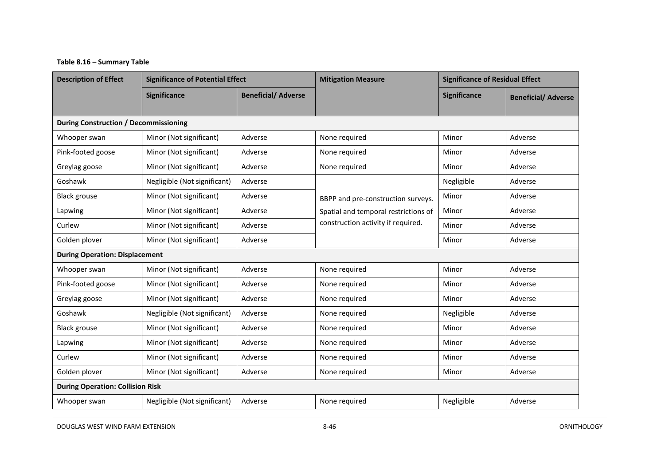#### **Table 8.16 – Summary Table**

| <b>Description of Effect</b>                 | <b>Significance of Potential Effect</b> |                            | <b>Mitigation Measure</b>            | <b>Significance of Residual Effect</b> |                            |  |
|----------------------------------------------|-----------------------------------------|----------------------------|--------------------------------------|----------------------------------------|----------------------------|--|
|                                              | <b>Significance</b>                     | <b>Beneficial/ Adverse</b> |                                      | Significance                           | <b>Beneficial/ Adverse</b> |  |
| <b>During Construction / Decommissioning</b> |                                         |                            |                                      |                                        |                            |  |
| Whooper swan                                 | Minor (Not significant)                 | Adverse                    | None required                        | Minor                                  | Adverse                    |  |
| Pink-footed goose                            | Minor (Not significant)                 | Adverse                    | None required                        | Minor                                  | Adverse                    |  |
| Greylag goose                                | Minor (Not significant)                 | Adverse                    | None required                        | Minor                                  | Adverse                    |  |
| Goshawk                                      | Negligible (Not significant)            | Adverse                    |                                      | Negligible                             | Adverse                    |  |
| <b>Black grouse</b>                          | Minor (Not significant)                 | Adverse                    | BBPP and pre-construction surveys.   | Minor                                  | Adverse                    |  |
| Lapwing                                      | Minor (Not significant)                 | Adverse                    | Spatial and temporal restrictions of | Minor                                  | Adverse                    |  |
| Curlew                                       | Minor (Not significant)                 | Adverse                    | construction activity if required.   | Minor                                  | Adverse                    |  |
| Golden plover                                | Minor (Not significant)                 | Adverse                    |                                      | Minor                                  | Adverse                    |  |
| <b>During Operation: Displacement</b>        |                                         |                            |                                      |                                        |                            |  |
| Whooper swan                                 | Minor (Not significant)                 | Adverse                    | None required                        | Minor                                  | Adverse                    |  |
| Pink-footed goose                            | Minor (Not significant)                 | Adverse                    | None required                        | Minor                                  | Adverse                    |  |
| Greylag goose                                | Minor (Not significant)                 | Adverse                    | None required                        | Minor                                  | Adverse                    |  |
| Goshawk                                      | Negligible (Not significant)            | Adverse                    | None required                        | Negligible                             | Adverse                    |  |
| <b>Black grouse</b>                          | Minor (Not significant)                 | Adverse                    | None required                        | Minor                                  | Adverse                    |  |
| Lapwing                                      | Minor (Not significant)                 | Adverse                    | None required                        | Minor                                  | Adverse                    |  |
| Curlew                                       | Minor (Not significant)                 | Adverse                    | None required                        | Minor                                  | Adverse                    |  |
| Golden plover<br>Minor (Not significant)     |                                         | Adverse                    | None required                        | Minor                                  | Adverse                    |  |
| <b>During Operation: Collision Risk</b>      |                                         |                            |                                      |                                        |                            |  |
| Whooper swan                                 | Negligible (Not significant)            | Adverse                    | None required                        | Negligible                             | Adverse                    |  |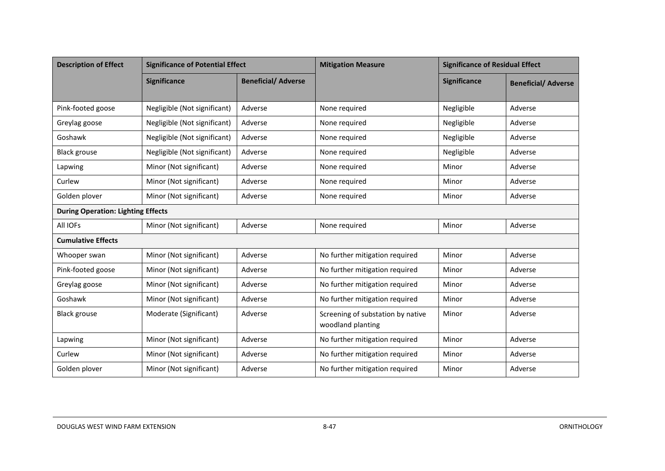| <b>Description of Effect</b>              | <b>Significance of Potential Effect</b> |                            | <b>Mitigation Measure</b>                              | <b>Significance of Residual Effect</b> |                            |
|-------------------------------------------|-----------------------------------------|----------------------------|--------------------------------------------------------|----------------------------------------|----------------------------|
|                                           | <b>Significance</b>                     | <b>Beneficial/ Adverse</b> |                                                        | <b>Significance</b>                    | <b>Beneficial/ Adverse</b> |
| Pink-footed goose                         | Negligible (Not significant)            | Adverse                    | None required                                          | Negligible                             | Adverse                    |
| Greylag goose                             | Negligible (Not significant)            | Adverse                    | None required                                          | Negligible                             | Adverse                    |
| Goshawk                                   | Negligible (Not significant)            | Adverse                    | None required                                          | Negligible                             | Adverse                    |
| <b>Black grouse</b>                       | Negligible (Not significant)            | Adverse                    | None required                                          | Negligible                             | Adverse                    |
| Lapwing                                   | Minor (Not significant)                 | Adverse                    | None required                                          | Minor                                  | Adverse                    |
| Curlew                                    | Minor (Not significant)                 | Adverse                    | None required                                          | Minor                                  | Adverse                    |
| Golden plover                             | Minor (Not significant)                 | Adverse                    | None required                                          | Minor                                  | Adverse                    |
| <b>During Operation: Lighting Effects</b> |                                         |                            |                                                        |                                        |                            |
| All IOFs                                  | Minor (Not significant)                 | Adverse                    | None required                                          | Minor                                  | Adverse                    |
| <b>Cumulative Effects</b>                 |                                         |                            |                                                        |                                        |                            |
| Whooper swan                              | Minor (Not significant)                 | Adverse                    | No further mitigation required                         | Minor                                  | Adverse                    |
| Pink-footed goose                         | Minor (Not significant)                 | Adverse                    | No further mitigation required                         | Minor                                  | Adverse                    |
| Greylag goose                             | Minor (Not significant)                 | Adverse                    | No further mitigation required                         | Minor                                  | Adverse                    |
| Goshawk                                   | Minor (Not significant)                 | Adverse                    | No further mitigation required                         | Minor                                  | Adverse                    |
| <b>Black grouse</b>                       | Moderate (Significant)                  | Adverse                    | Screening of substation by native<br>woodland planting | Minor                                  | Adverse                    |
| Lapwing                                   | Minor (Not significant)                 | Adverse                    | No further mitigation required                         | Minor                                  | Adverse                    |
| Curlew                                    | Minor (Not significant)<br>Adverse      |                            | No further mitigation required                         | Minor                                  | Adverse                    |
| Golden plover                             | Minor (Not significant)                 | Adverse                    | No further mitigation required                         | Minor                                  | Adverse                    |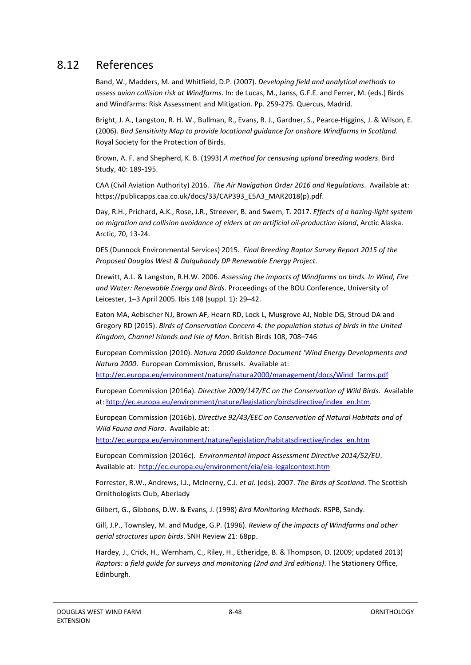# <span id="page-49-0"></span>8.12 References

Band, W., Madders, M. and Whitfield, D.P. (2007). *Developing field and analytical methods to assess avian collision risk at Windfarms*. In: de Lucas, M., Janss, G.F.E. and Ferrer, M. (eds.) Birds and Windfarms: Risk Assessment and Mitigation. Pp. 259-275. Quercus, Madrid.

Bright, J. A., Langston, R. H. W., Bullman, R., Evans, R. J., Gardner, S., Pearce-Higgins, J. & Wilson, E. (2006). *Bird Sensitivity Map to provide locational guidance for onshore Windfarms in Scotland*. Royal Society for the Protection of Birds.

Brown, A. F. and Shepherd, K. B. (1993) *A method for censusing upland breeding waders*. Bird Study, 40: 189-195.

CAA (Civil Aviation Authority) 2016. *The Air Navigation Order 2016 and Regulations*. Available at: [https://publicapps.caa.co.uk/docs/33/CAP393\\_E5A3\\_MAR2018\(p\).pdf.](https://publicapps.caa.co.uk/docs/33/CAP393_E5A3_MAR2018(p).pdf)

Day, R.H., Prichard, A.K., Rose, J.R., Streever, B. and Swem, T. 2017. *Effects of a hazing-light system on migration and collision avoidance of eiders at an artificial oil-production island*, Arctic Alaska. Arctic, 70, 13-24.

DES (Dunnock Environmental Services) 2015. *Final Breeding Raptor Survey Report 2015 of the Proposed Douglas West & Dalquhandy DP Renewable Energy Project*.

Drewitt, A.L. & Langston, R.H.W. 2006. *Assessing the impacts of Windfarms on birds. In Wind, Fire and Water: Renewable Energy and Birds*. Proceedings of the BOU Conference, University of Leicester, 1–3 April 2005. Ibis 148 (suppl. 1): 29–42.

Eaton MA, Aebischer NJ, Brown AF, Hearn RD, Lock L, Musgrove AJ, Noble DG, Stroud DA and Gregory RD (2015). *Birds of Conservation Concern 4: the population status of birds in the United Kingdom, Channel Islands and Isle of Man*. British Birds 108, 708–746

European Commission (2010). *Natura 2000 Guidance Document 'Wind Energy Developments and Natura 2000*. European Commission, Brussels. Available at: [http://ec.europa.eu/environment/nature/natura2000/management/docs/Wind\\_farms.pdf](http://ec.europa.eu/environment/nature/natura2000/management/docs/Wind_farms.pdf)

European Commission (2016a). *Directive 2009/147/EC on the Conservation of Wild Birds*. Available at: [http://ec.europa.eu/environment/nature/legislation/birdsdirective/index\\_en.htm.](http://ec.europa.eu/environment/nature/legislation/birdsdirective/index_en.htm)

European Commission (2016b). *Directive 92/43/EEC on Conservation of Natural Habitats and of Wild Fauna and Flora*. Available at:

[http://ec.europa.eu/environment/nature/legislation/habitatsdirective/index\\_en.htm](http://ec.europa.eu/environment/nature/legislation/habitatsdirective/index_en.htm)

European Commission (2016c). *Environmental Impact Assessment Directive 2014/52/EU*. Available at:<http://ec.europa.eu/environment/eia/eia-legalcontext.htm>

Forrester, R.W., Andrews, I.J., McInerny, C.J. *et al*. (eds). 2007. *The Birds of Scotland*. The Scottish Ornithologists Club, Aberlady

Gilbert, G., Gibbons, D.W. & Evans, J. (1998) *Bird Monitoring Methods*. RSPB, Sandy.

Gill, J.P., Townsley, M. and Mudge, G.P. (1996). *Review of the impacts of Windfarms and other aerial structures upon birds*. SNH Review 21: 68pp.

Hardey, J., Crick, H., Wernham, C., Riley, H., Etheridge, B. & Thompson, D. (2009; updated 2013) *Raptors: a field guide for surveys and monitoring (2nd and 3rd editions)*. The Stationery Office, Edinburgh.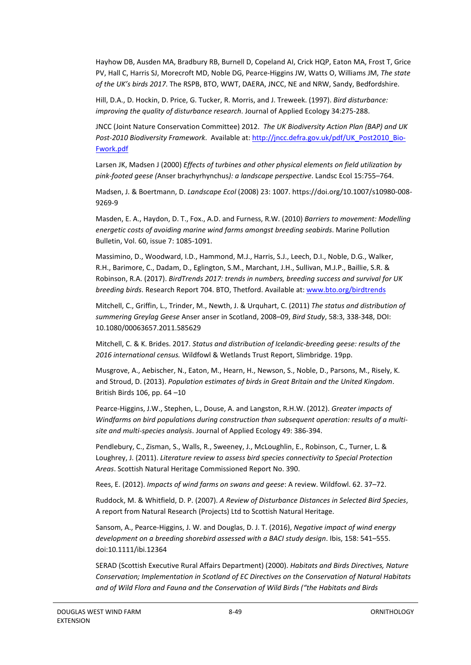Hayhow DB, Ausden MA, Bradbury RB, Burnell D, Copeland AI, Crick HQP, Eaton MA, Frost T, Grice PV, Hall C, Harris SJ, Morecroft MD, Noble DG, Pearce-Higgins JW, Watts O, Williams JM, *The state of the UK's birds 2017*. The RSPB, BTO, WWT, DAERA, JNCC, NE and NRW, Sandy, Bedfordshire.

Hill, D.A., D. Hockin, D. Price, G. Tucker, R. Morris, and J. Treweek. (1997). *Bird disturbance: improving the quality of disturbance research*. Journal of Applied Ecology 34:275-288.

JNCC (Joint Nature Conservation Committee) 2012. *The UK Biodiversity Action Plan (BAP) and UK Post-2010 Biodiversity Framework*. Available at: [http://jncc.defra.gov.uk/pdf/UK\\_Post2010\\_Bio-](http://jncc.defra.gov.uk/pdf/UK_Post2010_Bio-Fwork.pdf)[Fwork.pdf](http://jncc.defra.gov.uk/pdf/UK_Post2010_Bio-Fwork.pdf)

Larsen JK, Madsen J (2000) *Effects of turbines and other physical elements on field utilization by pink-footed geese (*Anser brachyrhynchus*): a landscape perspective*. Landsc Ecol 15:755–764.

Madsen, J. & Boertmann, D. *Landscape Ecol* (2008) 23: 1007. https://doi.org/10.1007/s10980-008- 9269-9

Masden, E. A., Haydon, D. T., Fox., A.D. and Furness, R.W. (2010) *Barriers to movement: Modelling energetic costs of avoiding marine wind farms amongst breeding seabirds*. Marine Pollution Bulletin, Vol. 60, issue 7: 1085-1091.

Massimino, D., Woodward, I.D., Hammond, M.J., Harris, S.J., Leech, D.I., Noble, D.G., Walker, R.H., Barimore, C., Dadam, D., Eglington, S.M., Marchant, J.H., Sullivan, M.J.P., Baillie, S.R. & Robinson, R.A. (2017). *BirdTrends 2017: trends in numbers, breeding success and survival for UK breeding birds*. Research Report 704. BTO, Thetford. Available at[: www.bto.org/birdtrends](http://www.bto.org/birdtrends)

Mitchell, C., Griffin, L., Trinder, M., Newth, J. & Urquhart, C. (2011) *The status and distribution of summering Greylag Geese* Anser anser in Scotland, 2008–09, *Bird Study*, 58:3, 338-348, DOI: 10.1080/00063657.2011.585629

Mitchell, C. & K. Brides. 2017. *Status and distribution of Icelandic-breeding geese: results of the 2016 international census.* Wildfowl & Wetlands Trust Report, Slimbridge. 19pp.

Musgrove, A., Aebischer, N., Eaton, M., Hearn, H., Newson, S., Noble, D., Parsons, M., Risely, K. and Stroud, D. (2013). *Population estimates of birds in Great Britain and the United Kingdom*. British Birds 106, pp. 64 –10

Pearce-Higgins, J.W., Stephen, L., Douse, A. and Langston, R.H.W. (2012). *Greater impacts of Windfarms on bird populations during construction than subsequent operation: results of a multisite and multi-species analysis*. Journal of Applied Ecology 49: 386-394.

Pendlebury, C., Zisman, S., Walls, R., Sweeney, J., McLoughlin, E., Robinson, C., Turner, L. & Loughrey, J. (2011). *Literature review to assess bird species connectivity to Special Protection Areas*. Scottish Natural Heritage Commissioned Report No. 390.

Rees, E. (2012). *Impacts of wind farms on swans and geese*: A review. Wildfowl. 62. 37–72.

Ruddock, M. & Whitfield, D. P. (2007). *A Review of Disturbance Distances in Selected Bird Species*, A report from Natural Research (Projects) Ltd to Scottish Natural Heritage.

Sansom, A., Pearce-Higgins, J. W. and Douglas, D. J. T. (2016), *Negative impact of wind energy development on a breeding shorebird assessed with a BACI study design*. Ibis, 158: 541–555. doi:10.1111/ibi.12364

SERAD (Scottish Executive Rural Affairs Department) (2000). *Habitats and Birds Directives, Nature Conservation; Implementation in Scotland of EC Directives on the Conservation of Natural Habitats and of Wild Flora and Fauna and the Conservation of Wild Birds ("the Habitats and Birds*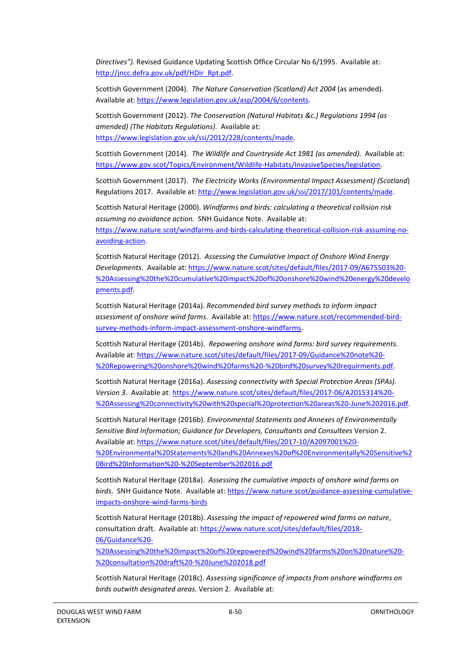*Directives").* Revised Guidance Updating Scottish Office Circular No 6/1995. Available at: [http://jncc.defra.gov.uk/pdf/HDir\\_Rpt.pdf.](http://jncc.defra.gov.uk/pdf/HDir_Rpt.pdf)

Scottish Government (2004). *The Nature Conservation (Scotland) Act 2004* (as amended). Available at[: https://www.legislation.gov.uk/asp/2004/6/contents.](https://www.legislation.gov.uk/asp/2004/6/contents)

Scottish Government (2012). *The Conservation (Natural Habitats &c.) Regulations 1994 (as amended) (The Habitats Regulations)*. Available at: [https://www.legislation.gov.uk/ssi/2012/228/contents/made.](https://www.legislation.gov.uk/ssi/2012/228/contents/made)

Scottish Government (2014). *The Wildlife and Countryside Act 1981 (as amended).* Available at: [https://www.gov.scot/Topics/Environment/Wildlife-Habitats/InvasiveSpecies/legislation.](https://www.gov.scot/Topics/Environment/Wildlife-Habitats/InvasiveSpecies/legislation)

Scottish Government (2017). *The Electricity Works (Environmental Impact Assessment) (Scotland*) Regulations 2017. Available at[: http://www.legislation.gov.uk/ssi/2017/101/contents/made.](http://www.legislation.gov.uk/ssi/2017/101/contents/made)

Scottish Natural Heritage (2000). *Windfarms and birds: calculating a theoretical collision risk assuming no avoidance action.* SNH Guidance Note. Available at: [https://www.nature.scot/windfarms-and-birds-calculating-theoretical-collision-risk-assuming-no](https://www.nature.scot/windfarms-and-birds-calculating-theoretical-collision-risk-assuming-no-avoiding-action)[avoiding-action.](https://www.nature.scot/windfarms-and-birds-calculating-theoretical-collision-risk-assuming-no-avoiding-action)

Scottish Natural Heritage (2012). *Assessing the Cumulative Impact of Onshore Wind Energy Developments*. Available at: [https://www.nature.scot/sites/default/files/2017-09/A675503%20-](https://www.nature.scot/sites/default/files/2017-09/A675503%20-%20Assessing%20the%20cumulative%20impact%20of%20onshore%20wind%20energy%20developments.pdf) [%20Assessing%20the%20cumulative%20impact%20of%20onshore%20wind%20energy%20develo](https://www.nature.scot/sites/default/files/2017-09/A675503%20-%20Assessing%20the%20cumulative%20impact%20of%20onshore%20wind%20energy%20developments.pdf) [pments.pdf.](https://www.nature.scot/sites/default/files/2017-09/A675503%20-%20Assessing%20the%20cumulative%20impact%20of%20onshore%20wind%20energy%20developments.pdf)

Scottish Natural Heritage (2014a). *Recommended bird survey methods to inform impact assessment of onshore wind farms*. Available at: [https://www.nature.scot/recommended-bird](https://www.nature.scot/recommended-bird-survey-methods-inform-impact-assessment-onshore-windfarms)[survey-methods-inform-impact-assessment-onshore-windfarms.](https://www.nature.scot/recommended-bird-survey-methods-inform-impact-assessment-onshore-windfarms)

Scottish Natural Heritage (2014b). *Repowering onshore wind farms: bird survey requirements.* Available at[: https://www.nature.scot/sites/default/files/2017-09/Guidance%20note%20-](https://www.nature.scot/sites/default/files/2017-09/Guidance%20note%20-%20Repowering%20onshore%20wind%20farms%20-%20bird%20survey%20requirments.pdf) [%20Repowering%20onshore%20wind%20farms%20-%20bird%20survey%20requirments.pdf.](https://www.nature.scot/sites/default/files/2017-09/Guidance%20note%20-%20Repowering%20onshore%20wind%20farms%20-%20bird%20survey%20requirments.pdf)

Scottish Natural Heritage (2016a). *Assessing connectivity with Special Protection Areas (SPAs). Version 3*. Available at: [https://www.nature.scot/sites/default/files/2017-06/A2015314%20-](https://www.nature.scot/sites/default/files/2017-06/A2015314%20-%20Assessing%20connectivity%20with%20special%20protection%20areas%20-June%202016.pdf) [%20Assessing%20connectivity%20with%20special%20protection%20areas%20-June%202016.pdf.](https://www.nature.scot/sites/default/files/2017-06/A2015314%20-%20Assessing%20connectivity%20with%20special%20protection%20areas%20-June%202016.pdf)

Scottish Natural Heritage (2016b). *Environmental Statements and Annexes of Environmentally Sensitive Bird Information; Guidance for Developers, Consultants and Consultees* Version 2. Available at[: https://www.nature.scot/sites/default/files/2017-10/A2097001%20-](https://www.nature.scot/sites/default/files/2017-10/A2097001%20-%20Environmental%20Statements%20and%20Annexes%20of%20Environmentally%20Sensitive%20Bird%20Information%20-%20September%202016.pdf) [%20Environmental%20Statements%20and%20Annexes%20of%20Environmentally%20Sensitive%2](https://www.nature.scot/sites/default/files/2017-10/A2097001%20-%20Environmental%20Statements%20and%20Annexes%20of%20Environmentally%20Sensitive%20Bird%20Information%20-%20September%202016.pdf) [0Bird%20Information%20-%20September%202016.pdf](https://www.nature.scot/sites/default/files/2017-10/A2097001%20-%20Environmental%20Statements%20and%20Annexes%20of%20Environmentally%20Sensitive%20Bird%20Information%20-%20September%202016.pdf)

Scottish Natural Heritage (2018a). *Assessing the cumulative impacts of onshore wind farms on birds*. SNH Guidance Note. Available at[: https://www.nature.scot/guidance-assessing-cumulative](https://www.nature.scot/guidance-assessing-cumulative-impacts-onshore-wind-farms-birds)[impacts-onshore-wind-farms-birds](https://www.nature.scot/guidance-assessing-cumulative-impacts-onshore-wind-farms-birds)

Scottish Natural Heritage (2018b). *Assessing the impact of repowered wind farms on nature*, consultation draft. Available at: [https://www.nature.scot/sites/default/files/2018-](https://www.nature.scot/sites/default/files/2018-06/Guidance%20-%20Assessing%20the%20impact%20of%20repowered%20wind%20farms%20on%20nature%20-%20consultation%20draft%20-%20June%202018.pdf) [06/Guidance%20-](https://www.nature.scot/sites/default/files/2018-06/Guidance%20-%20Assessing%20the%20impact%20of%20repowered%20wind%20farms%20on%20nature%20-%20consultation%20draft%20-%20June%202018.pdf)

[%20Assessing%20the%20impact%20of%20repowered%20wind%20farms%20on%20nature%20-](https://www.nature.scot/sites/default/files/2018-06/Guidance%20-%20Assessing%20the%20impact%20of%20repowered%20wind%20farms%20on%20nature%20-%20consultation%20draft%20-%20June%202018.pdf) [%20consultation%20draft%20-%20June%202018.pdf](https://www.nature.scot/sites/default/files/2018-06/Guidance%20-%20Assessing%20the%20impact%20of%20repowered%20wind%20farms%20on%20nature%20-%20consultation%20draft%20-%20June%202018.pdf)

Scottish Natural Heritage (2018c). *Assessing significance of impacts from onshore windfarms on birds outwith designated areas.* Version 2. Available at: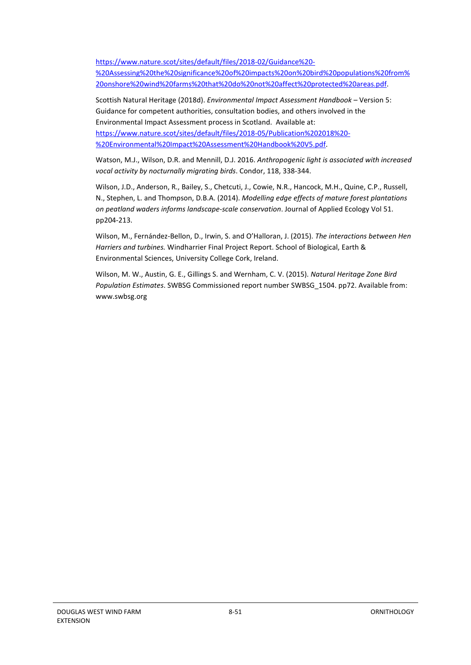[https://www.nature.scot/sites/default/files/2018-02/Guidance%20-](https://www.nature.scot/sites/default/files/2018-02/Guidance%20-%20Assessing%20the%20significance%20of%20impacts%20on%20bird%20populations%20from%20onshore%20wind%20farms%20that%20do%20not%20affect%20protected%20areas.pdf) [%20Assessing%20the%20significance%20of%20impacts%20on%20bird%20populations%20from%](https://www.nature.scot/sites/default/files/2018-02/Guidance%20-%20Assessing%20the%20significance%20of%20impacts%20on%20bird%20populations%20from%20onshore%20wind%20farms%20that%20do%20not%20affect%20protected%20areas.pdf) [20onshore%20wind%20farms%20that%20do%20not%20affect%20protected%20areas.pdf.](https://www.nature.scot/sites/default/files/2018-02/Guidance%20-%20Assessing%20the%20significance%20of%20impacts%20on%20bird%20populations%20from%20onshore%20wind%20farms%20that%20do%20not%20affect%20protected%20areas.pdf)

Scottish Natural Heritage (2018d). *Environmental Impact Assessment Handbook* – Version 5: Guidance for competent authorities, consultation bodies, and others involved in the Environmental Impact Assessment process in Scotland. Available at: [https://www.nature.scot/sites/default/files/2018-05/Publication%202018%20-](https://www.nature.scot/sites/default/files/2018-05/Publication%202018%20-%20Environmental%20Impact%20Assessment%20Handbook%20V5.pdf) [%20Environmental%20Impact%20Assessment%20Handbook%20V5.pdf.](https://www.nature.scot/sites/default/files/2018-05/Publication%202018%20-%20Environmental%20Impact%20Assessment%20Handbook%20V5.pdf)

Watson, M.J., Wilson, D.R. and Mennill, D.J. 2016. *Anthropogenic light is associated with increased vocal activity by nocturnally migrating birds*. Condor, 118, 338-344.

Wilson, J.D., Anderson, R., Bailey, S., Chetcuti, J., Cowie, N.R., Hancock, M.H., Quine, C.P., Russell, N., Stephen, L. and Thompson, D.B.A. (2014). *Modelling edge effects of mature forest plantations on peatland waders informs landscape-scale conservation*. Journal of Applied Ecology Vol 51. pp204-213.

Wilson, M., Fernández-Bellon, D., Irwin, S. and O'Halloran, J. (2015). *The interactions between Hen Harriers and turbines.* Windharrier Final Project Report. School of Biological, Earth & Environmental Sciences, University College Cork, Ireland.

Wilson, M. W., Austin, G. E., Gillings S. and Wernham, C. V. (2015). *Natural Heritage Zone Bird Population Estimates*. SWBSG Commissioned report number SWBSG\_1504. pp72. Available from: www.swbsg.org